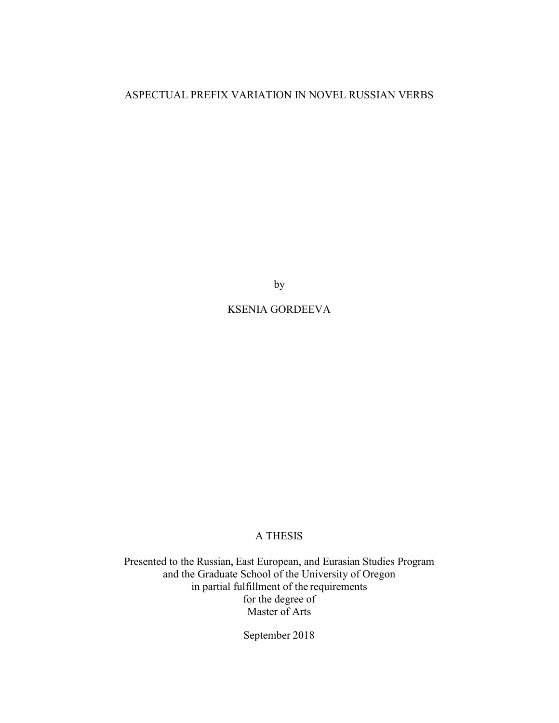# ASPECTUAL PREFIX VARIATION IN NOVEL RUSSIAN VERBS

by

# KSENIA GORDEEVA

# A THESIS

Presented to the Russian, East European, and Eurasian Studies Program and the Graduate School of the University of Oregon in partial fulfillment of the requirements for the degree of Master of Arts

September 2018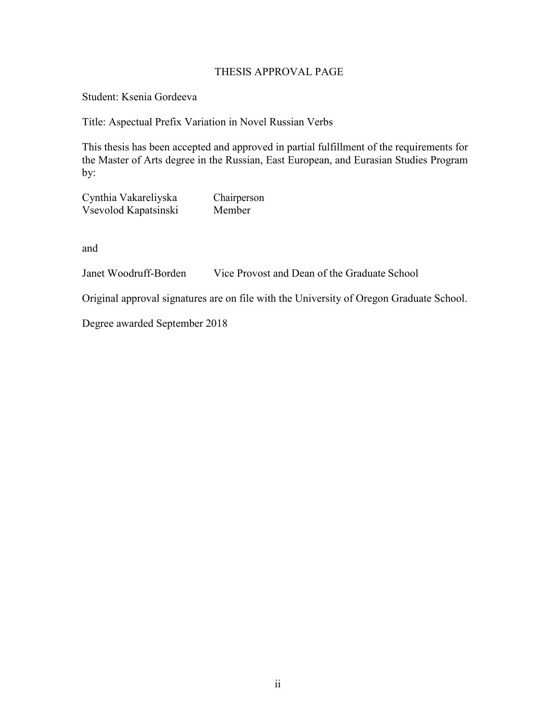# THESIS APPROVAL PAGE

Student: Ksenia Gordeeva

Title: Aspectual Prefix Variation in Novel Russian Verbs

This thesis has been accepted and approved in partial fulfillment of the requirements for the Master of Arts degree in the Russian, East European, and Eurasian Studies Program by:

Cynthia Vakareliyska Chairperson Vsevolod Kapatsinski Member

and

Janet Woodruff-Borden Vice Provost and Dean of the Graduate School

Original approval signatures are on file with the University of Oregon Graduate School.

Degree awarded September 2018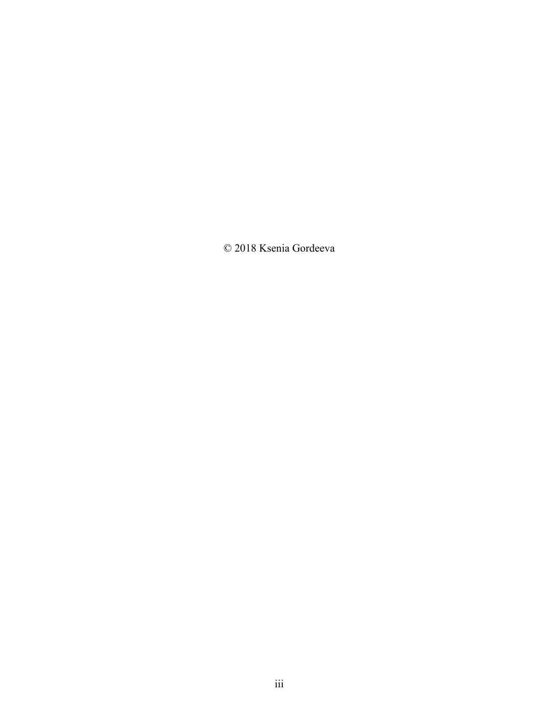© 2018 Ksenia Gordeeva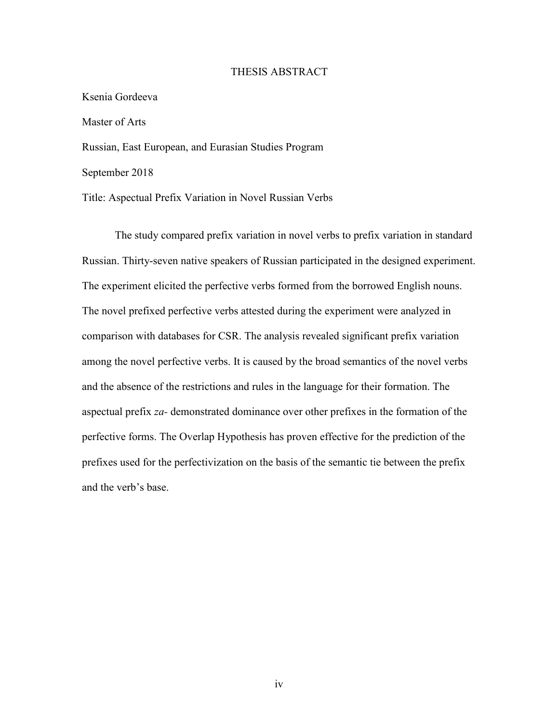### THESIS ABSTRACT

# Ksenia Gordeeva

Master of Arts

Russian, East European, and Eurasian Studies Program

September 2018

Title: Aspectual Prefix Variation in Novel Russian Verbs

The study compared prefix variation in novel verbs to prefix variation in standard Russian. Thirty-seven native speakers of Russian participated in the designed experiment. The experiment elicited the perfective verbs formed from the borrowed English nouns. The novel prefixed perfective verbs attested during the experiment were analyzed in comparison with databases for CSR. The analysis revealed significant prefix variation among the novel perfective verbs. It is caused by the broad semantics of the novel verbs and the absence of the restrictions and rules in the language for their formation. The aspectual prefix *za-* demonstrated dominance over other prefixes in the formation of the perfective forms. The Overlap Hypothesis has proven effective for the prediction of the prefixes used for the perfectivization on the basis of the semantic tie between the prefix and the verb's base.

iv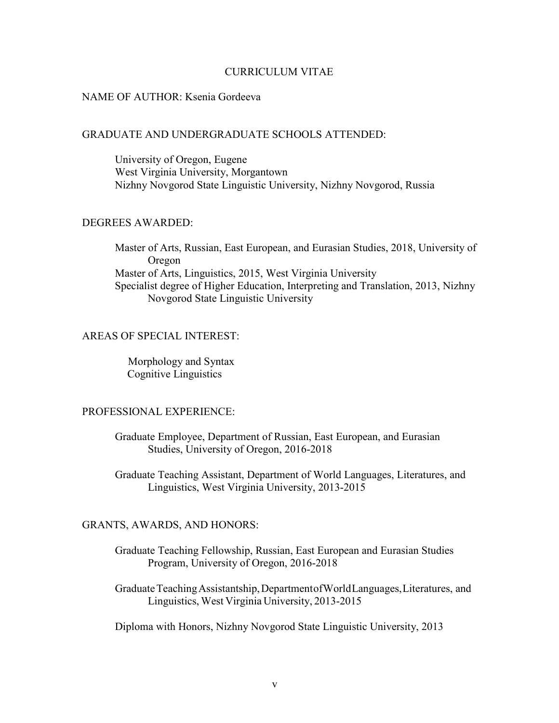# CURRICULUM VITAE

## NAME OF AUTHOR: Ksenia Gordeeva

#### GRADUATE AND UNDERGRADUATE SCHOOLS ATTENDED:

University of Oregon, Eugene West Virginia University, Morgantown Nizhny Novgorod State Linguistic University, Nizhny Novgorod, Russia

# DEGREES AWARDED:

Master of Arts, Russian, East European, and Eurasian Studies, 2018, University of Oregon Master of Arts, Linguistics, 2015, West Virginia University Specialist degree of Higher Education, Interpreting and Translation, 2013, Nizhny Novgorod State Linguistic University

## AREAS OF SPECIAL INTEREST:

Morphology and Syntax Cognitive Linguistics

## PROFESSIONAL EXPERIENCE:

Graduate Employee, Department of Russian, East European, and Eurasian Studies, University of Oregon, 2016-2018

Graduate Teaching Assistant, Department of World Languages, Literatures, and Linguistics, West Virginia University, 2013-2015

# GRANTS, AWARDS, AND HONORS:

- Graduate Teaching Fellowship, Russian, East European and Eurasian Studies Program, University of Oregon, 2016-2018
- Graduate Teaching Assistantship, Department of World Languages, Literatures, and Linguistics, West Virginia University, 2013-2015

Diploma with Honors, Nizhny Novgorod State Linguistic University, 2013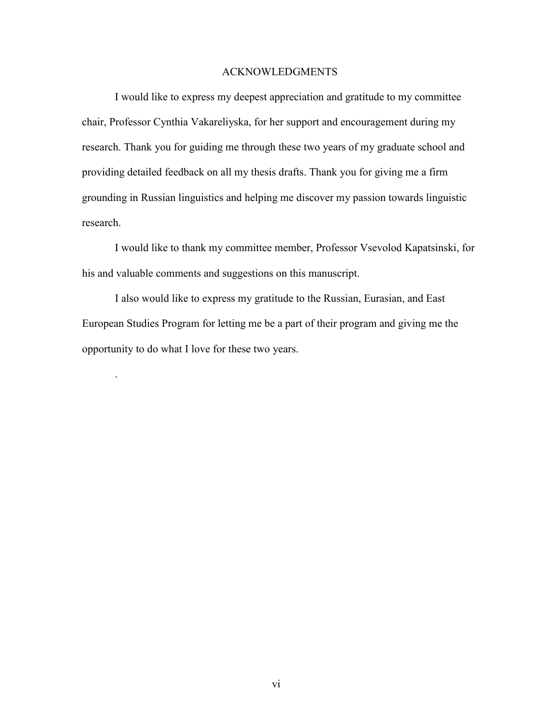## ACKNOWLEDGMENTS

I would like to express my deepest appreciation and gratitude to my committee chair, Professor Cynthia Vakareliyska, for her support and encouragement during my research. Thank you for guiding me through these two years of my graduate school and providing detailed feedback on all my thesis drafts. Thank you for giving me a firm grounding in Russian linguistics and helping me discover my passion towards linguistic research.

I would like to thank my committee member, Professor Vsevolod Kapatsinski, for his and valuable comments and suggestions on this manuscript.

I also would like to express my gratitude to the Russian, Eurasian, and East European Studies Program for letting me be a part of their program and giving me the opportunity to do what I love for these two years.

.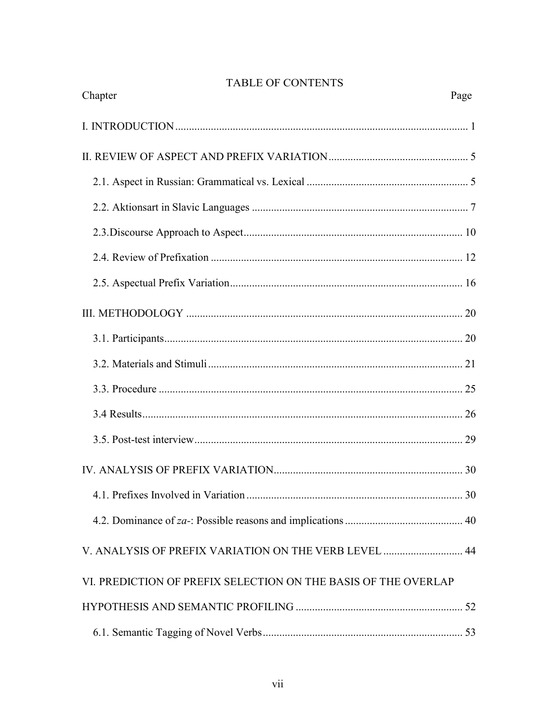# TABLE OF CONTENTS

| Chapter                                                        | Page |
|----------------------------------------------------------------|------|
|                                                                |      |
|                                                                |      |
|                                                                |      |
|                                                                |      |
|                                                                |      |
|                                                                |      |
|                                                                |      |
|                                                                |      |
|                                                                |      |
|                                                                |      |
|                                                                |      |
|                                                                |      |
|                                                                |      |
|                                                                |      |
|                                                                |      |
|                                                                |      |
| V. ANALYSIS OF PREFIX VARIATION ON THE VERB LEVEL  44          |      |
| VI. PREDICTION OF PREFIX SELECTION ON THE BASIS OF THE OVERLAP |      |
|                                                                |      |
|                                                                |      |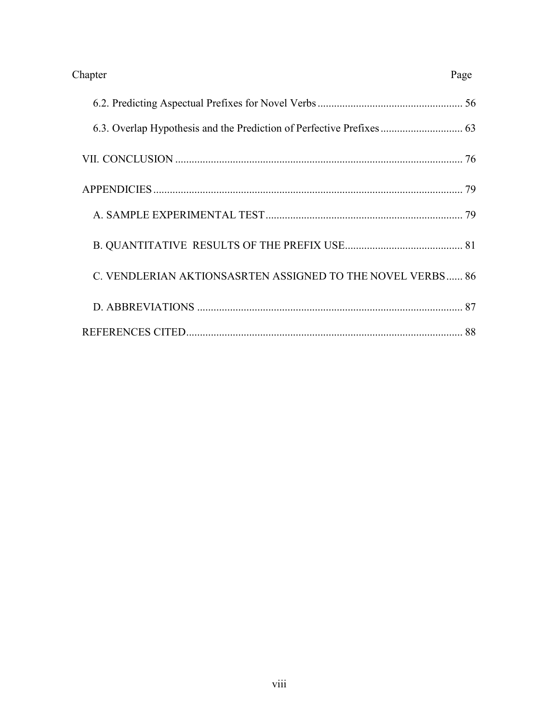| Chapter                                                    | Page |
|------------------------------------------------------------|------|
|                                                            |      |
|                                                            |      |
|                                                            |      |
|                                                            |      |
|                                                            |      |
|                                                            |      |
| C. VENDLERIAN AKTIONSASRTEN ASSIGNED TO THE NOVEL VERBS 86 |      |
|                                                            |      |
|                                                            |      |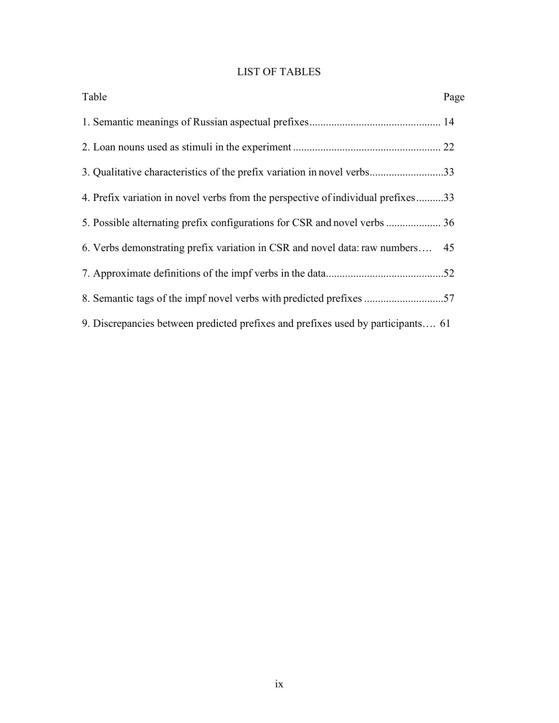# LIST OF TABLES

| Table                                                                            | Page |
|----------------------------------------------------------------------------------|------|
|                                                                                  |      |
|                                                                                  |      |
| 3. Qualitative characteristics of the prefix variation in novel verbs33          |      |
| 4. Prefix variation in novel verbs from the perspective of individual prefixes33 |      |
|                                                                                  |      |
| 6. Verbs demonstrating prefix variation in CSR and novel data: raw numbers       | 45   |
|                                                                                  |      |
|                                                                                  |      |
| 9. Discrepancies between predicted prefixes and prefixes used by participants 61 |      |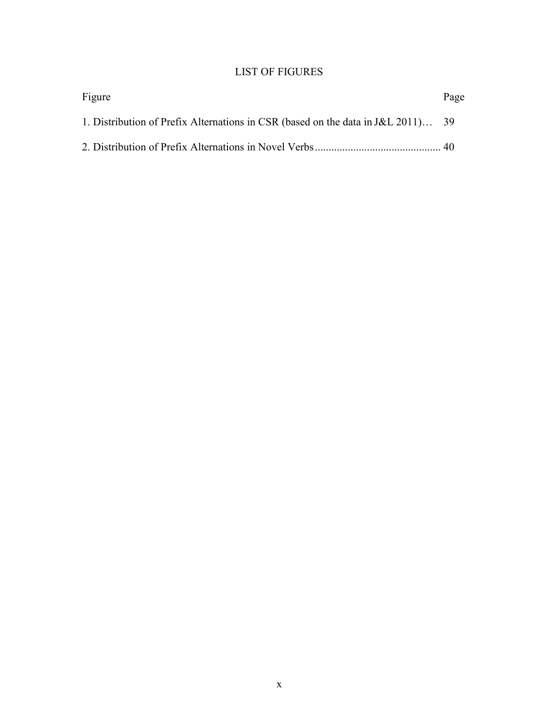# LIST OF FIGURES

| Figure                                                                           | Page |
|----------------------------------------------------------------------------------|------|
| 1. Distribution of Prefix Alternations in CSR (based on the data in J&L 2011) 39 |      |
|                                                                                  |      |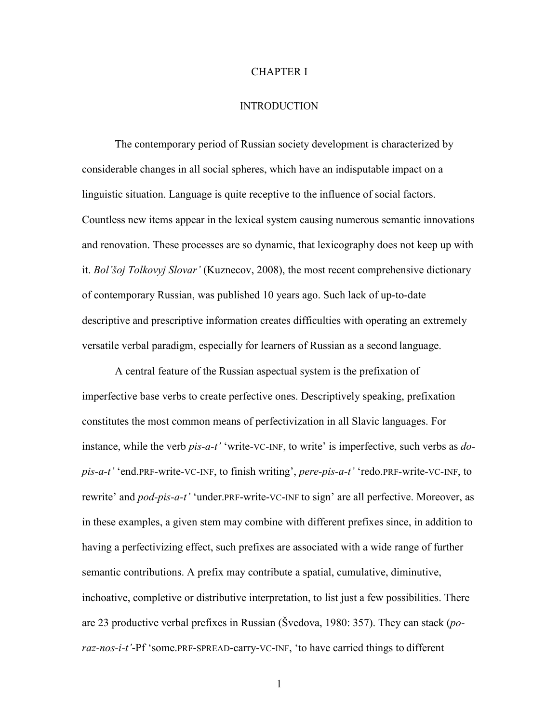#### CHAPTER I

#### INTRODUCTION

The contemporary period of Russian society development is characterized by considerable changes in all social spheres, which have an indisputable impact on a linguistic situation. Language is quite receptive to the influence of social factors. Countless new items appear in the lexical system causing numerous semantic innovations and renovation. These processes are so dynamic, that lexicography does not keep up with it. *Bol'šoj Tolkovyj Slovar'* (Kuznecov, 2008), the most recent comprehensive dictionary of contemporary Russian, was published 10 years ago. Such lack of up-to-date descriptive and prescriptive information creates difficulties with operating an extremely versatile verbal paradigm, especially for learners of Russian as a second language.

A central feature of the Russian aspectual system is the prefixation of imperfective base verbs to create perfective ones. Descriptively speaking, prefixation constitutes the most common means of perfectivization in all Slavic languages. For instance, while the verb *pis-a-t'* 'write-VC-INF, to write' is imperfective, such verbs as *dopis-a-t'* 'end.PRF-write-VC-INF, to finish writing', *pere-pis-a-t'* 'redo.PRF-write-VC-INF, to rewrite' and *pod-pis-a-t'* 'under.PRF-write-VC-INF to sign' are all perfective. Moreover, as in these examples, a given stem may combine with different prefixes since, in addition to having a perfectivizing effect, such prefixes are associated with a wide range of further semantic contributions. A prefix may contribute a spatial, cumulative, diminutive, inchoative, completive or distributive interpretation, to list just a few possibilities. There are 23 productive verbal prefixes in Russian (Švedova, 1980: 357). They can stack (*poraz-nos-i-t'*-Pf 'some.PRF-SPREAD-carry-VC-INF, 'to have carried things to different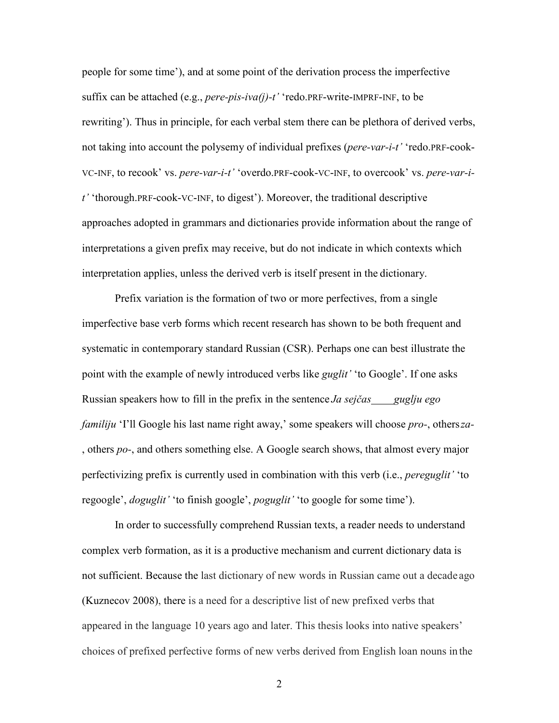people for some time'), and at some point of the derivation process the imperfective suffix can be attached (e.g., *pere-pis-iva(j)-t'* 'redo.PRF-write-IMPRF-INF, to be rewriting'). Thus in principle, for each verbal stem there can be plethora of derived verbs, not taking into account the polysemy of individual prefixes (*pere-var-i-t'* 'redo.PRF-cook-VC-INF, to recook' vs. *pere-var-i-t'* 'overdo.PRF-cook-VC-INF, to overcook' vs. *pere-var-it'* 'thorough.PRF-cook-VC-INF, to digest'). Moreover, the traditional descriptive approaches adopted in grammars and dictionaries provide information about the range of interpretations a given prefix may receive, but do not indicate in which contexts which interpretation applies, unless the derived verb is itself present in the dictionary.

Prefix variation is the formation of two or more perfectives, from a single imperfective base verb forms which recent research has shown to be both frequent and systematic in contemporary standard Russian (CSR). Perhaps one can best illustrate the point with the example of newly introduced verbs like *guglit'* 'to Google'. If one asks Russian speakers how to fill in the prefix in the sentence *Ja sejčas guglju ego familiju* 'I'll Google his last name right away,' some speakers will choose *prо-*, others *zа-*  , others *pо-*, and others something else. A Google search shows, that almost every major perfectivizing prefix is currently used in combination with this verb (i.e., *pereguglit'* 'to regoogle', *doguglit'* 'to finish google', *poguglit'* 'to google for some time').

In order to successfully comprehend Russian texts, a reader needs to understand complex verb formation, as it is a productive mechanism and current dictionary data is not sufficient. Because the last dictionary of new words in Russian came out a decade ago (Kuznecov 2008), there is a need for a descriptive list of new prefixed verbs that appeared in the language 10 years ago and later. This thesis looks into native speakers' choices of prefixed perfective forms of new verbs derived from English loan nouns in the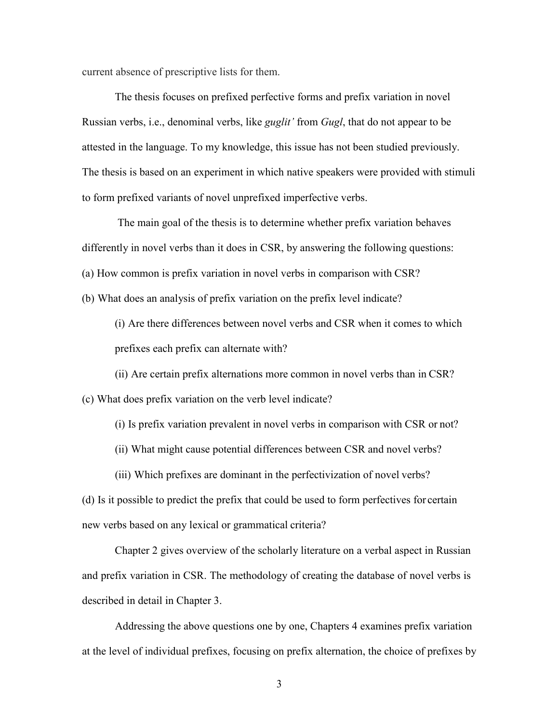current absence of prescriptive lists for them.

The thesis focuses on prefixed perfective forms and prefix variation in novel Russian verbs, i.e., denominal verbs, like *guglit'* from *Gugl*, that do not appear to be attested in the language. To my knowledge, this issue has not been studied previously. The thesis is based on an experiment in which native speakers were provided with stimuli to form prefixed variants of novel unprefixed imperfective verbs.

The main goal of the thesis is to determine whether prefix variation behaves differently in novel verbs than it does in CSR, by answering the following questions: (a) How common is prefix variation in novel verbs in comparison with CSR?

(b) What does an analysis of prefix variation on the prefix level indicate?

(i) Are there differences between novel verbs and CSR when it comes to which prefixes each prefix can alternate with?

(ii) Are certain prefix alternations more common in novel verbs than in CSR? (c) What does prefix variation on the verb level indicate?

(i) Is prefix variation prevalent in novel verbs in comparison with CSR or not?

(ii) What might cause potential differences between CSR and novel verbs?

(iii) Which prefixes are dominant in the perfectivization of novel verbs?

(d) Is it possible to predict the prefix that could be used to form perfectives for certain new verbs based on any lexical or grammatical criteria?

Chapter 2 gives overview of the scholarly literature on a verbal aspect in Russian and prefix variation in CSR. The methodology of creating the database of novel verbs is described in detail in Chapter 3.

Addressing the above questions one by one, Chapters 4 examines prefix variation at the level of individual prefixes, focusing on prefix alternation, the choice of prefixes by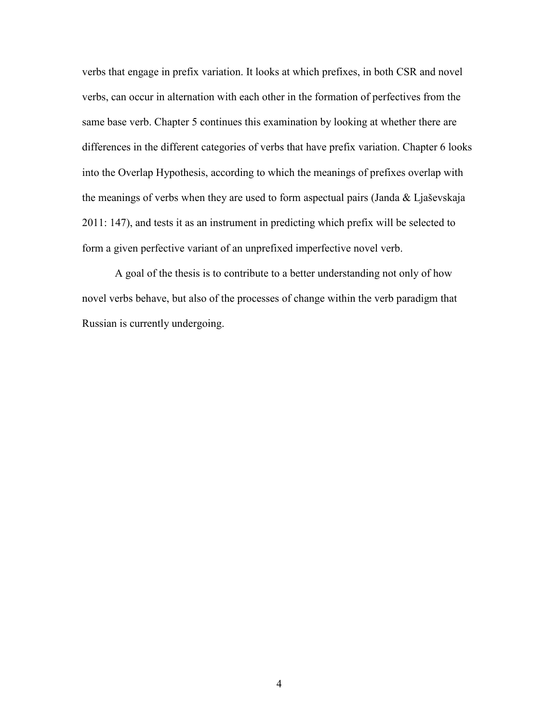verbs that engage in prefix variation. It looks at which prefixes, in both CSR and novel verbs, can occur in alternation with each other in the formation of perfectives from the same base verb. Chapter 5 continues this examination by looking at whether there are differences in the different categories of verbs that have prefix variation. Chapter 6 looks into the Overlap Hypothesis, according to which the meanings of prefixes overlap with the meanings of verbs when they are used to form aspectual pairs (Janda & Ljaševskaja 2011: 147), and tests it as an instrument in predicting which prefix will be selected to form a given perfective variant of an unprefixed imperfective novel verb.

A goal of the thesis is to contribute to a better understanding not only of how novel verbs behave, but also of the processes of change within the verb paradigm that Russian is currently undergoing.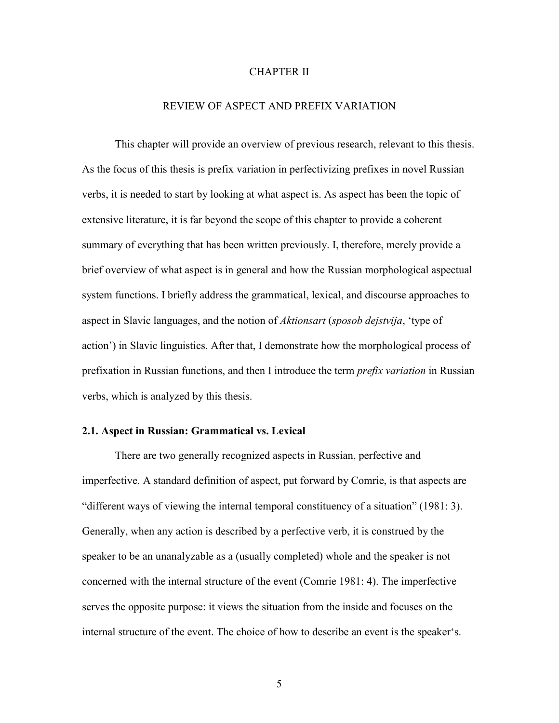## CHAPTER II

## REVIEW OF ASPECT AND PREFIX VARIATION

This chapter will provide an overview of previous research, relevant to this thesis. As the focus of this thesis is prefix variation in perfectivizing prefixes in novel Russian verbs, it is needed to start by looking at what aspect is. As aspect has been the topic of extensive literature, it is far beyond the scope of this chapter to provide a coherent summary of everything that has been written previously. I, therefore, merely provide a brief overview of what aspect is in general and how the Russian morphological aspectual system functions. I briefly address the grammatical, lexical, and discourse approaches to aspect in Slavic languages, and the notion of *Aktionsart* (*sposob dejstvija*, 'type of action') in Slavic linguistics. After that, I demonstrate how the morphological process of prefixation in Russian functions, and then I introduce the term *prefix variation* in Russian verbs, which is analyzed by this thesis.

### **2.1. Aspect in Russian: Grammatical vs. Lexical**

There are two generally recognized aspects in Russian, perfective and imperfective. A standard definition of aspect, put forward by Comrie, is that aspects are "different ways of viewing the internal temporal constituency of a situation" (1981: 3). Generally, when any action is described by a perfective verb, it is construed by the speaker to be an unanalyzable as a (usually completed) whole and the speaker is not concerned with the internal structure of the event (Comrie 1981: 4). The imperfective serves the opposite purpose: it views the situation from the inside and focuses on the internal structure of the event. The choice of how to describe an event is the speaker's.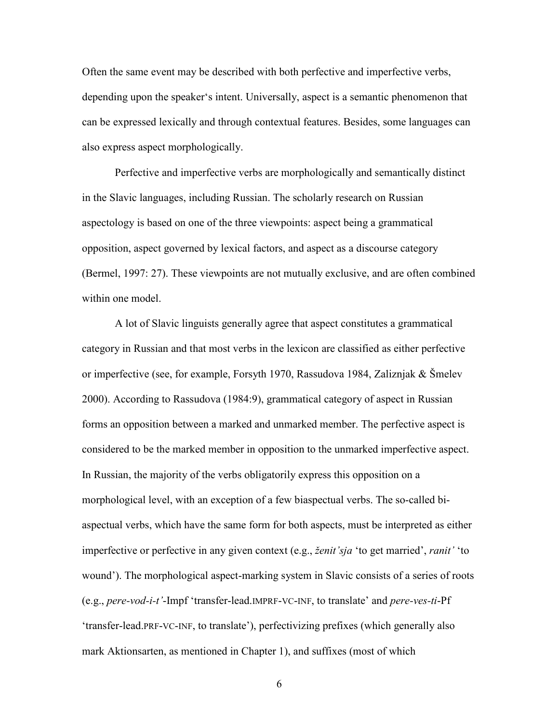Often the same event may be described with both perfective and imperfective verbs, depending upon the speaker's intent. Universally, aspect is a semantic phenomenon that can be expressed lexically and through contextual features. Besides, some languages can also express aspect morphologically.

Perfective and imperfective verbs are morphologically and semantically distinct in the Slavic languages, including Russian. The scholarly research on Russian aspectology is based on one of the three viewpoints: aspect being a grammatical opposition, aspect governed by lexical factors, and aspect as a discourse category (Bermel, 1997: 27). These viewpoints are not mutually exclusive, and are often combined within one model.

A lot of Slavic linguists generally agree that aspect constitutes a grammatical category in Russian and that most verbs in the lexicon are classified as either perfective or imperfective (see, for example, Forsyth 1970, Rassudova 1984, Zaliznjak & Šmelev 2000). According to Rassudova (1984:9), grammatical category of aspect in Russian forms an opposition between a marked and unmarked member. The perfective aspect is considered to be the marked member in opposition to the unmarked imperfective aspect. In Russian, the majority of the verbs obligatorily express this opposition on a morphological level, with an exception of a few biaspectual verbs. The so-called biaspectual verbs, which have the same form for both aspects, must be interpreted as either imperfective or perfective in any given context (e.g., *ženit'sja* 'to get married', *ranit'* 'to wound'). The morphological aspect-marking system in Slavic consists of a series of roots (e.g., *pere-vod-i-t'*-Impf 'transfer-lead.IMPRF-VC-INF, to translate' and *pere-ves-ti*-Pf 'transfer-lead.PRF-VC-INF, to translate'), perfectivizing prefixes (which generally also mark Aktionsarten, as mentioned in Chapter 1), and suffixes (most of which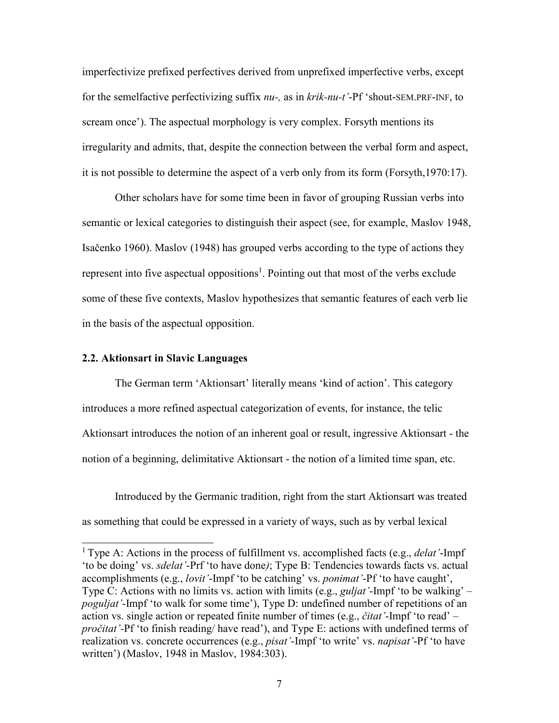imperfectivize prefixed perfectives derived from unprefixed imperfective verbs, except for the semelfactive perfectivizing suffix *nu-,* as in *krik-nu-t'*-Pf 'shout-SEM.PRF-INF, to scream once'). The aspectual morphology is very complex. Forsyth mentions its irregularity and admits, that, despite the connection between the verbal form and aspect, it is not possible to determine the aspect of a verb only from its form (Forsyth,1970:17).

Other scholars have for some time been in favor of grouping Russian verbs into semantic or lexical categories to distinguish their aspect (see, for example, Maslov 1948, Isačenko 1960). Maslov (1948) has grouped verbs according to the type of actions they represent into five aspectual oppositions<sup>1</sup>. Pointing out that most of the verbs exclude some of these five contexts, Maslov hypothesizes that semantic features of each verb lie in the basis of the aspectual opposition.

## **2.2. Aktionsart in Slavic Languages**

The German term 'Aktionsart' literally means 'kind of action'. This category introduces a more refined aspectual categorization of events, for instance, the telic Aktionsart introduces the notion of an inherent goal or result, ingressive Aktionsart - the notion of a beginning, delimitative Aktionsart - the notion of a limited time span, etc.

Introduced by the Germanic tradition, right from the start Aktionsart was treated as something that could be expressed in a variety of ways, such as by verbal lexical

<sup>1</sup>Type A: Actions in the process of fulfillment vs. accomplished facts (e.g., *delat'*-Impf 'to be doing' vs. *sdelat'*-Prf 'to have done*)*; Type B: Tendencies towards facts vs. actual accomplishments (e.g., *lovit'*-Impf 'to be catching' vs. *ponimat'*-Pf 'to have caught', Type C: Actions with no limits vs. action with limits (e.g., *guljat'*-Impf 'to be walking' – *poguljat'*-Impf 'to walk for some time'), Type D: undefined number of repetitions of an action vs. single action or repeated finite number of times (e.g., *čitat'*-Impf 'to read' – *pročitat'-*Pf 'to finish reading/ have read'), and Type E: actions with undefined terms of realization vs. concrete occurrences (e.g., *pisat'*-Impf 'to write' vs. *napisat'*-Pf 'to have written') (Maslov, 1948 in Maslov, 1984:303).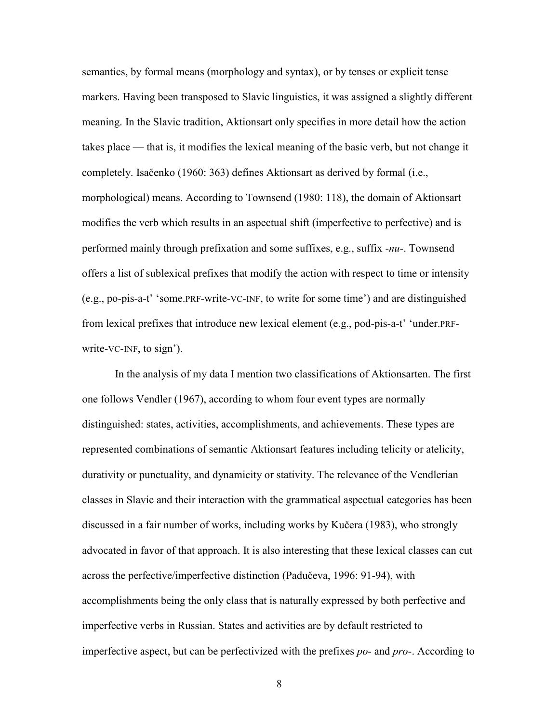semantics, by formal means (morphology and syntax), or by tenses or explicit tense markers. Having been transposed to Slavic linguistics, it was assigned a slightly different meaning. In the Slavic tradition, Aktionsart only specifies in more detail how the action takes place — that is, it modifies the lexical meaning of the basic verb, but not change it completely. Isačenko (1960: 363) defines Aktionsart as derived by formal (i.e., morphological) means. According to Townsend (1980: 118), the domain of Aktionsart modifies the verb which results in an aspectual shift (imperfective to perfective) and is performed mainly through prefixation and some suffixes, e.g., suffix -*nu-*. Townsend offers a list of sublexical prefixes that modify the action with respect to time or intensity (e.g., po-pis-a-t' 'some.PRF-write-VC-INF, to write for some time') and are distinguished from lexical prefixes that introduce new lexical element (e.g., pod-pis-a-t' 'under.PRFwrite-VC-INF, to sign').

In the analysis of my data I mention two classifications of Aktionsarten. The first one follows Vendler (1967), according to whom four event types are normally distinguished: states, activities, accomplishments, and achievements. These types are represented combinations of semantic Aktionsart features including telicity or atelicity, durativity or punctuality, and dynamicity or stativity. The relevance of the Vendlerian classes in Slavic and their interaction with the grammatical aspectual categories has been discussed in a fair number of works, including works by Kučera (1983), who strongly advocated in favor of that approach. It is also interesting that these lexical classes can cut across the perfective/imperfective distinction (Padučeva, 1996: 91-94), with accomplishments being the only class that is naturally expressed by both perfective and imperfective verbs in Russian. States and activities are by default restricted to imperfective aspect, but can be perfectivized with the prefixes *po-* and *pro-*. According to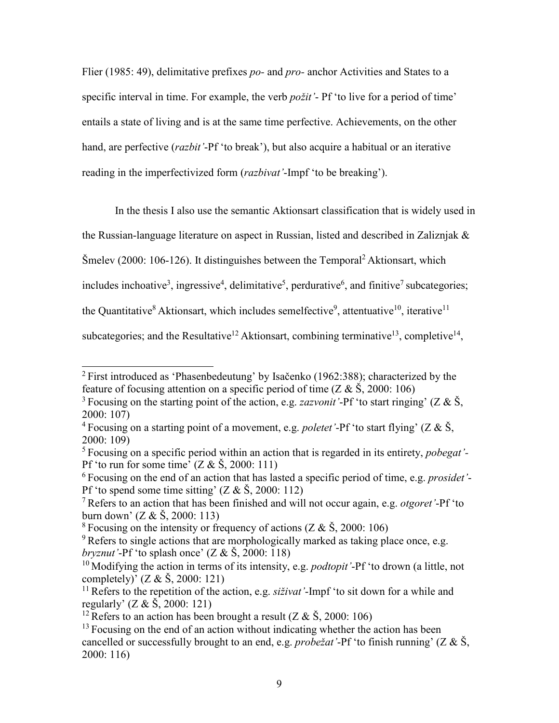Flier (1985: 49), delimitative prefixes *po-* and *pro-* anchor Activities and States to a specific interval in time. For example, the verb *požit'*- Pf 'to live for a period of time' entails a state of living and is at the same time perfective. Achievements, on the other hand, are perfective (*razbit'*-Pf 'to break'), but also acquire a habitual or an iterative reading in the imperfectivized form (*razbivat'*-Impf 'to be breaking').

In the thesis I also use the semantic Aktionsart classification that is widely used in

the Russian-language literature on aspect in Russian, listed and described in Zaliznjak &

Šmelev (2000: 106-126). It distinguishes between the Temporal<sup>2</sup> Aktionsart, which

includes inchoative<sup>3</sup>, ingressive<sup>4</sup>, delimitative<sup>5</sup>, perdurative<sup>6</sup>, and finitive<sup>7</sup> subcategories;

the Quantitative<sup>8</sup> Aktionsart, which includes semelfective<sup>9</sup>, attentuative<sup>10</sup>, iterative<sup>11</sup>

subcategories; and the Resultative<sup>12</sup> Aktionsart, combining terminative<sup>13</sup>, completive<sup>14</sup>,

<sup>&</sup>lt;sup>2</sup> First introduced as 'Phasenbedeutung' by Isačenko (1962:388); characterized by the feature of focusing attention on a specific period of time ( $Z & S$ , 2000: 106)

<sup>&</sup>lt;sup>3</sup> Focusing on the starting point of the action, e.g. *zazvonit* '-Pf' to start ringing' ( $Z & S$ , 2000: 107)

<sup>&</sup>lt;sup>4</sup> Focusing on a starting point of a movement, e.g. *poletet* '-Pf' to start flying' ( $Z & S$ , 2000: 109)

<sup>5</sup>Focusing on a specific period within an action that is regarded in its entirety, *pobegat'-*  Pf 'to run for some time'  $(Z & S, 2000: 111)$ 

<sup>6</sup>Focusing on the end of an action that has lasted a specific period of time, e.g. *prosidet'*- Pf 'to spend some time sitting'  $(Z & S, 2000: 112)$ 

<sup>7</sup>Refers to an action that has been finished and will not occur again, e.g. *otgoret'*-Pf 'to burn down' ( $Z & S$ , 2000: 113)

<sup>&</sup>lt;sup>8</sup> Focusing on the intensity or frequency of actions  $(Z & \check{S}, 2000; 106)$ 

 $9^9$  Refers to single actions that are morphologically marked as taking place once, e.g. *bryznut'*-Pf 'to splash once' (Z & Š, 2000: 118)

<sup>&</sup>lt;sup>10</sup>Modifying the action in terms of its intensity, e.g. *podtopit* '-Pf' to drown (a little, not completely)'  $(Z & \check{S}, 2000: 121)$ 

<sup>&</sup>lt;sup>11</sup> Refers to the repetition of the action, e.g. *siživat* '-Impf' to sit down for a while and regularly' (Z & Š, 2000: 121)

<sup>&</sup>lt;sup>12</sup> Refers to an action has been brought a result ( $Z & S$ , 2000: 106)

 $13$  Focusing on the end of an action without indicating whether the action has been cancelled or successfully brought to an end, e.g. *probežat'*-Pf 'to finish running' (Z & Š, 2000: 116)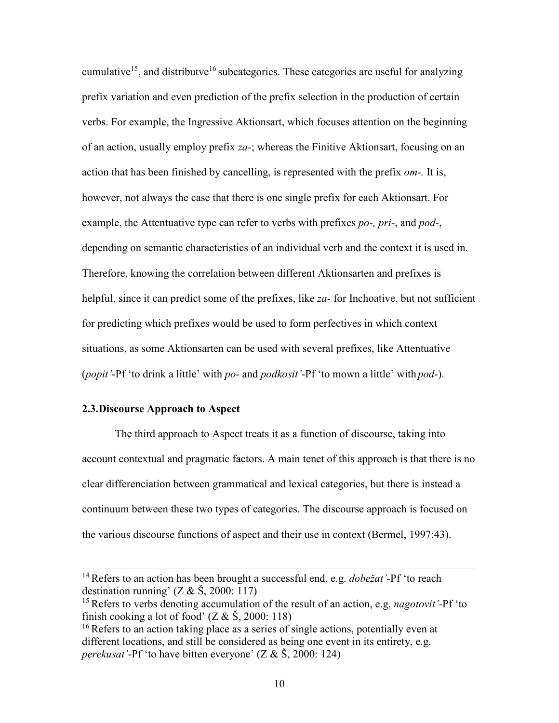cumulative<sup>15</sup>, and distributve<sup>16</sup> subcategories. These categories are useful for analyzing prefix variation and even prediction of the prefix selection in the production of certain verbs. For example, the Ingressive Aktionsart, which focuses attention on the beginning of an action, usually employ prefix *za-*; whereas the Finitive Aktionsart, focusing on an action that has been finished by cancelling, is represented with the prefix *от-.* It is, however, not always the case that there is one single prefix for each Aktionsart. For example, the Attentuative type can refer to verbs with prefixes *po-, pri-*, and *pod-*, depending on semantic characteristics of an individual verb and the context it is used in. Therefore, knowing the correlation between different Aktionsarten and prefixes is helpful, since it can predict some of the prefixes, like *za-* for Inchoative, but not sufficient for predicting which prefixes would be used to form perfectives in which context situations, as some Aktionsarten can be used with several prefixes, like Attentuative (*popit'*-Pf 'to drink a little' with *po-* and *podkosit'*-Pf 'to mown a little' with *pod-*).

## **2.3.Discourse Approach to Aspect**

The third approach to Aspect treats it as a function of discourse, taking into account contextual and pragmatic factors. A main tenet of this approach is that there is no clear differenciation between grammatical and lexical categories, but there is instead a continuum between these two types of categories. The discourse approach is focused on the various discourse functions of aspect and their use in context (Bermel, 1997:43).

<sup>14</sup>Refers to an action has been brought a successful end, e.g. *dobežat'*-Pf 'to reach destination running'  $(Z & S, 2000; 117)$ 

<sup>&</sup>lt;sup>15</sup> Refers to verbs denoting accumulation of the result of an action, e.g. *nagotovit* '-Pf' to finish cooking a lot of food'  $(Z & S, 2000: 118)$ 

<sup>&</sup>lt;sup>16</sup> Refers to an action taking place as a series of single actions, potentially even at different locations, and still be considered as being one event in its entirety, e.g. *perekusat'*-Pf 'to have bitten everyone' (Z & Š, 2000: 124)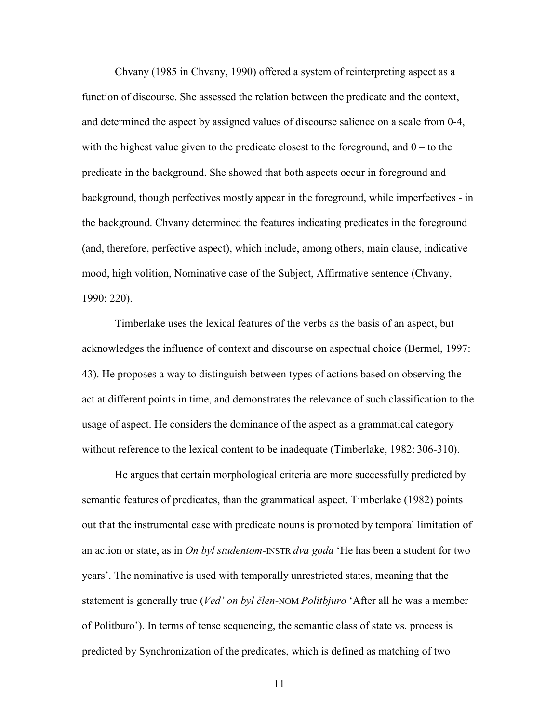Chvany (1985 in Chvany, 1990) offered a system of reinterpreting aspect as a function of discourse. She assessed the relation between the predicate and the context, and determined the aspect by assigned values of discourse salience on a scale from 0-4, with the highest value given to the predicate closest to the foreground, and  $0 -$  to the predicate in the background. She showed that both aspects occur in foreground and background, though perfectives mostly appear in the foreground, while imperfectives - in the background. Chvany determined the features indicating predicates in the foreground (and, therefore, perfective aspect), which include, among others, main clause, indicative mood, high volition, Nominative case of the Subject, Affirmative sentence (Chvany, 1990: 220).

Timberlake uses the lexical features of the verbs as the basis of an aspect, but acknowledges the influence of context and discourse on aspectual choice (Bermel, 1997: 43). He proposes a way to distinguish between types of actions based on observing the act at different points in time, and demonstrates the relevance of such classification to the usage of aspect. He considers the dominance of the aspect as a grammatical category without reference to the lexical content to be inadequate (Timberlake, 1982: 306-310).

He argues that certain morphological criteria are more successfully predicted by semantic features of predicates, than the grammatical aspect. Timberlake (1982) points out that the instrumental case with predicate nouns is promoted by temporal limitation of an action or state, as in *On byl studentom-*INSTR *dva goda* 'He has been a student for two years'. The nominative is used with temporally unrestricted states, meaning that the statement is generally true (*Ved' on byl člen-*NOM *Politbjuro* 'After all he was a member of Politburo'). In terms of tense sequencing, the semantic class of state vs. process is predicted by Synchronization of the predicates, which is defined as matching of two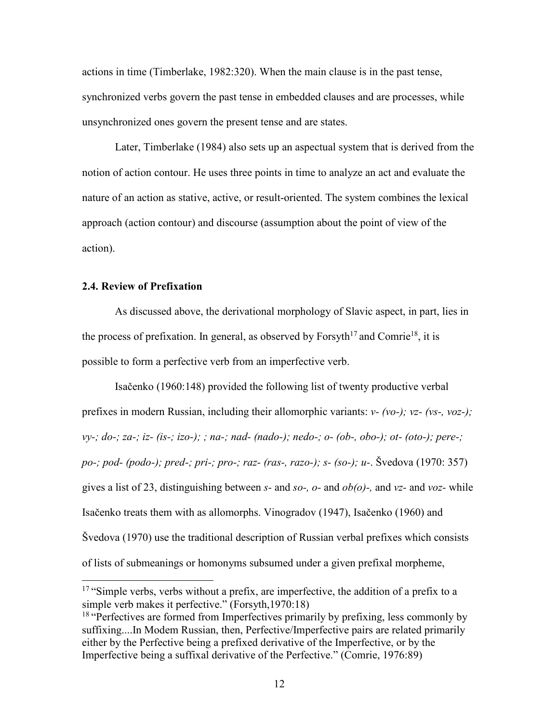actions in time (Timberlake, 1982:320). When the main clause is in the past tense, synchronized verbs govern the past tense in embedded clauses and are processes, while unsynchronized ones govern the present tense and are states.

Later, Timberlake (1984) also sets up an aspectual system that is derived from the notion of action contour. He uses three points in time to analyze an act and evaluate the nature of an action as stative, active, or result-oriented. The system combines the lexical approach (action contour) and discourse (assumption about the point of view of the action).

# **2.4. Review of Prefixation**

As discussed above, the derivational morphology of Slavic aspect, in part, lies in the process of prefixation. In general, as observed by Forsyth<sup>17</sup> and Comrie<sup>18</sup>, it is possible to form a perfective verb from an imperfective verb.

Isačenko (1960:148) provided the following list of twenty productive verbal prefixes in modern Russian, including their allomorphic variants: *v- (vo-); vz- (vs-, voz-); vy-; do-; za-; iz- (is-; izo-); ; na-; nad- (nado-); nedo-; o- (ob-, obo-); ot- (oto-); pere-; po-; pod- (podo-); pred-; pri-; pro-; raz- (ras-, razo-); s- (so-); u-*. Švedova (1970: 357) gives a list of 23, distinguishing between *s-* and *so-, o-* and *ob(o)-,* and *vz-* and *voz-* while Isačenko treats them with as allomorphs. Vinogradov (1947), Isačenko (1960) and Švedova (1970) use the traditional description of Russian verbal prefixes which consists of lists of submeanings or homonyms subsumed under a given prefixal morpheme,

<sup>&</sup>lt;sup>17</sup> "Simple verbs, verbs without a prefix, are imperfective, the addition of a prefix to a simple verb makes it perfective." (Forsyth,1970:18)

<sup>&</sup>lt;sup>18</sup> "Perfectives are formed from Imperfectives primarily by prefixing, less commonly by suffixing....In Modem Russian, then, Perfective/Imperfective pairs are related primarily either by the Perfective being a prefixed derivative of the Imperfective, or by the Imperfective being a suffixal derivative of the Perfective." (Comrie, 1976:89)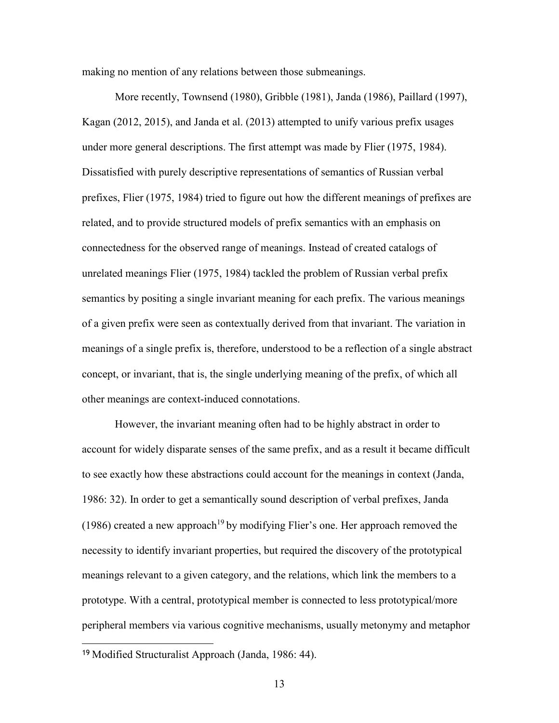making no mention of any relations between those submeanings.

More recently, Townsend (1980), Gribble (1981), Janda (1986), Paillard (1997), Kagan (2012, 2015), and Janda et al. (2013) attempted to unify various prefix usages under more general descriptions. The first attempt was made by Flier (1975, 1984). Dissatisfied with purely descriptive representations of semantics of Russian verbal prefixes, Flier (1975, 1984) tried to figure out how the different meanings of prefixes are related, and to provide structured models of prefix semantics with an emphasis on connectedness for the observed range of meanings. Instead of created catalogs of unrelated meanings Flier (1975, 1984) tackled the problem of Russian verbal prefix semantics by positing a single invariant meaning for each prefix. The various meanings of a given prefix were seen as contextually derived from that invariant. The variation in meanings of a single prefix is, therefore, understood to be a reflection of a single abstract concept, or invariant, that is, the single underlying meaning of the prefix, of which all other meanings are context-induced connotations.

However, the invariant meaning often had to be highly abstract in order to account for widely disparate senses of the same prefix, and as a result it became difficult to see exactly how these abstractions could account for the meanings in context (Janda, 1986: 32). In order to get a semantically sound description of verbal prefixes, Janda (1986) created a new approach<sup>19</sup> by modifying Flier's one. Her approach removed the necessity to identify invariant properties, but required the discovery of the prototypical meanings relevant to a given category, and the relations, which link the members to a prototype. With a central, prototypical member is connected to less prototypical/more peripheral members via various cognitive mechanisms, usually metonymy and metaphor

<sup>19</sup> Modified Structuralist Approach (Janda, 1986: 44).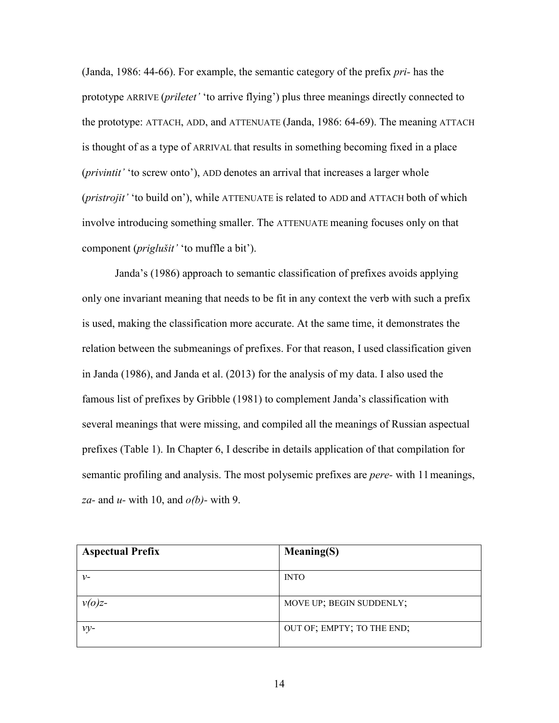(Janda, 1986: 44-66). For example, the semantic category of the prefix *pri-* has the prototype ARRIVE (*priletet'* 'to arrive flying') plus three meanings directly connected to the prototype: ATTACH, ADD, and ATTENUATE (Janda, 1986: 64-69). The meaning ATTACH is thought of as a type of ARRIVAL that results in something becoming fixed in a place (*privintit'* 'to screw onto'), ADD denotes an arrival that increases a larger whole (*pristrojit'* 'to build on'), while ATTENUATE is related to ADD and ATTACH both of which involve introducing something smaller. The ATTENUATE meaning focuses only on that component (*priglušit'* 'to muffle a bit').

Janda's (1986) approach to semantic classification of prefixes avoids applying only one invariant meaning that needs to be fit in any context the verb with such a prefix is used, making the classification more accurate. At the same time, it demonstrates the relation between the submeanings of prefixes. For that reason, I used classification given in Janda (1986), and Janda et al. (2013) for the analysis of my data. I also used the famous list of prefixes by Gribble (1981) to complement Janda's classification with several meanings that were missing, and compiled all the meanings of Russian aspectual prefixes (Table 1). In Chapter 6, I describe in details application of that compilation for semantic profiling and analysis. The most polysemic prefixes are *pere-* with 11 meanings, *za-* and *u-* with 10, and *o(b)-* with 9.

| <b>Aspectual Prefix</b> | Meaning(S)                 |
|-------------------------|----------------------------|
| $\nu$ -                 | <b>INTO</b>                |
| $v(o)z$ -               | MOVE UP; BEGIN SUDDENLY;   |
| $v_{V}$                 | OUT OF; EMPTY; TO THE END; |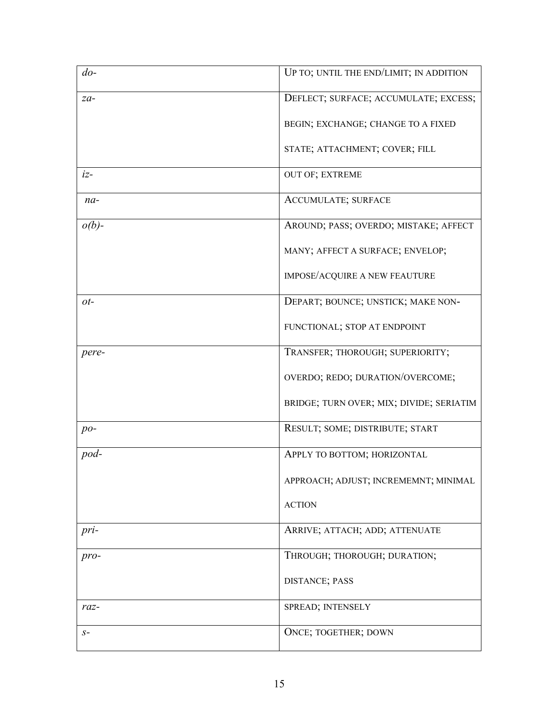| $d_{0}$ - | UP TO; UNTIL THE END/LIMIT; IN ADDITION  |
|-----------|------------------------------------------|
| $za-$     | DEFLECT; SURFACE; ACCUMULATE; EXCESS;    |
|           | BEGIN; EXCHANGE; CHANGE TO A FIXED       |
|           | STATE; ATTACHMENT; COVER; FILL           |
| $iz-$     | OUT OF; EXTREME                          |
| $na-$     | <b>ACCUMULATE; SURFACE</b>               |
| $o(b)$ -  | AROUND; PASS; OVERDO; MISTAKE; AFFECT    |
|           | MANY; AFFECT A SURFACE; ENVELOP;         |
|           | IMPOSE/ACQUIRE A NEW FEAUTURE            |
| ot-       | DEPART; BOUNCE; UNSTICK; MAKE NON-       |
|           | FUNCTIONAL; STOP AT ENDPOINT             |
| pere-     | TRANSFER; THOROUGH; SUPERIORITY;         |
|           | OVERDO; REDO; DURATION/OVERCOME;         |
|           | BRIDGE; TURN OVER; MIX; DIVIDE; SERIATIM |
| $po-$     | RESULT; SOME; DISTRIBUTE; START          |
| pod-      | APPLY TO BOTTOM; HORIZONTAL              |
|           | APPROACH; ADJUST; INCREMEMNT; MINIMAL    |
|           | <b>ACTION</b>                            |
| pri-      | ARRIVE; ATTACH; ADD; ATTENUATE           |
| pro-      | THROUGH; THOROUGH; DURATION;             |
|           | DISTANCE; PASS                           |
| $raz-$    | SPREAD; INTENSELY                        |
| $S-$      | ONCE; TOGETHER; DOWN                     |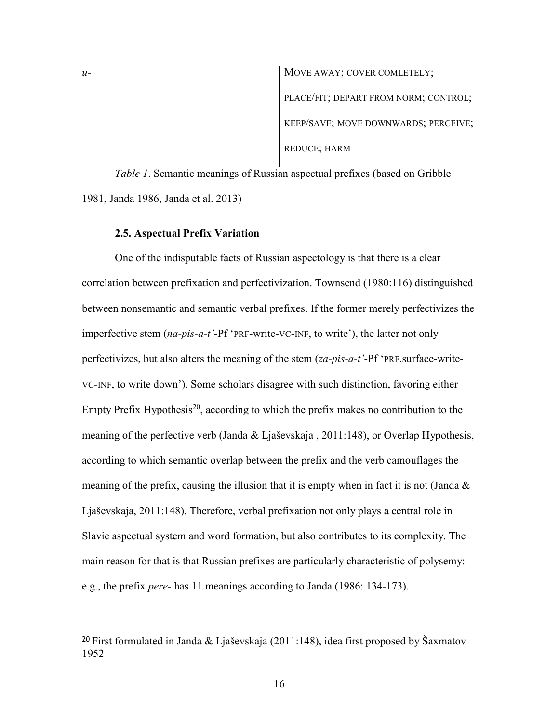| $u-$ | MOVE AWAY; COVER COMLETELY;           |
|------|---------------------------------------|
|      | PLACE/FIT; DEPART FROM NORM; CONTROL; |
|      | KEEP/SAVE; MOVE DOWNWARDS; PERCEIVE;  |
|      | REDUCE; HARM                          |

*Table 1*. Semantic meanings of Russian aspectual prefixes (based on Gribble 1981, Janda 1986, Janda et al. 2013)

#### **2.5. Aspectual Prefix Variation**

One of the indisputable facts of Russian aspectology is that there is a clear correlation between prefixation and perfectivization. Townsend (1980:116) distinguished between nonsemantic and semantic verbal prefixes. If the former merely perfectivizes the imperfective stem (*na-pis-a-t'*-Pf 'PRF-write-VC-INF, to write'), the latter not only perfectivizes, but also alters the meaning of the stem (*za-pis-a-t'*-Pf 'PRF.surface-write-VC-INF, to write down'). Some scholars disagree with such distinction, favoring either Empty Prefix Hypothesis<sup>20</sup>, according to which the prefix makes no contribution to the meaning of the perfective verb (Janda & Ljaševskaja , 2011:148), or Overlap Hypothesis, according to which semantic overlap between the prefix and the verb camouflages the meaning of the prefix, causing the illusion that it is empty when in fact it is not (Janda & Ljaševskaja, 2011:148). Therefore, verbal prefixation not only plays a central role in Slavic aspectual system and word formation, but also contributes to its complexity. The main reason for that is that Russian prefixes are particularly characteristic of polysemy: e.g., the prefix *pere-* has 11 meanings according to Janda (1986: 134-173).

<sup>20</sup>First formulated in Janda & Ljaševskaja (2011:148), idea first proposed by Šaxmatov 1952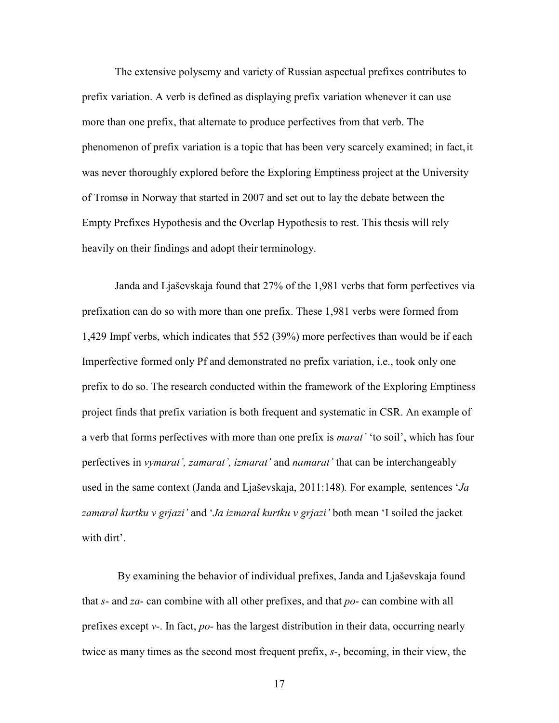The extensive polysemy and variety of Russian aspectual prefixes contributes to prefix variation. A verb is defined as displaying prefix variation whenever it can use more than one prefix, that alternate to produce perfectives from that verb. The phenomenon of prefix variation is a topic that has been very scarcely examined; in fact, it was never thoroughly explored before the Exploring Emptiness project at the University of Tromsø in Norway that started in 2007 and set out to lay the debate between the Empty Prefixes Hypothesis and the Overlap Hypothesis to rest. This thesis will rely heavily on their findings and adopt their terminology.

Janda and Ljaševskaja found that 27% of the 1,981 verbs that form perfectives via prefixation can do so with more than one prefix. These 1,981 verbs were formed from 1,429 Impf verbs, which indicates that 552 (39%) more perfectives than would be if each Imperfective formed only Pf and demonstrated no prefix variation, i.e., took only one prefix to do so. The research conducted within the framework of the Exploring Emptiness project finds that prefix variation is both frequent and systematic in CSR. An example of a verb that forms perfectives with more than one prefix is *marat'* 'to soil', which has four perfectives in *vymarat', zamarat', izmarat'* and *namarat'* that can be interchangeably used in the same context (Janda and Ljaševskaja, 2011:148)*.* For example*,* sentences '*Ja zamaral kurtku v grjazi'* and '*Ja izmaral kurtku v grjazi'* both mean 'I soiled the jacket with dirt'.

By examining the behavior of individual prefixes, Janda and Ljaševskaja found that *s*- and *za*- can combine with all other prefixes, and that *po*- can combine with all prefixes except *v-*. In fact, *po-* has the largest distribution in their data, occurring nearly twice as many times as the second most frequent prefix, *s-*, becoming, in their view, the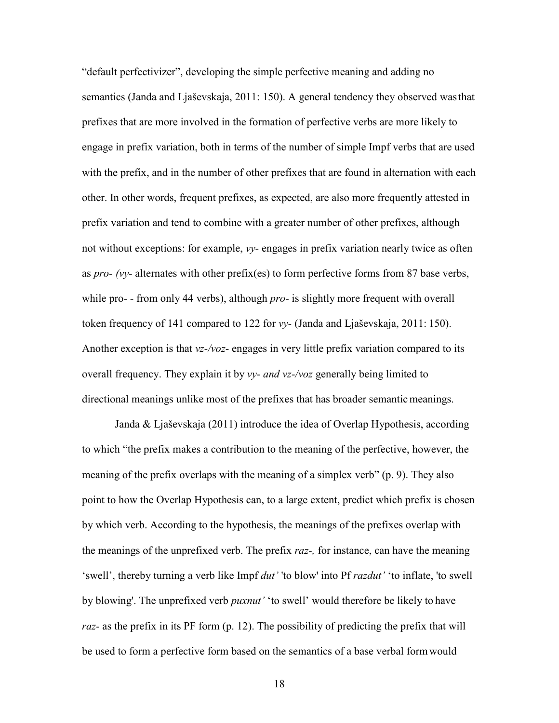"default perfectivizer", developing the simple perfective meaning and adding no semantics (Janda and Ljaševskaja, 2011: 150). A general tendency they observed was that prefixes that are more involved in the formation of perfective verbs are more likely to engage in prefix variation, both in terms of the number of simple Impf verbs that are used with the prefix, and in the number of other prefixes that are found in alternation with each other. In other words, frequent prefixes, as expected, are also more frequently attested in prefix variation and tend to combine with a greater number of other prefixes, although not without exceptions: for example, *vy-* engages in prefix variation nearly twice as often as *pro- (vy-* alternates with other prefix(es) to form perfective forms from 87 base verbs, while pro- - from only 44 verbs), although *pro*- is slightly more frequent with overall token frequency of 141 compared to 122 for *vy-* (Janda and Ljaševskaja, 2011: 150). Another exception is that *vz-/voz*- engages in very little prefix variation compared to its overall frequency. They explain it by *vy- and vz-/voz* generally being limited to directional meanings unlike most of the prefixes that has broader semantic meanings.

Janda & Ljaševskaja (2011) introduce the idea of Overlap Hypothesis, according to which "the prefix makes a contribution to the meaning of the perfective, however, the meaning of the prefix overlaps with the meaning of a simplex verb" (p. 9). They also point to how the Overlap Hypothesis can, to a large extent, predict which prefix is chosen by which verb. According to the hypothesis, the meanings of the prefixes overlap with the meanings of the unprefixed verb. The prefix *raz-,* for instance, can have the meaning 'swell', thereby turning a verb like Impf *dut'* 'to blow' into Pf *razdut'* 'to inflate, 'to swell by blowing'. The unprefixed verb *puxnut'* 'to swell' would therefore be likely to have *raz-* as the prefix in its PF form (p. 12). The possibility of predicting the prefix that will be used to form a perfective form based on the semantics of a base verbal form would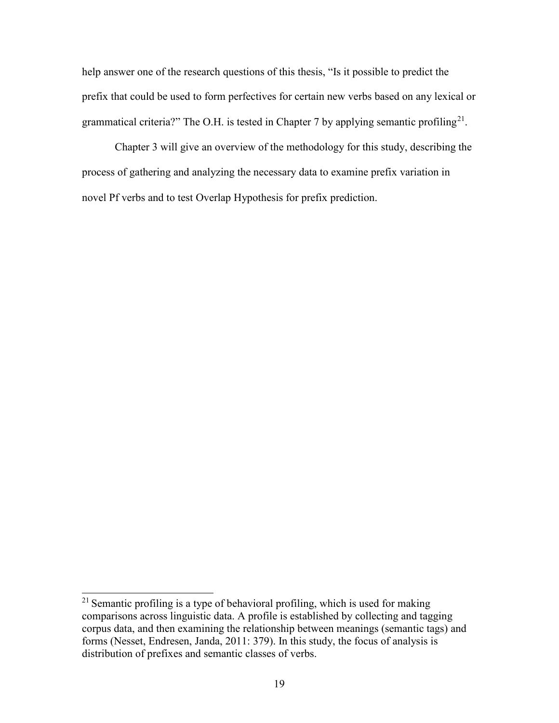help answer one of the research questions of this thesis, "Is it possible to predict the prefix that could be used to form perfectives for certain new verbs based on any lexical or grammatical criteria?" The O.H. is tested in Chapter 7 by applying semantic profiling<sup>21</sup>.

Chapter 3 will give an overview of the methodology for this study, describing the process of gathering and analyzing the necessary data to examine prefix variation in novel Pf verbs and to test Overlap Hypothesis for prefix prediction.

<sup>&</sup>lt;sup>21</sup> Semantic profiling is a type of behavioral profiling, which is used for making comparisons across linguistic data. A profile is established by collecting and tagging corpus data, and then examining the relationship between meanings (semantic tags) and forms (Nesset, Endresen, Janda, 2011: 379). In this study, the focus of analysis is distribution of prefixes and semantic classes of verbs.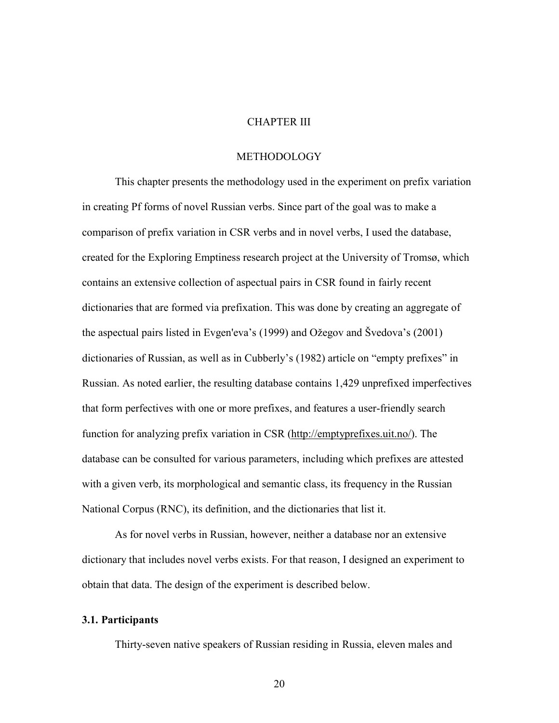# CHAPTER III

## METHODOLOGY

This chapter presents the methodology used in the experiment on prefix variation in creating Pf forms of novel Russian verbs. Since part of the goal was to make a comparison of prefix variation in CSR verbs and in novel verbs, I used the database, created for the Exploring Emptiness research project at the University of Tromsø, which contains an extensive collection of aspectual pairs in CSR found in fairly recent dictionaries that are formed via prefixation. This was done by creating an aggregate of the aspectual pairs listed in Evgen'eva's (1999) and Ožegov and Švedova's (2001) dictionaries of Russian, as well as in Cubberly's (1982) article on "empty prefixes" in Russian. As noted earlier, the resulting database contains 1,429 unprefixed imperfectives that form perfectives with one or more prefixes, and features a user-friendly search function for analyzing prefix variation in CSR (http://emptyprefixes.uit.no/). The database can be consulted for various parameters, including which prefixes are attested with a given verb, its morphological and semantic class, its frequency in the Russian National Corpus (RNC), its definition, and the dictionaries that list it.

As for novel verbs in Russian, however, neither a database nor an extensive dictionary that includes novel verbs exists. For that reason, I designed an experiment to obtain that data. The design of the experiment is described below.

#### **3.1. Participants**

Thirty-seven native speakers of Russian residing in Russia, eleven males and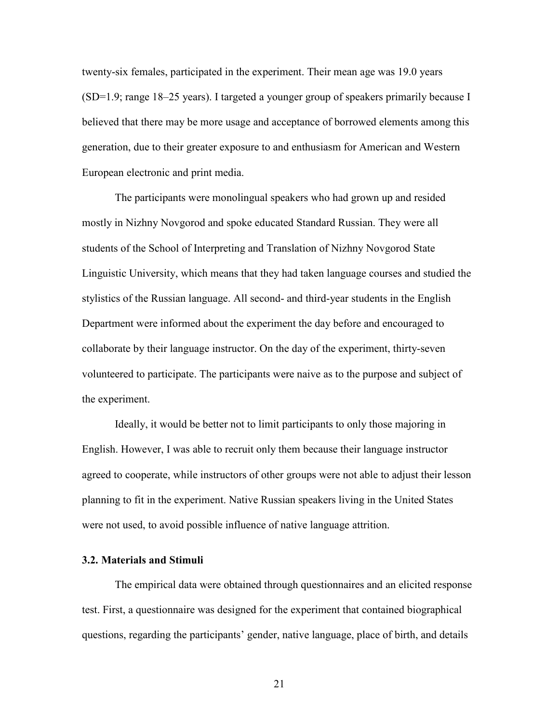twenty-six females, participated in the experiment. Their mean age was 19.0 years (SD=1.9; range 18–25 years). I targeted a younger group of speakers primarily because I believed that there may be more usage and acceptance of borrowed elements among this generation, due to their greater exposure to and enthusiasm for American and Western European electronic and print media.

The participants were monolingual speakers who had grown up and resided mostly in Nizhny Novgorod and spoke educated Standard Russian. They were all students of the School of Interpreting and Translation of Nizhny Novgorod State Linguistic University, which means that they had taken language courses and studied the stylistics of the Russian language. All second- and third-year students in the English Department were informed about the experiment the day before and encouraged to collaborate by their language instructor. On the day of the experiment, thirty-seven volunteered to participate. The participants were naive as to the purpose and subject of the experiment.

Ideally, it would be better not to limit participants to only those majoring in English. However, I was able to recruit only them because their language instructor agreed to cooperate, while instructors of other groups were not able to adjust their lesson planning to fit in the experiment. Native Russian speakers living in the United States were not used, to avoid possible influence of native language attrition.

## **3.2. Materials and Stimuli**

The empirical data were obtained through questionnaires and an elicited response test. First, a questionnaire was designed for the experiment that contained biographical questions, regarding the participants' gender, native language, place of birth, and details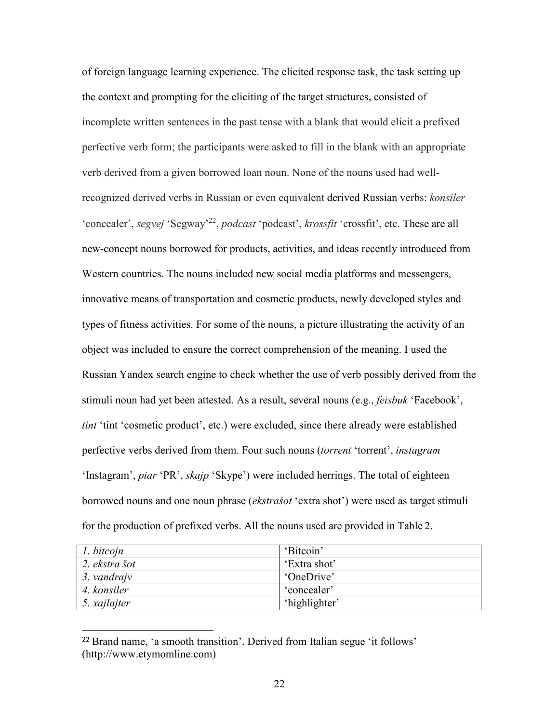of foreign language learning experience. The elicited response task, the task setting up the context and prompting for the eliciting of the target structures, consisted of incomplete written sentences in the past tense with a blank that would elicit a prefixed perfective verb form; the participants were asked to fill in the blank with an appropriate verb derived from a given borrowed loan noun. None of the nouns used had wellrecognized derived verbs in Russian or even equivalent derived Russian verbs: *konsiler*  'concealer', *segvej* 'Segway'<sup>22</sup>, *podcast* 'podcast', *krossfit* 'crossfit', etc. These are all new-concept nouns borrowed for products, activities, and ideas recently introduced from Western countries. The nouns included new social media platforms and messengers, innovative means of transportation and cosmetic products, newly developed styles and types of fitness activities. For some of the nouns, a picture illustrating the activity of an object was included to ensure the correct comprehension of the meaning. I used the Russian Yandex search engine to check whether the use of verb possibly derived from the stimuli noun had yet been attested. As a result, several nouns (e.g., *feisbuk* 'Facebook', *tint* 'tint 'cosmetic product', etc.) were excluded, since there already were established perfective verbs derived from them. Four such nouns (*torrent* 'torrent', *instagram*  'Instagram', *piar* 'PR', *skajp* 'Skype') were included herrings. The total of eighteen borrowed nouns and one noun phrase (*ekstrašot* 'extra shot') were used as target stimuli for the production of prefixed verbs. All the nouns used are provided in Table 2.

| 1. bitcojn    | 'Bitcoin'     |
|---------------|---------------|
| 2. ekstra šot | 'Extra shot'  |
| 3. vandrajv   | 'OneDrive'    |
| 4. konsiler   | 'concealer'   |
| 5. xajlajter  | 'highlighter' |

<sup>22</sup>Brand name, 'a smooth transition'. Derived from Italian segue 'it follows' (http://www.etymomline.com)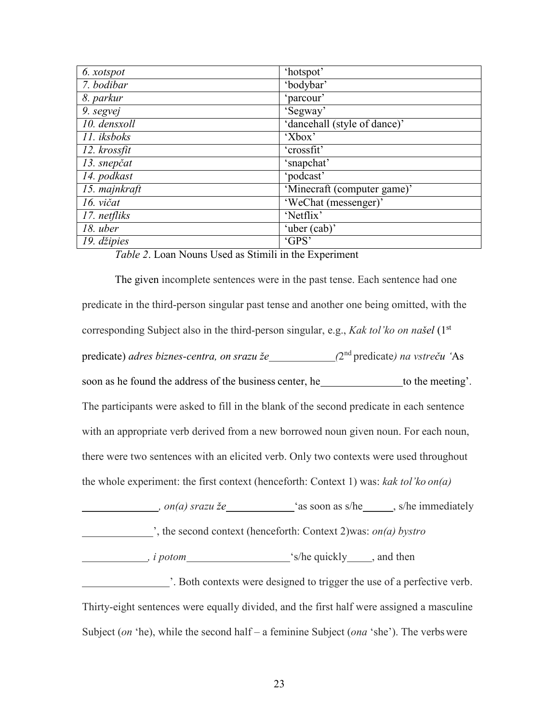| 6. xotspot    | 'hotspot'                    |
|---------------|------------------------------|
| 7. bodibar    | 'bodybar'                    |
| 8. parkur     | 'parcour'                    |
| 9. segvej     | 'Segway'                     |
| 10. densxoll  | 'dancehall (style of dance)' |
| 11. iksboks   | 'Xbox'                       |
| 12. krossfit  | 'crossfit'                   |
| 13. snepčat   | 'snapchat'                   |
| 14. podkast   | 'podcast'                    |
| 15. majnkraft | 'Minecraft (computer game)'  |
| 16. vičat     | 'WeChat (messenger)'         |
| 17. netfliks  | 'Netflix'                    |
| $18.$ uber    | 'uber (cab)'                 |
| 19. džipies   | 'GPS'                        |

#### *Table 2*. Loan Nouns Used as Stimili in the Experiment

The given incomplete sentences were in the past tense. Each sentence had one predicate in the third-person singular past tense and another one being omitted, with the corresponding Subject also in the third-person singular, e.g., *Kak tol'ko on našel* (1st predicate) *adres biznes-centra, on srazu že (2<sup>nd</sup> predicate) na vstreču* 'As soon as he found the address of the business center, he to the meeting'. The participants were asked to fill in the blank of the second predicate in each sentence with an appropriate verb derived from a new borrowed noun given noun. For each noun, there were two sentences with an elicited verb. Only two contexts were used throughout the whole experiment: the first context (henceforth: Context 1) was: *kak tol'ko on(a)*

*on(a) srazu že* **(a)** as soon as s/he , s/he immediately ', the second context (henceforth: Context 2)was: *on(a) bystro*

*i potom i potom*  $\frac{1}{2}$  *s/he quickly , and then* 

 '. Both contexts were designed to trigger the use of a perfective verb. Thirty-eight sentences were equally divided, and the first half were assigned a masculine Subject (*on* 'he), while the second half – a feminine Subject (*ona* 'she'). The verbs were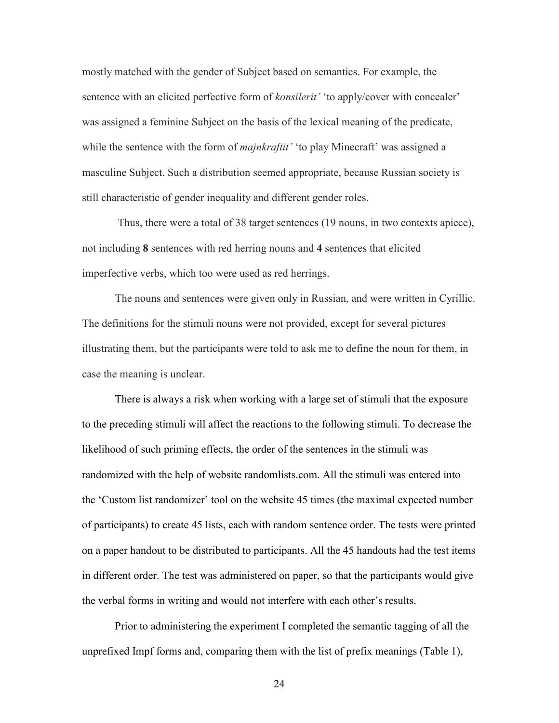mostly matched with the gender of Subject based on semantics. For example, the sentence with an elicited perfective form of *konsilerit'* 'to apply/cover with concealer' was assigned a feminine Subject on the basis of the lexical meaning of the predicate, while the sentence with the form of *majnkraftit'* 'to play Minecraft' was assigned a masculine Subject. Such a distribution seemed appropriate, because Russian society is still characteristic of gender inequality and different gender roles.

Thus, there were a total of 38 target sentences (19 nouns, in two contexts apiece), not including **8** sentences with red herring nouns and **4** sentences that elicited imperfective verbs, which too were used as red herrings.

The nouns and sentences were given only in Russian, and were written in Cyrillic. The definitions for the stimuli nouns were not provided, except for several pictures illustrating them, but the participants were told to ask me to define the noun for them, in case the meaning is unclear.

There is always a risk when working with a large set of stimuli that the exposure to the preceding stimuli will affect the reactions to the following stimuli. To decrease the likelihood of such priming effects, the order of the sentences in the stimuli was randomized with the help of website randomlists.com. All the stimuli was entered into the 'Custom list randomizer' tool on the website 45 times (the maximal expected number of participants) to create 45 lists, each with random sentence order. The tests were printed on a paper handout to be distributed to participants. All the 45 handouts had the test items in different order. The test was administered on paper, so that the participants would give the verbal forms in writing and would not interfere with each other's results.

Prior to administering the experiment I completed the semantic tagging of all the unprefixed Impf forms and, comparing them with the list of prefix meanings (Table 1),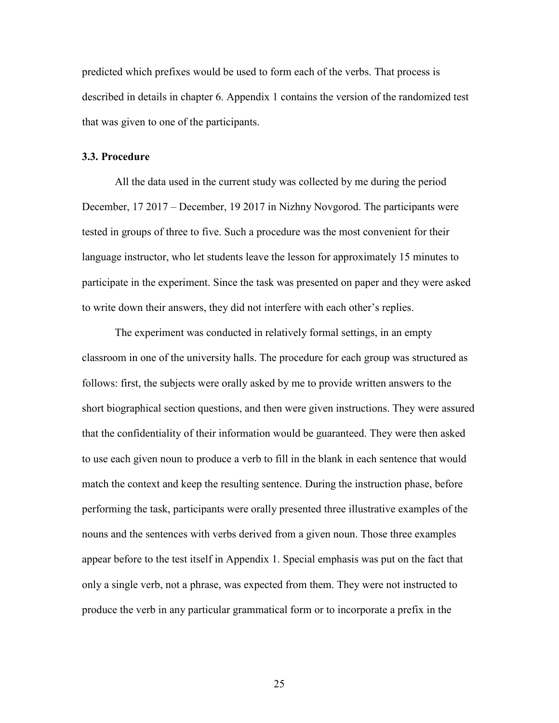predicted which prefixes would be used to form each of the verbs. That process is described in details in chapter 6. Appendix 1 contains the version of the randomized test that was given to one of the participants.

#### **3.3. Procedure**

All the data used in the current study was collected by me during the period December, 17 2017 – December, 19 2017 in Nizhny Novgorod. The participants were tested in groups of three to five. Such a procedure was the most convenient for their language instructor, who let students leave the lesson for approximately 15 minutes to participate in the experiment. Since the task was presented on paper and they were asked to write down their answers, they did not interfere with each other's replies.

The experiment was conducted in relatively formal settings, in an empty classroom in one of the university halls. The procedure for each group was structured as follows: first, the subjects were orally asked by me to provide written answers to the short biographical section questions, and then were given instructions. They were assured that the confidentiality of their information would be guaranteed. They were then asked to use each given noun to produce a verb to fill in the blank in each sentence that would match the context and keep the resulting sentence. During the instruction phase, before performing the task, participants were orally presented three illustrative examples of the nouns and the sentences with verbs derived from a given noun. Those three examples appear before to the test itself in Appendix 1. Special emphasis was put on the fact that only a single verb, not a phrase, was expected from them. They were not instructed to produce the verb in any particular grammatical form or to incorporate a prefix in the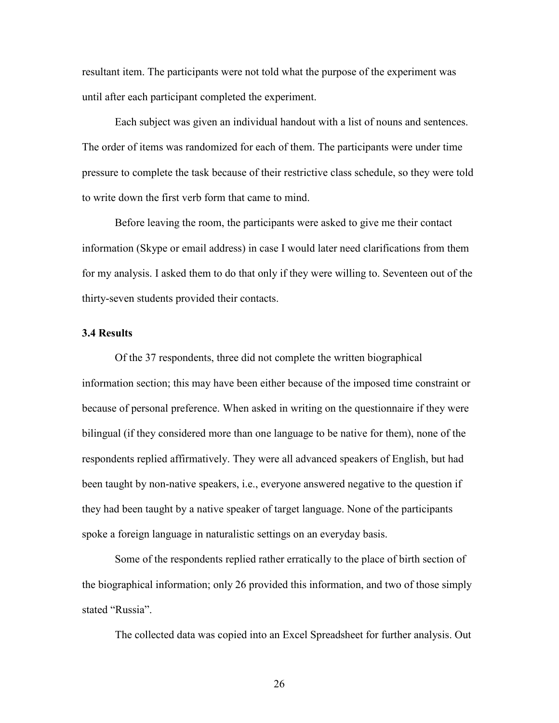resultant item. The participants were not told what the purpose of the experiment was until after each participant completed the experiment.

Each subject was given an individual handout with a list of nouns and sentences. The order of items was randomized for each of them. The participants were under time pressure to complete the task because of their restrictive class schedule, so they were told to write down the first verb form that came to mind.

Before leaving the room, the participants were asked to give me their contact information (Skype or email address) in case I would later need clarifications from them for my analysis. I asked them to do that only if they were willing to. Seventeen out of the thirty-seven students provided their contacts.

## **3.4 Results**

Of the 37 respondents, three did not complete the written biographical information section; this may have been either because of the imposed time constraint or because of personal preference. When asked in writing on the questionnaire if they were bilingual (if they considered more than one language to be native for them), none of the respondents replied affirmatively. They were all advanced speakers of English, but had been taught by non-native speakers, i.e., everyone answered negative to the question if they had been taught by a native speaker of target language. None of the participants spoke a foreign language in naturalistic settings on an everyday basis.

Some of the respondents replied rather erratically to the place of birth section of the biographical information; only 26 provided this information, and two of those simply stated "Russia".

The collected data was copied into an Excel Spreadsheet for further analysis. Out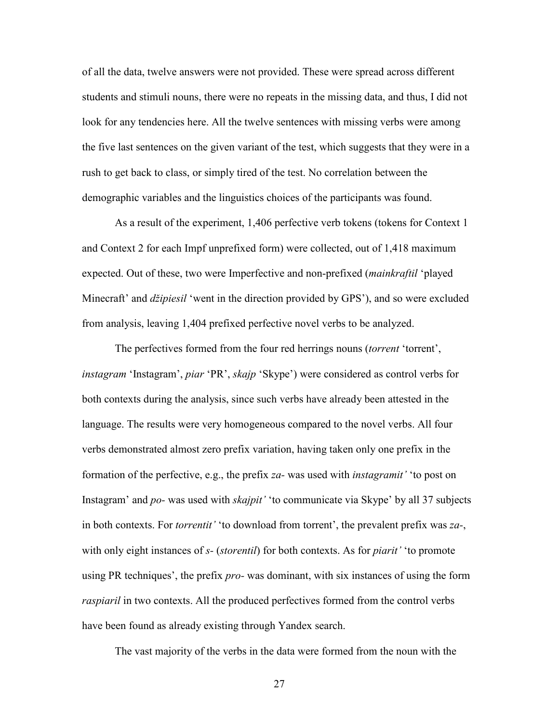of all the data, twelve answers were not provided. These were spread across different students and stimuli nouns, there were no repeats in the missing data, and thus, I did not look for any tendencies here. All the twelve sentences with missing verbs were among the five last sentences on the given variant of the test, which suggests that they were in a rush to get back to class, or simply tired of the test. No correlation between the demographic variables and the linguistics choices of the participants was found.

As a result of the experiment, 1,406 perfective verb tokens (tokens for Context 1 and Context 2 for each Impf unprefixed form) were collected, out of 1,418 maximum expected. Out of these, two were Imperfective and non-prefixed (*mainkraftil* 'played Minecraft' and *džipiesil* 'went in the direction provided by GPS'), and so were excluded from analysis, leaving 1,404 prefixed perfective novel verbs to be analyzed.

The perfectives formed from the four red herrings nouns (*torrent* 'torrent', *instagram* 'Instagram', *piar* 'PR', *skajp* 'Skype') were considered as control verbs for both contexts during the analysis, since such verbs have already been attested in the language. The results were very homogeneous compared to the novel verbs. All four verbs demonstrated almost zero prefix variation, having taken only one prefix in the formation of the perfective, e.g., the prefix *za-* was used with *instagramit'* 'to post on Instagram' and *po-* was used with *skajpit'* 'to communicate via Skype' by all 37 subjects in both contexts. For *torrentit'* 'to download from torrent', the prevalent prefix was *za-*, with only eight instances of *s-* (*storentil*) for both contexts. As for *piarit'* 'to promote using PR techniques', the prefix *pro-* was dominant, with six instances of using the form *raspiaril* in two contexts. All the produced perfectives formed from the control verbs have been found as already existing through Yandex search.

The vast majority of the verbs in the data were formed from the noun with the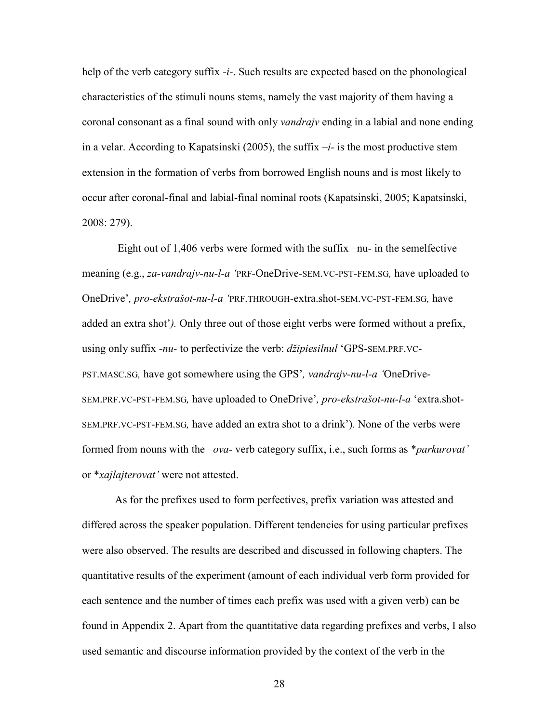help of the verb category suffix *-i-*. Such results are expected based on the phonological characteristics of the stimuli nouns stems, namely the vast majority of them having a coronal consonant as a final sound with only *vandrajv* ending in a labial and none ending in a velar. According to Kapatsinski (2005), the suffix *–i-* is the most productive stem extension in the formation of verbs from borrowed English nouns and is most likely to occur after coronal-final and labial-final nominal roots (Kapatsinski, 2005; Kapatsinski, 2008: 279).

Eight out of 1,406 verbs were formed with the suffix –nu- in the semelfective meaning (e.g., *za-vandrajv-nu-l-a '*PRF-OneDrive-SEM.VC-PST-FEM.SG*,* have uploaded to OneDrive'*, pro-ekstrašot-nu-l-a '*PRF.THROUGH-extra.shot-SEM.VC-PST-FEM.SG*,* have added an extra shot'*).* Only three out of those eight verbs were formed without a prefix, using only suffix *-nu-* to perfectivize the verb: *džipiesilnul* 'GPS-SEM.PRF.VC-PST.MASC.SG*,* have got somewhere using the GPS'*, vandrajv-nu-l-a '*OneDrive-SEM.PRF.VC-PST-FEM.SG*,* have uploaded to OneDrive'*, pro-ekstrašot-nu-l-a* 'extra.shot-SEM.PRF.VC-PST-FEM.SG*,* have added an extra shot to a drink')*.* None of the verbs were formed from nouns with the *–ova-* verb category suffix, i.e., such forms as \**parkurovat'*  or \**xajlajterovat'* were not attested.

As for the prefixes used to form perfectives, prefix variation was attested and differed across the speaker population. Different tendencies for using particular prefixes were also observed. The results are described and discussed in following chapters. The quantitative results of the experiment (amount of each individual verb form provided for each sentence and the number of times each prefix was used with a given verb) can be found in Appendix 2. Apart from the quantitative data regarding prefixes and verbs, I also used semantic and discourse information provided by the context of the verb in the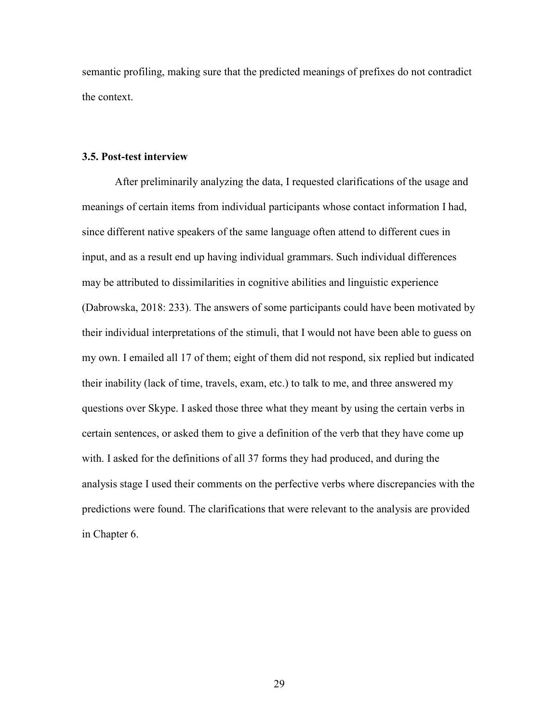semantic profiling, making sure that the predicted meanings of prefixes do not contradict the context.

## **3.5. Post-test interview**

After preliminarily analyzing the data, I requested clarifications of the usage and meanings of certain items from individual participants whose contact information I had, since different native speakers of the same language often attend to different cues in input, and as a result end up having individual grammars. Such individual differences may be attributed to dissimilarities in cognitive abilities and linguistic experience (Dabrowska, 2018: 233). The answers of some participants could have been motivated by their individual interpretations of the stimuli, that I would not have been able to guess on my own. I emailed all 17 of them; eight of them did not respond, six replied but indicated their inability (lack of time, travels, exam, etc.) to talk to me, and three answered my questions over Skype. I asked those three what they meant by using the certain verbs in certain sentences, or asked them to give a definition of the verb that they have come up with. I asked for the definitions of all 37 forms they had produced, and during the analysis stage I used their comments on the perfective verbs where discrepancies with the predictions were found. The clarifications that were relevant to the analysis are provided in Chapter 6.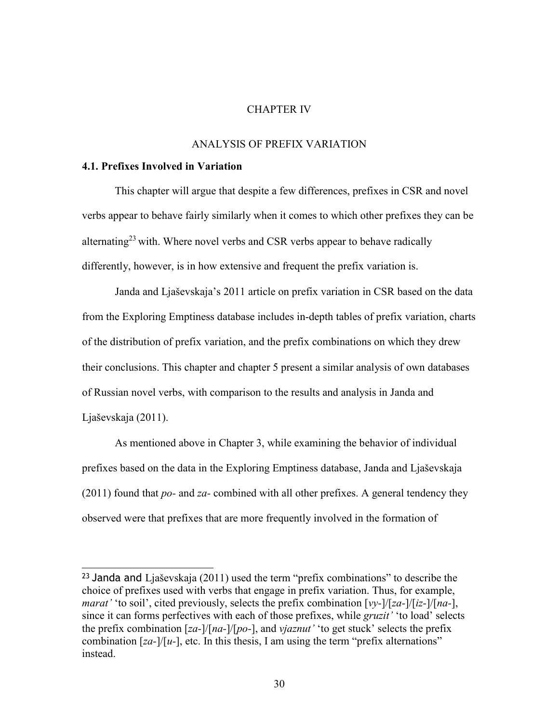#### CHAPTER IV

#### ANALYSIS OF PREFIX VARIATION

## **4.1. Prefixes Involved in Variation**

This chapter will argue that despite a few differences, prefixes in CSR and novel verbs appear to behave fairly similarly when it comes to which other prefixes they can be alternating<sup>23</sup> with. Where novel verbs and CSR verbs appear to behave radically differently, however, is in how extensive and frequent the prefix variation is.

Janda and Ljaševskaja's 2011 article on prefix variation in CSR based on the data from the Exploring Emptiness database includes in-depth tables of prefix variation, charts of the distribution of prefix variation, and the prefix combinations on which they drew their conclusions. This chapter and chapter 5 present a similar analysis of own databases of Russian novel verbs, with comparison to the results and analysis in Janda and Ljaševskaja (2011).

As mentioned above in Chapter 3, while examining the behavior of individual prefixes based on the data in the Exploring Emptiness database, Janda and Ljaševskaja (2011) found that *po-* and *za-* combined with all other prefixes. A general tendency they observed were that prefixes that are more frequently involved in the formation of

<sup>&</sup>lt;sup>23</sup> Janda and Ljaševskaja (2011) used the term "prefix combinations" to describe the choice of prefixes used with verbs that engage in prefix variation. Thus, for example, *marat'* 'to soil', cited previously, selects the prefix combination [*vy-*]/[*za-*]/[*iz-*]/[*na-*], since it can forms perfectives with each of those prefixes, while *gruzit'* 'to load' selects the prefix combination [*za-*]/[*na-*]/[*po-*], and *vjaznut'* 'to get stuck' selects the prefix combination [*za-*]/[*u-*], etc. In this thesis, I am using the term "prefix alternations" instead.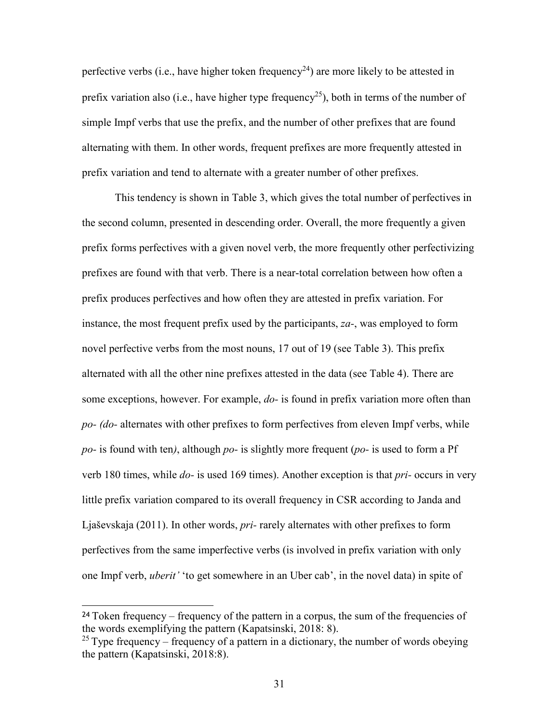perfective verbs (i.e., have higher token frequency<sup>24</sup>) are more likely to be attested in prefix variation also (i.e., have higher type frequency<sup>25</sup>), both in terms of the number of simple Impf verbs that use the prefix, and the number of other prefixes that are found alternating with them. In other words, frequent prefixes are more frequently attested in prefix variation and tend to alternate with a greater number of other prefixes.

This tendency is shown in Table 3, which gives the total number of perfectives in the second column, presented in descending order. Overall, the more frequently a given prefix forms perfectives with a given novel verb, the more frequently other perfectivizing prefixes are found with that verb. There is a near-total correlation between how often a prefix produces perfectives and how often they are attested in prefix variation. For instance, the most frequent prefix used by the participants, *za-*, was employed to form novel perfective verbs from the most nouns, 17 out of 19 (see Table 3). This prefix alternated with all the other nine prefixes attested in the data (see Table 4). There are some exceptions, however. For example, *do-* is found in prefix variation more often than *po- (do-* alternates with other prefixes to form perfectives from eleven Impf verbs, while *po-* is found with ten*)*, although *po-* is slightly more frequent (*po-* is used to form a Pf verb 180 times, while *do-* is used 169 times). Another exception is that *pri-* occurs in very little prefix variation compared to its overall frequency in CSR according to Janda and Ljaševskaja (2011). In other words, *pri-* rarely alternates with other prefixes to form perfectives from the same imperfective verbs (is involved in prefix variation with only one Impf verb, *uberit'* 'to get somewhere in an Uber cab', in the novel data) in spite of

<sup>&</sup>lt;sup>24</sup> Token frequency – frequency of the pattern in a corpus, the sum of the frequencies of the words exemplifying the pattern (Kapatsinski, 2018: 8).

<sup>&</sup>lt;sup>25</sup> Type frequency – frequency of a pattern in a dictionary, the number of words obeying the pattern (Kapatsinski, 2018:8).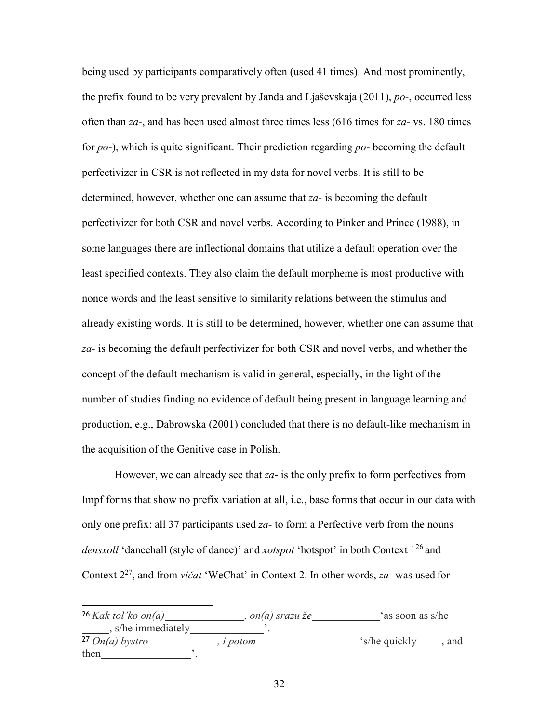being used by participants comparatively often (used 41 times). And most prominently, the prefix found to be very prevalent by Janda and Ljaševskaja (2011), *po-*, occurred less often than *za-*, and has been used almost three times less (616 times for *za-* vs. 180 times for *po-*), which is quite significant. Their prediction regarding *po-* becoming the default perfectivizer in CSR is not reflected in my data for novel verbs. It is still to be determined, however, whether one can assume that *za-* is becoming the default perfectivizer for both CSR and novel verbs. According to Pinker and Prince (1988), in some languages there are inflectional domains that utilize a default operation over the least specified contexts. They also claim the default morpheme is most productive with nonce words and the least sensitive to similarity relations between the stimulus and already existing words. It is still to be determined, however, whether one can assume that *za-* is becoming the default perfectivizer for both CSR and novel verbs, and whether the concept of the default mechanism is valid in general, especially, in the light of the number of studies finding no evidence of default being present in language learning and production, e.g., Dabrowska (2001) concluded that there is no default-like mechanism in the acquisition of the Genitive case in Polish.

However, we can already see that *za*- is the only prefix to form perfectives from Impf forms that show no prefix variation at all, i.e., base forms that occur in our data with only one prefix: all 37 participants used *za-* to form a Perfective verb from the nouns *densxoll* 'dancehall (style of dance)' and *xotspot* 'hotspot' in both Context 1<sup>26</sup> and Context 2<sup>27</sup>, and from *vičat* 'WeChat' in Context 2. In other words, *za-* was used for

<sup>26</sup>*Kak tol'ko on(a) , on(a) srazu že* 'as soon as s/he  $\frac{1}{\sqrt{2}}$ , s/he immediately  $\frac{1}{\sqrt{2}}$ . <sup>27</sup>*On(a) bystro , i potom* 's/he quickly , and then  $\blacksquare$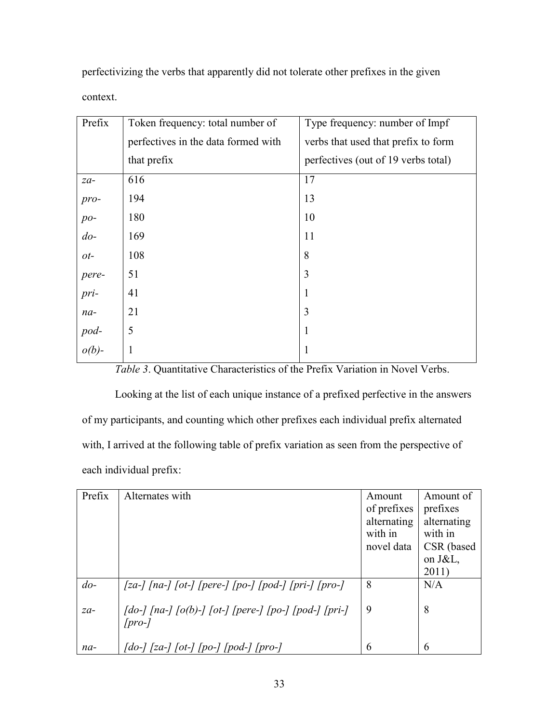perfectivizing the verbs that apparently did not tolerate other prefixes in the given

context.

| Prefix             | Token frequency: total number of    | Type frequency: number of Impf      |
|--------------------|-------------------------------------|-------------------------------------|
|                    | perfectives in the data formed with | verbs that used that prefix to form |
|                    | that prefix                         | perfectives (out of 19 verbs total) |
| $za-$              | 616                                 | 17                                  |
| pro-               | 194                                 | 13                                  |
| $po-$              | 180                                 | 10                                  |
| $do-$              | 169                                 | 11                                  |
| $ot$ -             | 108                                 | 8                                   |
| pere-              | 51                                  | 3                                   |
| pri-               | 41                                  | 1                                   |
| $na-$              | 21                                  | 3                                   |
|                    | 5                                   | 1                                   |
| $pod-$<br>$o(b)$ - | $\mathbf{1}$                        | 1                                   |

*Table 3*. Quantitative Characteristics of the Prefix Variation in Novel Verbs.

Looking at the list of each unique instance of a prefixed perfective in the answers of my participants, and counting which other prefixes each individual prefix alternated with, I arrived at the following table of prefix variation as seen from the perspective of each individual prefix:

| Prefix    | Alternates with                                                                            | Amount      | Amount of   |
|-----------|--------------------------------------------------------------------------------------------|-------------|-------------|
|           |                                                                                            | of prefixes | prefixes    |
|           |                                                                                            | alternating | alternating |
|           |                                                                                            | with in     | with in     |
|           |                                                                                            | novel data  | CSR (based  |
|           |                                                                                            |             | on J&L,     |
|           |                                                                                            |             | 2011)       |
| $d_{0}$ - | [za-] [na-] [ot-] [pere-] [po-] [pod-] [pri-] [pro-]                                       | 8           | N/A         |
| $za-$     | $[do-]$ [na-] $[o(b)-]$ [ot-] [pere-] [po-] [pod-] [pri-]                                  | 9           | 8           |
|           | $[pro-]$                                                                                   |             |             |
|           |                                                                                            |             |             |
| $na-$     | $\int$ do- $\int$ $\int$ $[za \int$ $\int$ $[po \int$ $\int$ $[po \int$ $\int$ $[pro \int$ | 6           | 6           |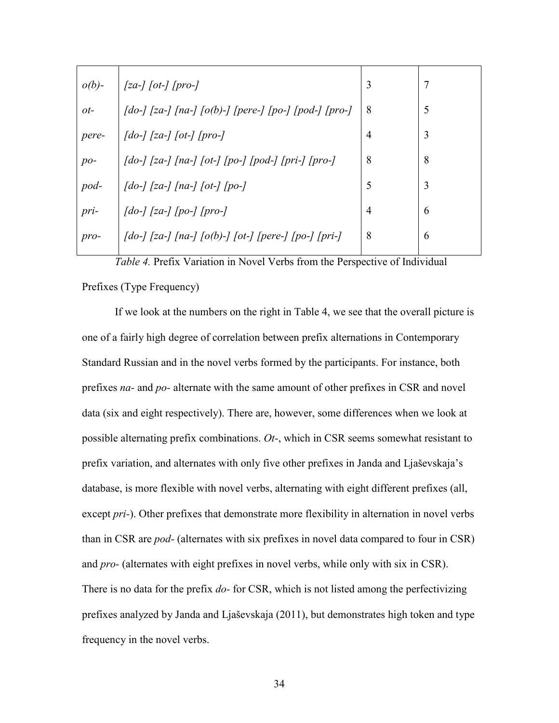| $o(b)$ -       | $\lceil za-1 \rceil$ [pro-]                                                                                                   | 3 | 7 |
|----------------|-------------------------------------------------------------------------------------------------------------------------------|---|---|
| 0 <sup>t</sup> | $\lceil$ do- $\rceil$ [za-] $\lceil$ na- $\rceil$ $\lceil$ o(b)- $\rceil$ [pere-] $\lceil$ po- $\rceil$ [pod-] $\lceil$ pro-] | 8 | 5 |
| pere-          |                                                                                                                               | 4 | 3 |
| $po-$          | $\int$ do- $\int$ [za- $\int$ [na- $\int$ [ot- $\int$ [po- $\int$ [pod- $\int$ [pri- $\int$ [pro-]                            | 8 | 8 |
| pod-           | $\int$ do- $\int$ $[za \int$ $[na \int$ $[ot \int$ $[po \int$                                                                 | 5 | 3 |
| pri-           | $\int$ do- $\int$ $\int$ $[za \int$ $[po \int$ $\int$ $pro \int$                                                              | 4 | 6 |
| $pro-$         | $\int$ do- $\int$ [za- $\int$ [na- $\int$ [o(b)- $\int$ [ot- $\int$ [pere- $\int$ [po- $\int$ [pri-]                          | 8 | 6 |
|                |                                                                                                                               |   |   |

*Table 4.* Prefix Variation in Novel Verbs from the Perspective of Individual Prefixes (Type Frequency)

If we look at the numbers on the right in Table 4, we see that the overall picture is one of a fairly high degree of correlation between prefix alternations in Contemporary Standard Russian and in the novel verbs formed by the participants. For instance, both prefixes *na-* and *po-* alternate with the same amount of other prefixes in CSR and novel data (six and eight respectively). There are, however, some differences when we look at possible alternating prefix combinations. *Ot-*, which in CSR seems somewhat resistant to prefix variation, and alternates with only five other prefixes in Janda and Ljaševskaja's database, is more flexible with novel verbs, alternating with eight different prefixes (all, except *pri-*). Other prefixes that demonstrate more flexibility in alternation in novel verbs than in CSR are *pod-* (alternates with six prefixes in novel data compared to four in CSR) and *pro-* (alternates with eight prefixes in novel verbs, while only with six in CSR). There is no data for the prefix *do-* for CSR, which is not listed among the perfectivizing prefixes analyzed by Janda and Ljaševskaja (2011), but demonstrates high token and type frequency in the novel verbs.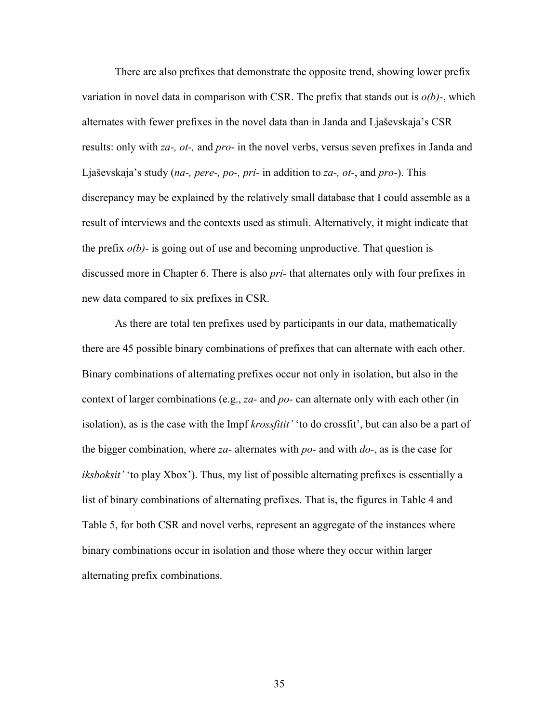There are also prefixes that demonstrate the opposite trend, showing lower prefix variation in novel data in comparison with CSR. The prefix that stands out is *о(b)-*, which alternates with fewer prefixes in the novel data than in Janda and Ljaševskaja's CSR results: only with *za-, ot-,* and *pro*- in the novel verbs, versus seven prefixes in Janda and Ljaševskaja's study (*na-, pere-, po-, pri-* in addition to *za-, ot-*, and *pro-*). This discrepancy may be explained by the relatively small database that I could assemble as a result of interviews and the contexts used as stimuli. Alternatively, it might indicate that the prefix  $o(b)$ - is going out of use and becoming unproductive. That question is discussed more in Chapter 6. There is also *pri-* that alternates only with four prefixes in new data compared to six prefixes in CSR.

As there are total ten prefixes used by participants in our data, mathematically there are 45 possible binary combinations of prefixes that can alternate with each other. Binary combinations of alternating prefixes occur not only in isolation, but also in the context of larger combinations (e.g., *za-* and *po-* can alternate only with each other (in isolation), as is the case with the Impf *krossfitit'* 'to do crossfit', but can also be a part of the bigger combination, where *za-* alternates with *po-* and with *do-*, as is the case for *iksboksit'* 'to play Xbox'). Thus, my list of possible alternating prefixes is essentially a list of binary combinations of alternating prefixes. That is, the figures in Table 4 and Table 5, for both CSR and novel verbs, represent an aggregate of the instances where binary combinations occur in isolation and those where they occur within larger alternating prefix combinations.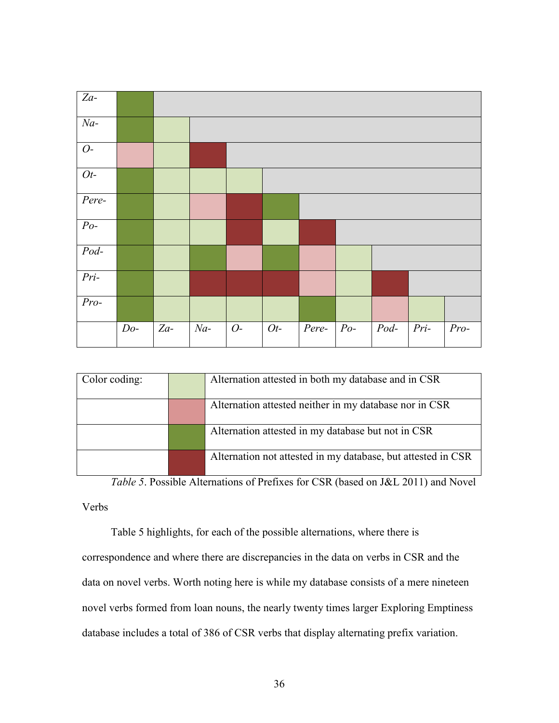

| Color coding: | Alternation attested in both my database and in CSR          |
|---------------|--------------------------------------------------------------|
|               | Alternation attested neither in my database nor in CSR       |
|               | Alternation attested in my database but not in CSR           |
|               | Alternation not attested in my database, but attested in CSR |

*Table 5*. Possible Alternations of Prefixes for CSR (based on J&L 2011) and Novel

Verbs

Table 5 highlights, for each of the possible alternations, where there is

correspondence and where there are discrepancies in the data on verbs in CSR and the data on novel verbs. Worth noting here is while my database consists of a mere nineteen novel verbs formed from loan nouns, the nearly twenty times larger Exploring Emptiness database includes a total of 386 of CSR verbs that display alternating prefix variation.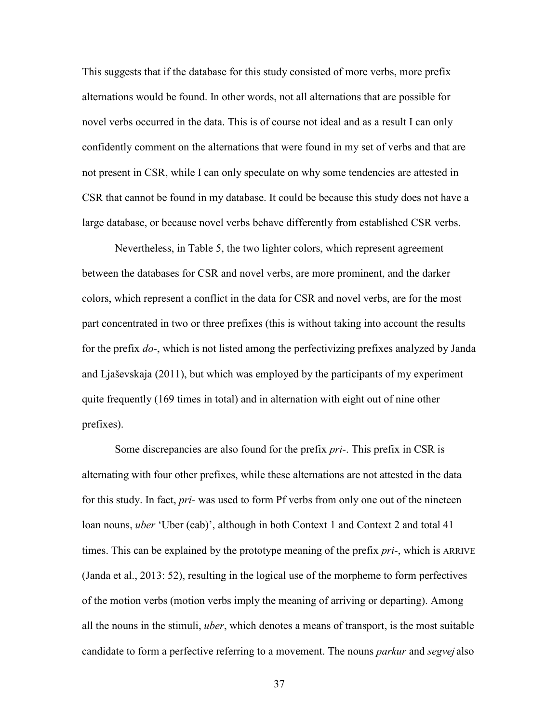This suggests that if the database for this study consisted of more verbs, more prefix alternations would be found. In other words, not all alternations that are possible for novel verbs occurred in the data. This is of course not ideal and as a result I can only confidently comment on the alternations that were found in my set of verbs and that are not present in CSR, while I can only speculate on why some tendencies are attested in CSR that cannot be found in my database. It could be because this study does not have a large database, or because novel verbs behave differently from established CSR verbs.

Nevertheless, in Table 5, the two lighter colors, which represent agreement between the databases for CSR and novel verbs, are more prominent, and the darker colors, which represent a conflict in the data for CSR and novel verbs, are for the most part concentrated in two or three prefixes (this is without taking into account the results for the prefix *do-*, which is not listed among the perfectivizing prefixes analyzed by Janda and Ljaševskaja (2011), but which was employed by the participants of my experiment quite frequently (169 times in total) and in alternation with eight out of nine other prefixes).

Some discrepancies are also found for the prefix *pri-*. This prefix in CSR is alternating with four other prefixes, while these alternations are not attested in the data for this study. In fact, *pri-* was used to form Pf verbs from only one out of the nineteen loan nouns, *uber* 'Uber (cab)', although in both Context 1 and Context 2 and total 41 times. This can be explained by the prototype meaning of the prefix *pri-*, which is ARRIVE (Janda et al., 2013: 52), resulting in the logical use of the morpheme to form perfectives of the motion verbs (motion verbs imply the meaning of arriving or departing). Among all the nouns in the stimuli, *uber*, which denotes a means of transport, is the most suitable candidate to form a perfective referring to a movement. The nouns *parkur* and *segvej* also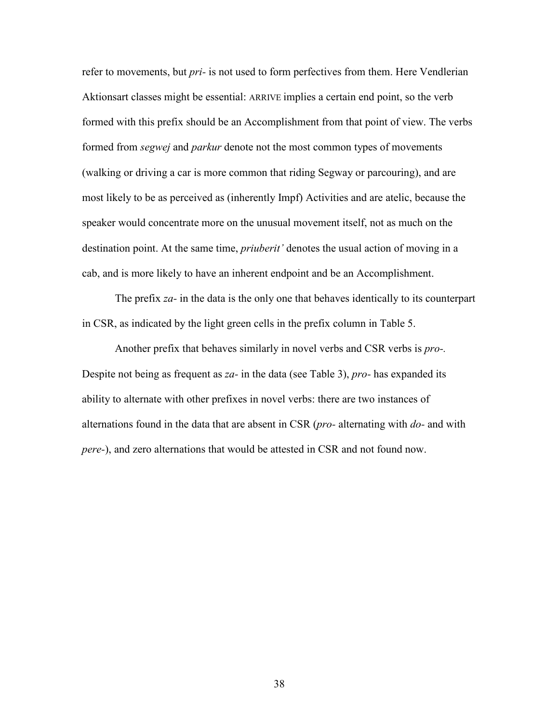refer to movements, but *pri-* is not used to form perfectives from them. Here Vendlerian Aktionsart classes might be essential: ARRIVE implies a certain end point, so the verb formed with this prefix should be an Accomplishment from that point of view. The verbs formed from *segwej* and *parkur* denote not the most common types of movements (walking or driving a car is more common that riding Segway or parcouring), and are most likely to be as perceived as (inherently Impf) Activities and are atelic, because the speaker would concentrate more on the unusual movement itself, not as much on the destination point. At the same time, *priuberit'* denotes the usual action of moving in a cab, and is more likely to have an inherent endpoint and be an Accomplishment.

The prefix *za-* in the data is the only one that behaves identically to its counterpart in CSR, as indicated by the light green cells in the prefix column in Table 5.

Another prefix that behaves similarly in novel verbs and CSR verbs is *pro-.*  Despite not being as frequent as *za-* in the data (see Table 3), *pro-* has expanded its ability to alternate with other prefixes in novel verbs: there are two instances of alternations found in the data that are absent in CSR (*pro-* alternating with *do-* and with *pere-*), and zero alternations that would be attested in CSR and not found now.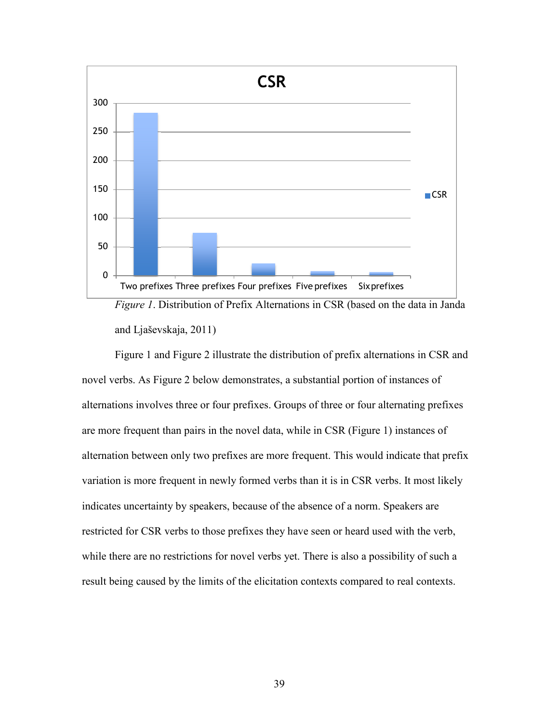



Figure 1 and Figure 2 illustrate the distribution of prefix alternations in CSR and novel verbs. As Figure 2 below demonstrates, a substantial portion of instances of alternations involves three or four prefixes. Groups of three or four alternating prefixes are more frequent than pairs in the novel data, while in CSR (Figure 1) instances of alternation between only two prefixes are more frequent. This would indicate that prefix variation is more frequent in newly formed verbs than it is in CSR verbs. It most likely indicates uncertainty by speakers, because of the absence of a norm. Speakers are restricted for CSR verbs to those prefixes they have seen or heard used with the verb, while there are no restrictions for novel verbs yet. There is also a possibility of such a result being caused by the limits of the elicitation contexts compared to real contexts.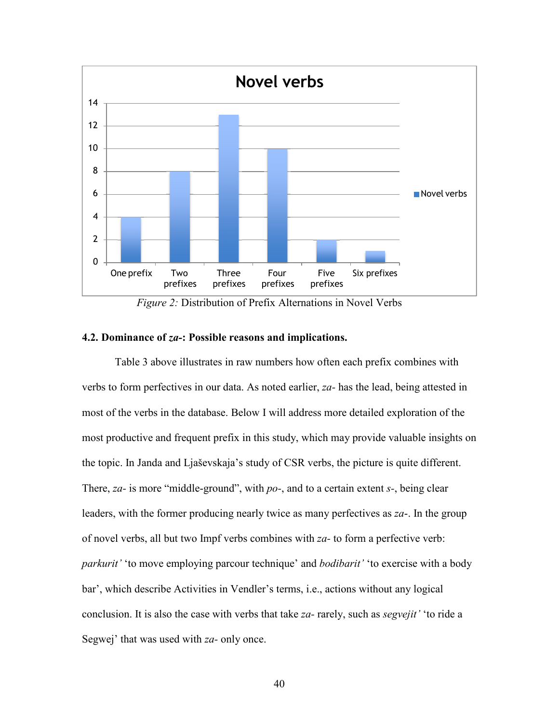

*Figure 2:* Distribution of Prefix Alternations in Novel Verbs

## **4.2. Dominance of** *za-***: Possible reasons and implications.**

Table 3 above illustrates in raw numbers how often each prefix combines with verbs to form perfectives in our data. As noted earlier, *za-* has the lead, being attested in most of the verbs in the database. Below I will address more detailed exploration of the most productive and frequent prefix in this study, which may provide valuable insights on the topic. In Janda and Ljaševskaja's study of CSR verbs, the picture is quite different. There, *za-* is more "middle-ground", with *po-*, and to a certain extent *s-*, being clear leaders, with the former producing nearly twice as many perfectives as *zа*-. In the group of novel verbs, all but two Impf verbs combines with *za-* to form a perfective verb: *parkurit'* 'to move employing parcour technique' and *bodibarit'* 'to exercise with a body bar', which describe Activities in Vendler's terms, i.e., actions without any logical conclusion. It is also the case with verbs that take *za-* rarely, such as *segvejit'* 'to ride a Segwej' that was used with *za-* only once.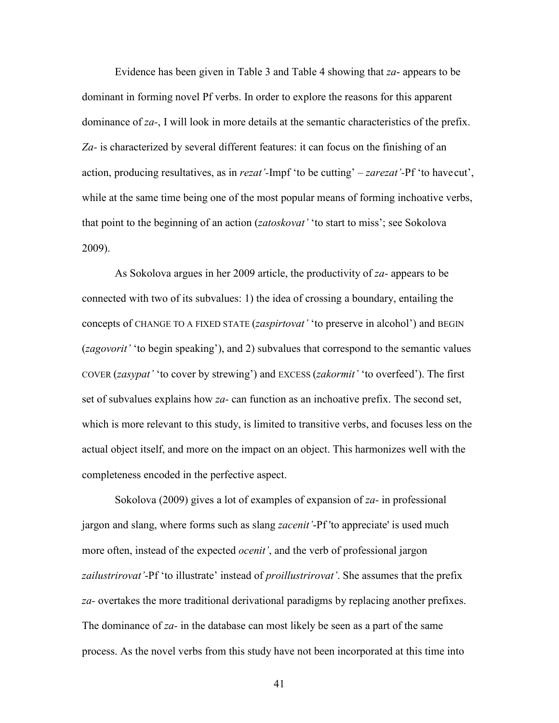Evidence has been given in Table 3 and Table 4 showing that *za*- appears to be dominant in forming novel Pf verbs. In order to explore the reasons for this apparent dominance of *za-*, I will look in more details at the semantic characteristics of the prefix. *Za-* is characterized by several different features: it can focus on the finishing of an action, producing resultatives, as in *rezat'-*Impf 'to be cutting' *– zarezat'-*Pf 'to have cut', while at the same time being one of the most popular means of forming inchoative verbs, that point to the beginning of an action (*zatoskovat'* 'to start to miss'; see Sokolova 2009).

As Sokolova argues in her 2009 article, the productivity of *za-* appears to be connected with two of its subvalues: 1) the idea of crossing a boundary, entailing the concepts of CHANGE TO A FIXED STATE (*zaspirtovat'* 'to preserve in alcohol') and BEGIN (*zagovorit'* 'to begin speaking'), and 2) subvalues that correspond to the semantic values COVER (*zasypat'* 'to cover by strewing') and EXCESS (*zakormit'* 'to overfeed'). The first set of subvalues explains how *zа-* can function as an inchoative prefix. The second set, which is more relevant to this study, is limited to transitive verbs, and focuses less on the actual object itself, and more on the impact on an object. This harmonizes well with the completeness encoded in the perfective aspect.

Sokolova (2009) gives a lot of examples of expansion of *za-* in professional jargon and slang, where forms such as slang *zacenit'*-Pf 'to appreciate' is used much more often, instead of the expected *ocenit'*, and the verb of professional jargon *zailustrirovat'*-Pf 'to illustrate' instead of *proillustrirovat'*. She assumes that the prefix *za-* overtakes the more traditional derivational paradigms by replacing another prefixes. The dominance of *za-* in the database can most likely be seen as a part of the same process. As the novel verbs from this study have not been incorporated at this time into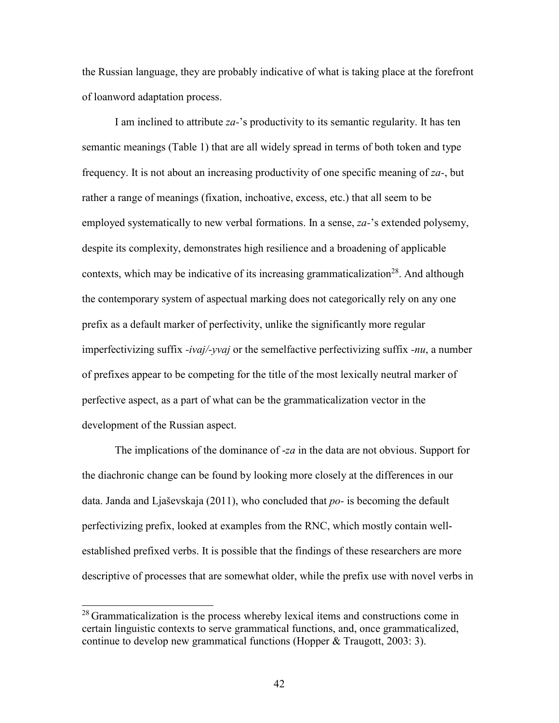the Russian language, they are probably indicative of what is taking place at the forefront of loanword adaptation process.

I am inclined to attribute *za-*'s productivity to its semantic regularity. It has ten semantic meanings (Table 1) that are all widely spread in terms of both token and type frequency. It is not about an increasing productivity of one specific meaning of *za-*, but rather a range of meanings (fixation, inchoative, excess, etc.) that all seem to be employed systematically to new verbal formations. In a sense, *za-*'s extended polysemy, despite its complexity, demonstrates high resilience and a broadening of applicable contexts, which may be indicative of its increasing grammaticalization<sup>28</sup>. And although the contemporary system of aspectual marking does not categorically rely on any one prefix as a default marker of perfectivity, unlike the significantly more regular imperfectivizing suffix *-ivaj/-yvaj* or the semelfactive perfectivizing suffix *-nu*, a number of prefixes appear to be competing for the title of the most lexically neutral marker of perfective aspect, as a part of what can be the grammaticalization vector in the development of the Russian aspect.

The implications of the dominance of -*za* in the data are not obvious. Support for the diachronic change can be found by looking more closely at the differences in our data. Janda and Ljaševskaja (2011), who concluded that *po-* is becoming the default perfectivizing prefix, looked at examples from the RNC, which mostly contain wellestablished prefixed verbs. It is possible that the findings of these researchers are more descriptive of processes that are somewhat older, while the prefix use with novel verbs in

 $28$  Grammaticalization is the process whereby lexical items and constructions come in certain linguistic contexts to serve grammatical functions, and, once grammaticalized, continue to develop new grammatical functions (Hopper & Traugott, 2003: 3).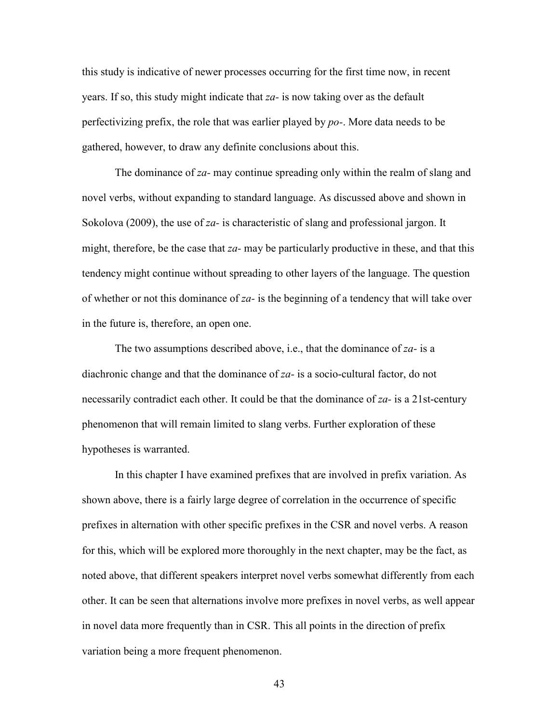this study is indicative of newer processes occurring for the first time now, in recent years. If so, this study might indicate that *zа-* is now taking over as the default perfectivizing prefix, the role that was earlier played by *po-*. More data needs to be gathered, however, to draw any definite conclusions about this.

The dominance of *za-* may continue spreading only within the realm of slang and novel verbs, without expanding to standard language. As discussed above and shown in Sokolova (2009), the use of *za-* is characteristic of slang and professional jargon. It might, therefore, be the case that *za-* may be particularly productive in these, and that this tendency might continue without spreading to other layers of the language. The question of whether or not this dominance of *zа-* is the beginning of a tendency that will take over in the future is, therefore, an open one.

The two assumptions described above, i.e., that the dominance of *za-* is a diachronic change and that the dominance of *za-* is a socio-cultural factor, do not necessarily contradict each other. It could be that the dominance of *za-* is a 21st-century phenomenon that will remain limited to slang verbs. Further exploration of these hypotheses is warranted.

In this chapter I have examined prefixes that are involved in prefix variation. As shown above, there is a fairly large degree of correlation in the occurrence of specific prefixes in alternation with other specific prefixes in the CSR and novel verbs. A reason for this, which will be explored more thoroughly in the next chapter, may be the fact, as noted above, that different speakers interpret novel verbs somewhat differently from each other. It can be seen that alternations involve more prefixes in novel verbs, as well appear in novel data more frequently than in CSR. This all points in the direction of prefix variation being a more frequent phenomenon.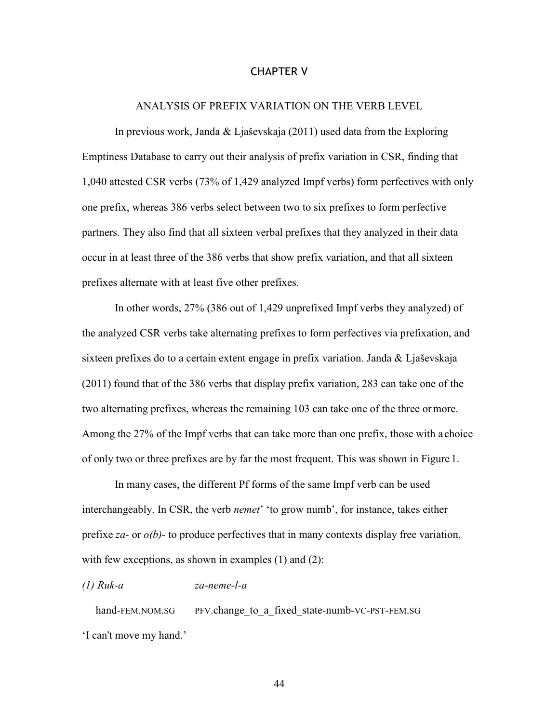## CHAPTER V

## ANALYSIS OF PREFIX VARIATION ON THE VERB LEVEL

In previous work, Janda & Ljaševskaja (2011) used data from the Exploring Emptiness Database to carry out their analysis of prefix variation in CSR, finding that 1,040 attested CSR verbs (73% of 1,429 analyzed Impf verbs) form perfectives with only one prefix, whereas 386 verbs select between two to six prefixes to form perfective partners. They also find that all sixteen verbal prefixes that they analyzed in their data occur in at least three of the 386 verbs that show prefix variation, and that all sixteen prefixes alternate with at least five other prefixes.

In other words, 27% (386 out of 1,429 unprefixed Impf verbs they analyzed) of the analyzed CSR verbs take alternating prefixes to form perfectives via prefixation, and sixteen prefixes do to a certain extent engage in prefix variation. Janda & Ljaševskaja (2011) found that of the 386 verbs that display prefix variation, 283 can take one of the two alternating prefixes, whereas the remaining 103 can take one of the three or more. Among the 27% of the Impf verbs that can take more than one prefix, those with a choice of only two or three prefixes are by far the most frequent. This was shown in Figure 1.

In many cases, the different Pf forms of the same Impf verb can be used interchangeably. In CSR, the verb *nemet*' 'to grow numb', for instance, takes either prefixe *za-* or *о(b)-* to produce perfectives that in many contexts display free variation, with few exceptions, as shown in examples (1) and (2):

# *(1) Ruk-a za-neme-l-a*

hand-FEM.NOM.SG PFV.change to a fixed state-numb-VC-PST-FEM.SG 'I can't move my hand.'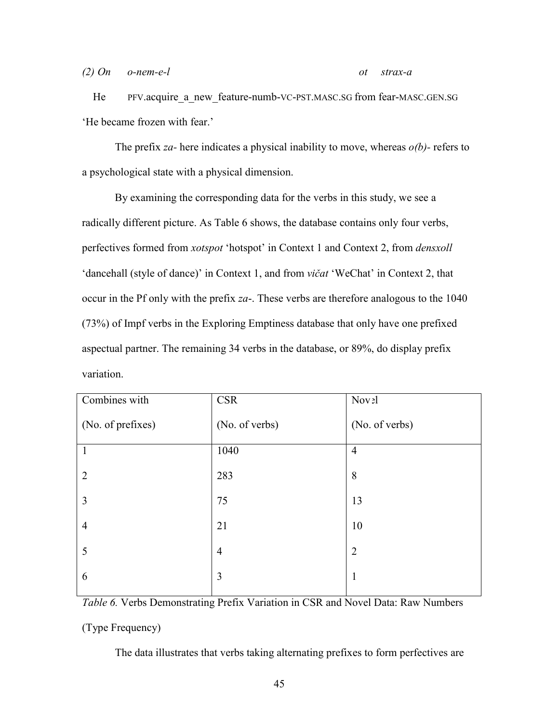*(2) On o-nem-e-l ot strax-a* 

He PFV.acquire a new feature-numb-VC-PST.MASC.SG from fear-MASC.GEN.SG 'He became frozen with fear.'

The prefix *za-* here indicates a physical inability to move, whereas *о(b)-* refers to a psychological state with a physical dimension.

By examining the corresponding data for the verbs in this study, we see a radically different picture. As Table 6 shows, the database contains only four verbs, perfectives formed from *xotspot* 'hotspot' in Context 1 and Context 2, from *densxoll*  'dancehall (style of dance)' in Context 1, and from *vičat* 'WeChat' in Context 2, that occur in the Pf only with the prefix *za*-. These verbs are therefore analogous to the 1040 (73%) of Impf verbs in the Exploring Emptiness database that only have one prefixed aspectual partner. The remaining 34 verbs in the database, or 89%, do display prefix variation.

| Combines with     | <b>CSR</b>     | Nov <sub>2l</sub> |
|-------------------|----------------|-------------------|
| (No. of prefixes) | (No. of verbs) | (No. of verbs)    |
| $\mathbf{1}$      | 1040           | $\overline{4}$    |
| $\overline{2}$    | 283            | 8                 |
| 3                 | 75             | 13                |
| $\overline{4}$    | 21             | 10                |
| 5                 | $\overline{4}$ | $\overline{2}$    |
| 6                 | $\overline{3}$ | 1                 |

*Table 6.* Verbs Demonstrating Prefix Variation in CSR and Novel Data: Raw Numbers (Type Frequency)

The data illustrates that verbs taking alternating prefixes to form perfectives are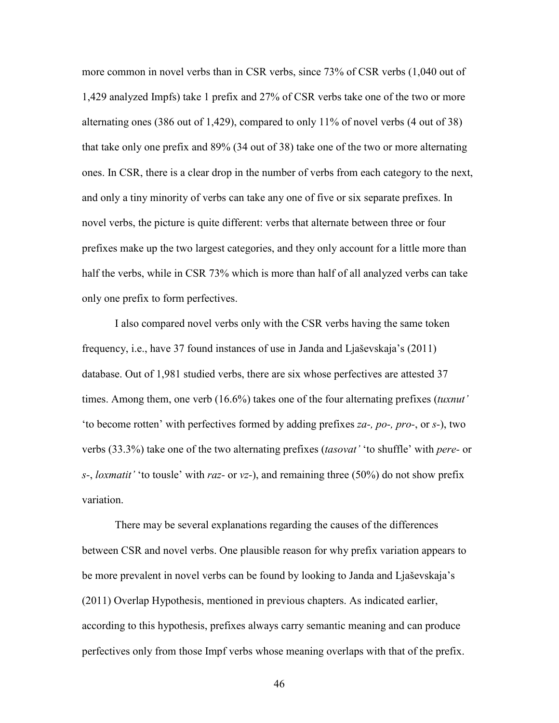more common in novel verbs than in CSR verbs, since 73% of CSR verbs (1,040 out of 1,429 analyzed Impfs) take 1 prefix and 27% of CSR verbs take one of the two or more alternating ones (386 out of 1,429), compared to only 11% of novel verbs (4 out of 38) that take only one prefix and 89% (34 out of 38) take one of the two or more alternating ones. In CSR, there is a clear drop in the number of verbs from each category to the next, and only a tiny minority of verbs can take any one of five or six separate prefixes. In novel verbs, the picture is quite different: verbs that alternate between three or four prefixes make up the two largest categories, and they only account for a little more than half the verbs, while in CSR 73% which is more than half of all analyzed verbs can take only one prefix to form perfectives.

I also compared novel verbs only with the CSR verbs having the same token frequency, i.e., have 37 found instances of use in Janda and Ljaševskaja's (2011) database. Out of 1,981 studied verbs, there are six whose perfectives are attested 37 times. Among them, one verb (16.6%) takes one of the four alternating prefixes (*tuxnut'*  'to become rotten' with perfectives formed by adding prefixes *za-, po-, pro-*, or *s-*), two verbs (33.3%) take one of the two alternating prefixes (*tasovat'* 'to shuffle' with *pere-* or *s-*, *loxmatit'* 'to tousle' with *raz-* or *vz-*), and remaining three (50%) do not show prefix variation.

There may be several explanations regarding the causes of the differences between CSR and novel verbs. One plausible reason for why prefix variation appears to be more prevalent in novel verbs can be found by looking to Janda and Ljaševskaja's (2011) Overlap Hypothesis, mentioned in previous chapters. As indicated earlier, according to this hypothesis, prefixes always carry semantic meaning and can produce perfectives only from those Impf verbs whose meaning overlaps with that of the prefix.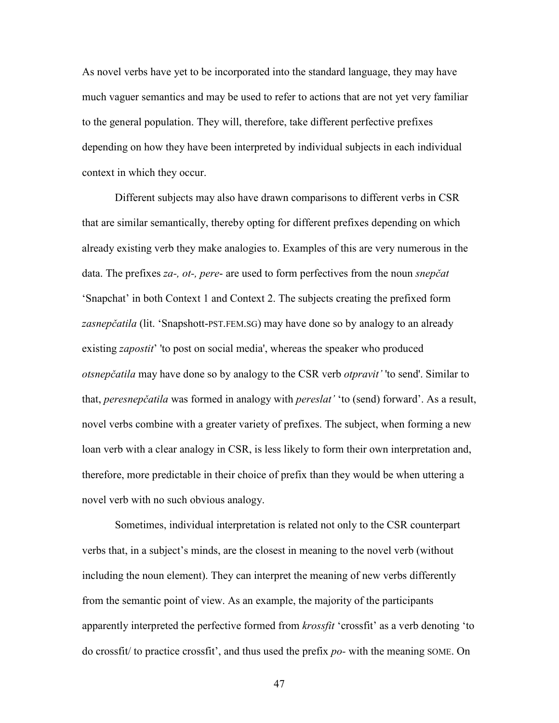As novel verbs have yet to be incorporated into the standard language, they may have much vaguer semantics and may be used to refer to actions that are not yet very familiar to the general population. They will, therefore, take different perfective prefixes depending on how they have been interpreted by individual subjects in each individual context in which they occur.

Different subjects may also have drawn comparisons to different verbs in CSR that are similar semantically, thereby opting for different prefixes depending on which already existing verb they make analogies to. Examples of this are very numerous in the data. The prefixes *za-, ot-, pere*- are used to form perfectives from the noun *snepčat*  'Snapchat' in both Context 1 and Context 2. The subjects creating the prefixed form *zasnepčatila* (lit. 'Snapshott-PST.FEM.SG) may have done so by analogy to an already existing *zapostit*' 'to post on social media', whereas the speaker who produced *otsnepčatila* may have done so by analogy to the CSR verb *otpravit'* 'to send'. Similar to that, *peresnepčatila* was formed in analogy with *pereslat'* 'to (send) forward'. As a result, novel verbs combine with a greater variety of prefixes. The subject, when forming a new loan verb with a clear analogy in CSR, is less likely to form their own interpretation and, therefore, more predictable in their choice of prefix than they would be when uttering a novel verb with no such obvious analogy.

Sometimes, individual interpretation is related not only to the CSR counterpart verbs that, in a subject's minds, are the closest in meaning to the novel verb (without including the noun element). They can interpret the meaning of new verbs differently from the semantic point of view. As an example, the majority of the participants apparently interpreted the perfective formed from *krossfit* 'crossfit' as a verb denoting 'to do crossfit/ to practice crossfit', and thus used the prefix *po-* with the meaning SOME. On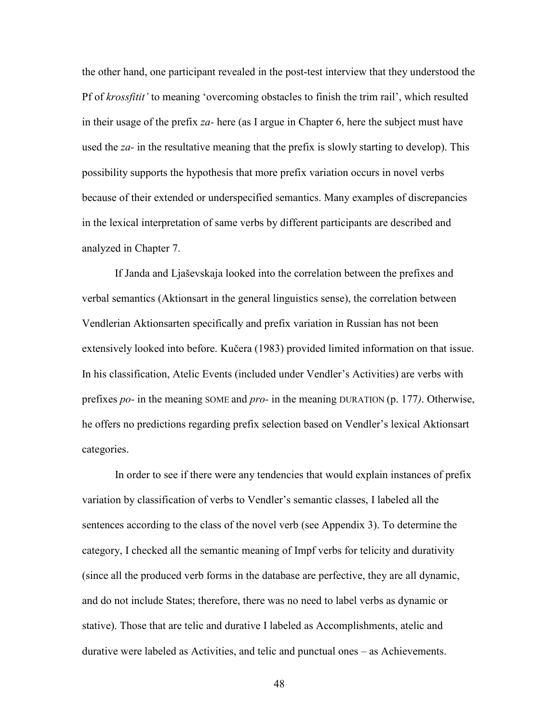the other hand, one participant revealed in the post-test interview that they understood the Pf of *krossfitit'* to meaning 'overcoming obstacles to finish the trim rail', which resulted in their usage of the prefix *za-* here (as I argue in Chapter 6, here the subject must have used the *za-* in the resultative meaning that the prefix is slowly starting to develop). This possibility supports the hypothesis that more prefix variation occurs in novel verbs because of their extended or underspecified semantics. Many examples of discrepancies in the lexical interpretation of same verbs by different participants are described and analyzed in Chapter 7.

If Janda and Ljaševskaja looked into the correlation between the prefixes and verbal semantics (Aktionsart in the general linguistics sense), the correlation between Vendlerian Aktionsarten specifically and prefix variation in Russian has not been extensively looked into before. Kučera (1983) provided limited information on that issue. In his classification, Atelic Events (included under Vendler's Activities) are verbs with prefixes *po-* in the meaning SOME and *pro-* in the meaning DURATION (p. 177*)*. Otherwise, he offers no predictions regarding prefix selection based on Vendler's lexical Aktionsart categories.

In order to see if there were any tendencies that would explain instances of prefix variation by classification of verbs to Vendler's semantic classes, I labeled all the sentences according to the class of the novel verb (see Appendix 3). To determine the category, I checked all the semantic meaning of Impf verbs for telicity and durativity (since all the produced verb forms in the database are perfective, they are all dynamic, and do not include States; therefore, there was no need to label verbs as dynamic or stative). Those that are telic and durative I labeled as Accomplishments, atelic and durative were labeled as Activities, and telic and punctual ones – as Achievements.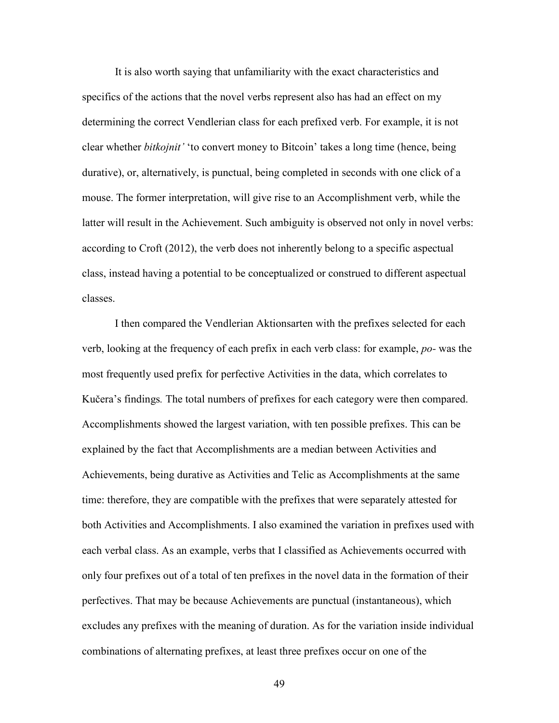It is also worth saying that unfamiliarity with the exact characteristics and specifics of the actions that the novel verbs represent also has had an effect on my determining the correct Vendlerian class for each prefixed verb. For example, it is not clear whether *bitkojnit'* 'to convert money to Bitcoin' takes a long time (hence, being durative), or, alternatively, is punctual, being completed in seconds with one click of a mouse. The former interpretation, will give rise to an Accomplishment verb, while the latter will result in the Achievement. Such ambiguity is observed not only in novel verbs: according to Croft (2012), the verb does not inherently belong to a specific aspectual class, instead having a potential to be conceptualized or construed to different aspectual classes.

I then compared the Vendlerian Aktionsarten with the prefixes selected for each verb, looking at the frequency of each prefix in each verb class: for example, *po-* was the most frequently used prefix for perfective Activities in the data, which correlates to Kučera's findings*.* The total numbers of prefixes for each category were then compared. Accomplishments showed the largest variation, with ten possible prefixes. This can be explained by the fact that Accomplishments are a median between Activities and Achievements, being durative as Activities and Telic as Accomplishments at the same time: therefore, they are compatible with the prefixes that were separately attested for both Activities and Accomplishments. I also examined the variation in prefixes used with each verbal class. As an example, verbs that I classified as Achievements occurred with only four prefixes out of a total of ten prefixes in the novel data in the formation of their perfectives. That may be because Achievements are punctual (instantaneous), which excludes any prefixes with the meaning of duration. As for the variation inside individual combinations of alternating prefixes, at least three prefixes occur on one of the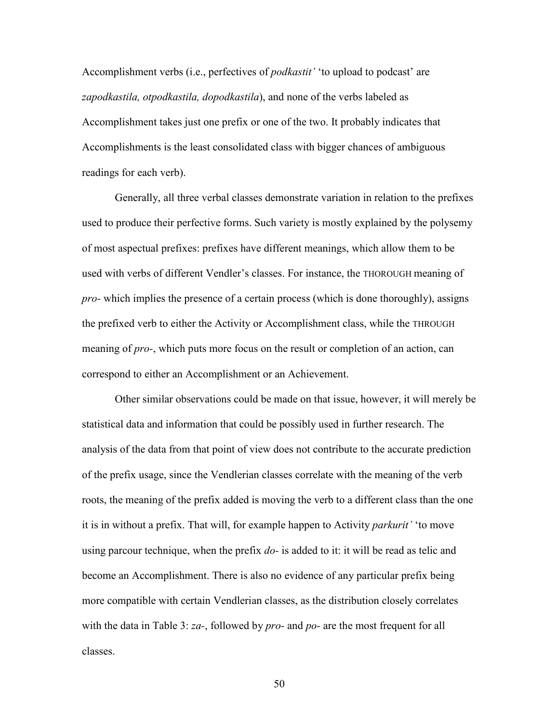Accomplishment verbs (i.e., perfectives of *podkastit'* 'to upload to podcast' are *zapodkastila, otpodkastila, dopodkastila*), and none of the verbs labeled as Accomplishment takes just one prefix or one of the two. It probably indicates that Accomplishments is the least consolidated class with bigger chances of ambiguous readings for each verb).

Generally, all three verbal classes demonstrate variation in relation to the prefixes used to produce their perfective forms. Such variety is mostly explained by the polysemy of most aspectual prefixes: prefixes have different meanings, which allow them to be used with verbs of different Vendler's classes. For instance, the THOROUGH meaning of *pro-* which implies the presence of a certain process (which is done thoroughly), assigns the prefixed verb to either the Activity or Accomplishment class, while the THROUGH meaning of *pro-*, which puts more focus on the result or completion of an action, can correspond to either an Accomplishment or an Achievement.

Other similar observations could be made on that issue, however, it will merely be statistical data and information that could be possibly used in further research. The analysis of the data from that point of view does not contribute to the accurate prediction of the prefix usage, since the Vendlerian classes correlate with the meaning of the verb roots, the meaning of the prefix added is moving the verb to a different class than the one it is in without a prefix. That will, for example happen to Activity *parkurit'* 'to move using parcour technique, when the prefix *do-* is added to it: it will be read as telic and become an Accomplishment. There is also no evidence of any particular prefix being more compatible with certain Vendlerian classes, as the distribution closely correlates with the data in Table 3: *za-*, followed by *pro-* and *po-* are the most frequent for all classes.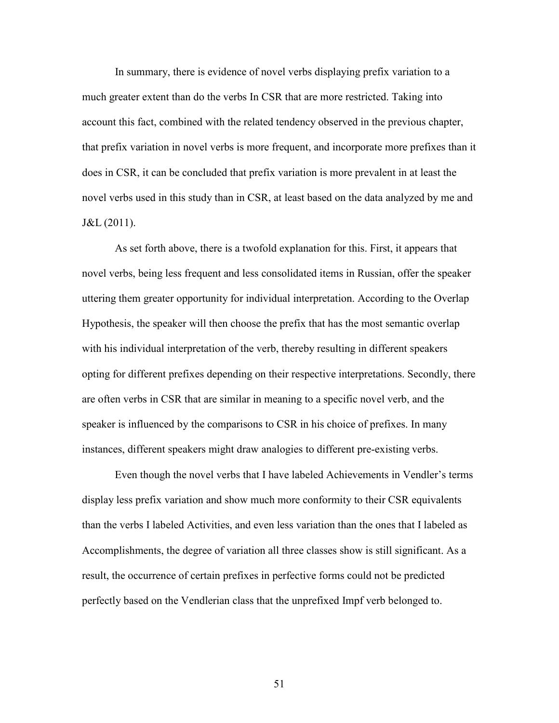In summary, there is evidence of novel verbs displaying prefix variation to a much greater extent than do the verbs In CSR that are more restricted. Taking into account this fact, combined with the related tendency observed in the previous chapter, that prefix variation in novel verbs is more frequent, and incorporate more prefixes than it does in CSR, it can be concluded that prefix variation is more prevalent in at least the novel verbs used in this study than in CSR, at least based on the data analyzed by me and J&L (2011).

As set forth above, there is a twofold explanation for this. First, it appears that novel verbs, being less frequent and less consolidated items in Russian, offer the speaker uttering them greater opportunity for individual interpretation. According to the Overlap Hypothesis, the speaker will then choose the prefix that has the most semantic overlap with his individual interpretation of the verb, thereby resulting in different speakers opting for different prefixes depending on their respective interpretations. Secondly, there are often verbs in CSR that are similar in meaning to a specific novel verb, and the speaker is influenced by the comparisons to CSR in his choice of prefixes. In many instances, different speakers might draw analogies to different pre-existing verbs.

Even though the novel verbs that I have labeled Achievements in Vendler's terms display less prefix variation and show much more conformity to their CSR equivalents than the verbs I labeled Activities, and even less variation than the ones that I labeled as Accomplishments, the degree of variation all three classes show is still significant. As a result, the occurrence of certain prefixes in perfective forms could not be predicted perfectly based on the Vendlerian class that the unprefixed Impf verb belonged to.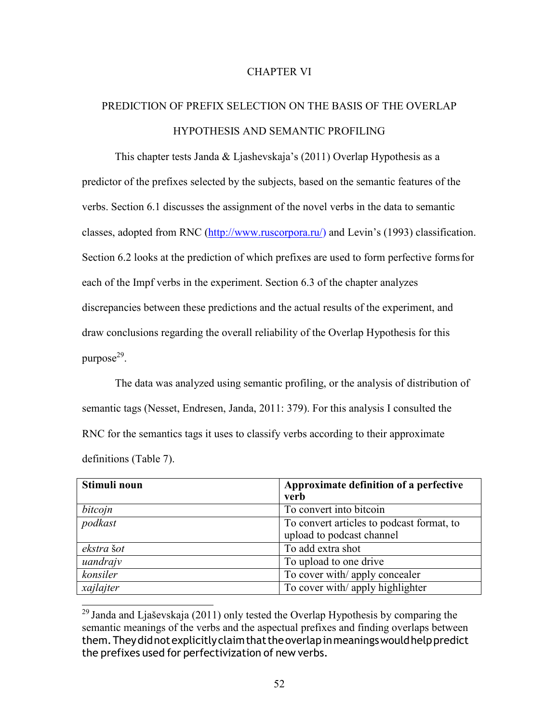# CHAPTER VI

# PREDICTION OF PREFIX SELECTION ON THE BASIS OF THE OVERLAP HYPOTHESIS AND SEMANTIC PROFILING

This chapter tests Janda & Ljashevskaja's (2011) Overlap Hypothesis as a predictor of the prefixes selected by the subjects, based on the semantic features of the verbs. Section 6.1 discusses the assignment of the novel verbs in the data to semantic classes, adopted from RNC (http://www.ruscorpora.ru/) and Levin's (1993) classification. Section 6.2 looks at the prediction of which prefixes are used to form perfective forms for each of the Impf verbs in the experiment. Section 6.3 of the chapter analyzes discrepancies between these predictions and the actual results of the experiment, and draw conclusions regarding the overall reliability of the Overlap Hypothesis for this purpose<sup>29</sup>.

The data was analyzed using semantic profiling, or the analysis of distribution of semantic tags (Nesset, Endresen, Janda, 2011: 379). For this analysis I consulted the RNC for the semantics tags it uses to classify verbs according to their approximate definitions (Table 7).

| Stimuli noun | Approximate definition of a perfective    |
|--------------|-------------------------------------------|
|              | verb                                      |
| bitcojn      | To convert into bitcoin                   |
| podkast      | To convert articles to podcast format, to |
|              | upload to podcast channel                 |
| ekstra šot   | To add extra shot                         |
| uandrajv     | To upload to one drive                    |
| konsiler     | To cover with/apply concealer             |
| xajlajter    | To cover with/ apply highlighter          |

<sup>&</sup>lt;sup>29</sup> Janda and Ljaševskaja (2011) only tested the Overlap Hypothesis by comparing the semantic meanings of the verbs and the aspectual prefixes and finding overlaps between them. They did not explicitly claim that the overlap in meanings would help predict the prefixes used for perfectivization of new verbs.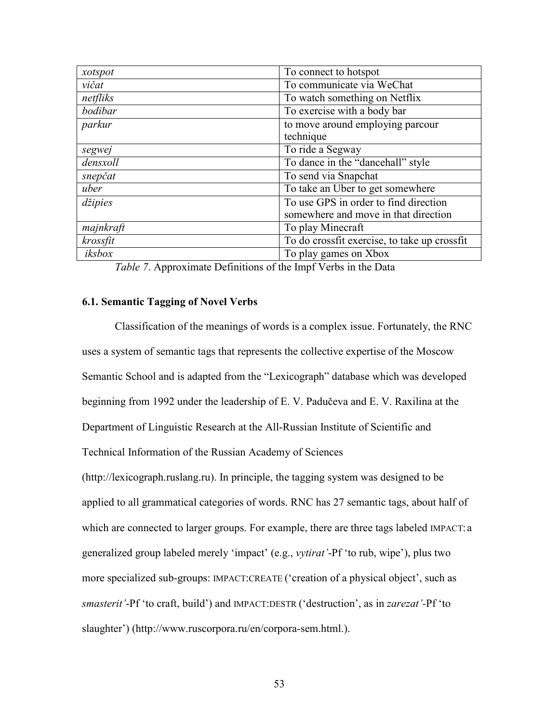| xotspot   | To connect to hotspot                        |
|-----------|----------------------------------------------|
| vičat     | To communicate via WeChat                    |
| netfliks  | To watch something on Netflix                |
| bodibar   | To exercise with a body bar                  |
| parkur    | to move around employing parcour             |
|           | technique                                    |
| segwej    | To ride a Segway                             |
| densxoll  | To dance in the "dancehall" style            |
| snepčat   | To send via Snapchat                         |
| uber      | To take an Uber to get somewhere             |
| džipies   | To use GPS in order to find direction        |
|           | somewhere and move in that direction         |
| majnkraft | To play Minecraft                            |
| krossfit  | To do crossfit exercise, to take up crossfit |
| iksbox    | To play games on Xbox                        |

*Table 7*. Approximate Definitions of the Impf Verbs in the Data

# **6.1. Semantic Tagging of Novel Verbs**

Classification of the meanings of words is a complex issue. Fortunately, the RNC uses a system of semantic tags that represents the collective expertise of the Moscow Semantic School and is adapted from the "Lexicograph" database which was developed beginning from 1992 under the leadership of E. V. Padučeva and E. V. Raxilina at the Department of Linguistic Research at the All-Russian Institute of Scientific and Technical Information of the Russian Academy of Sciences (http://lexicograph.ruslang.ru). In principle, the tagging system was designed to be applied to all grammatical categories of words. RNC has 27 semantic tags, about half of which are connected to larger groups. For example, there are three tags labeled IMPACT: a generalized group labeled merely 'impact' (e.g., *vytirat'*-Pf 'to rub, wipe'), plus two more specialized sub-groups: IMPACT:CREATE ('creation of a physical object', such as *smasterit'*-Pf 'to craft, build') and IMPACT:DESTR ('destruction', as in *zarezat'-*Pf 'to slaughter') (http://www.ruscorpora.ru/en/corpora-sem.html.).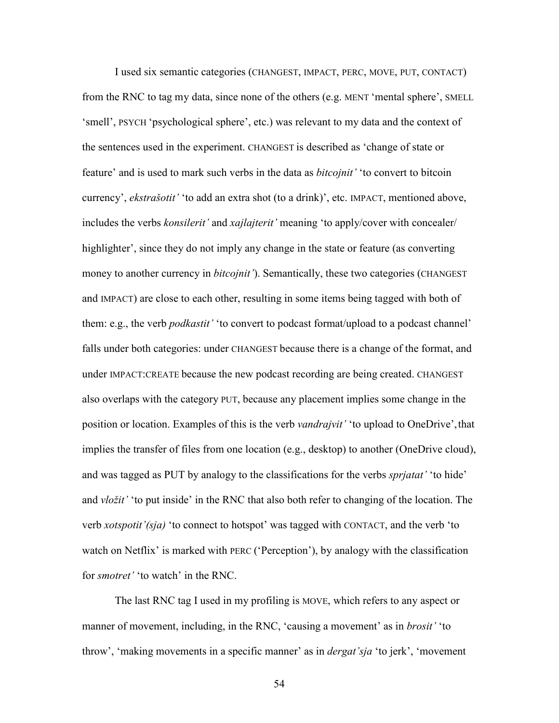I used six semantic categories (CHANGEST, IMPACT, PERC, MOVE, PUT, CONTACT) from the RNC to tag my data, since none of the others (e.g. MENT 'mental sphere', SMELL 'smell', PSYCH 'psychological sphere', etc.) was relevant to my data and the context of the sentences used in the experiment. CHANGEST is described as 'change of state or feature' and is used to mark such verbs in the data as *bitcojnit'* 'to convert to bitcoin currency', *ekstrašotit'* 'to add an extra shot (to a drink)', etc. IMPACT, mentioned above, includes the verbs *konsilerit'* and *xajlajterit'* meaning 'to apply/cover with concealer/ highlighter', since they do not imply any change in the state or feature (as converting money to another currency in *bitcojnit'*). Semantically, these two categories (CHANGEST and IMPACT) are close to each other, resulting in some items being tagged with both of them: e.g., the verb *podkastit'* 'to convert to podcast format/upload to a podcast channel' falls under both categories: under CHANGEST because there is a change of the format, and under IMPACT:CREATE because the new podcast recording are being created. CHANGEST also overlaps with the category PUT, because any placement implies some change in the position or location. Examples of this is the verb *vandrajvit'* 'to upload to OneDrive', that implies the transfer of files from one location (e.g., desktop) to another (OneDrive cloud), and was tagged as PUT by analogy to the classifications for the verbs *sprjatat'* 'to hide' and *vložit'* 'to put inside' in the RNC that also both refer to changing of the location. The verb *xotspotit'(sja)* 'to connect to hotspot' was tagged with CONTACT, and the verb 'to watch on Netflix' is marked with PERC ('Perception'), by analogy with the classification for *smotret'* 'to watch' in the RNC.

The last RNC tag I used in my profiling is MOVE, which refers to any aspect or manner of movement, including, in the RNC, 'causing a movement' as in *brosit'* 'to throw', 'making movements in a specific manner' as in *dergat'sja* 'to jerk', 'movement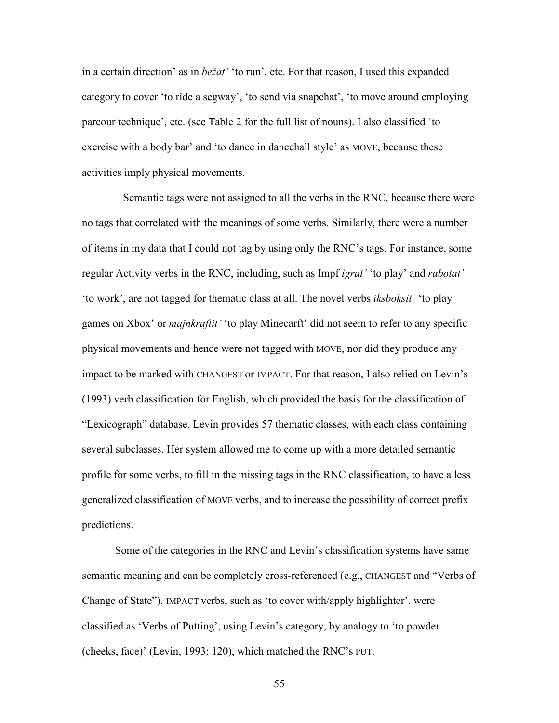in a certain direction' as in *bežat'* 'to run', etc. For that reason, I used this expanded category to cover 'to ride a segway', 'to send via snapchat', 'to move around employing parcour technique', etc. (see Table 2 for the full list of nouns). I also classified 'to exercise with a body bar' and 'to dance in dancehall style' as MOVE, because these activities imply physical movements.

Semantic tags were not assigned to all the verbs in the RNC, because there were no tags that correlated with the meanings of some verbs. Similarly, there were a number of items in my data that I could not tag by using only the RNC's tags. For instance, some regular Activity verbs in the RNC, including, such as Impf *igrat'* 'to play' and *rabotat'*  'to work', are not tagged for thematic class at all. The novel verbs *iksboksit'* 'to play games on Xbox' or *majnkraftit'* 'to play Minecarft' did not seem to refer to any specific physical movements and hence were not tagged with MOVE, nor did they produce any impact to be marked with CHANGEST or IMPACT. For that reason, I also relied on Levin's (1993) verb classification for English, which provided the basis for the classification of "Lexicograph" database. Levin provides 57 thematic classes, with each class containing several subclasses. Her system allowed me to come up with a more detailed semantic profile for some verbs, to fill in the missing tags in the RNC classification, to have a less generalized classification of MOVE verbs, and to increase the possibility of correct prefix predictions.

Some of the categories in the RNC and Levin's classification systems have same semantic meaning and can be completely cross-referenced (e.g., CHANGEST and "Verbs of Change of State"). IMPACT verbs, such as 'to cover with/apply highlighter', were classified as 'Verbs of Putting', using Levin's category, by analogy to 'to powder (cheeks, face)' (Levin, 1993: 120), which matched the RNC's PUT.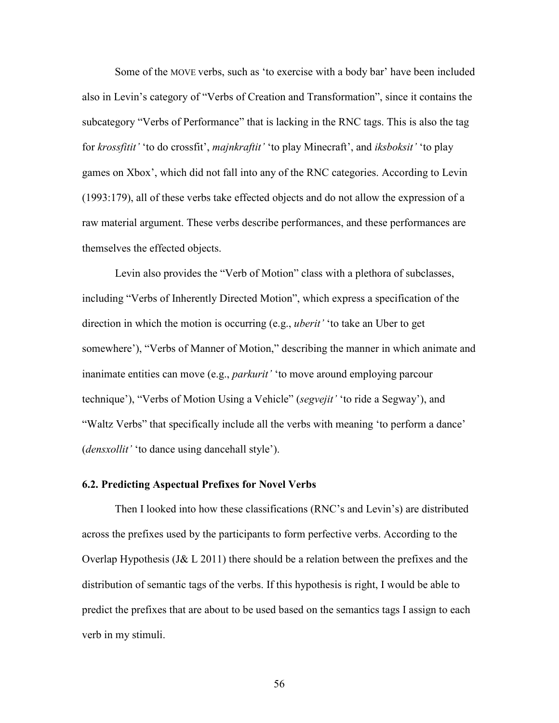Some of the MOVE verbs, such as 'to exercise with a body bar' have been included also in Levin's category of "Verbs of Creation and Transformation", since it contains the subcategory "Verbs of Performance" that is lacking in the RNC tags. This is also the tag for *krossfitit'* 'to do crossfit', *majnkraftit'* 'to play Minecraft', and *iksboksit'* 'to play games on Xbox', which did not fall into any of the RNC categories. According to Levin (1993:179), all of these verbs take effected objects and do not allow the expression of a raw material argument. These verbs describe performances, and these performances are themselves the effected objects.

Levin also provides the "Verb of Motion" class with a plethora of subclasses, including "Verbs of Inherently Directed Motion", which express a specification of the direction in which the motion is occurring (e.g., *uberit'* 'to take an Uber to get somewhere'), "Verbs of Manner of Motion," describing the manner in which animate and inanimate entities can move (e.g., *parkurit'* 'to move around employing parcour technique'), "Verbs of Motion Using a Vehicle" (*segvejit'* 'to ride a Segway'), and "Waltz Verbs" that specifically include all the verbs with meaning 'to perform a dance' (*densxollit'* 'to dance using dancehall style').

#### **6.2. Predicting Aspectual Prefixes for Novel Verbs**

Then I looked into how these classifications (RNC's and Levin's) are distributed across the prefixes used by the participants to form perfective verbs. According to the Overlap Hypothesis (J& L 2011) there should be a relation between the prefixes and the distribution of semantic tags of the verbs. If this hypothesis is right, I would be able to predict the prefixes that are about to be used based on the semantics tags I assign to each verb in my stimuli.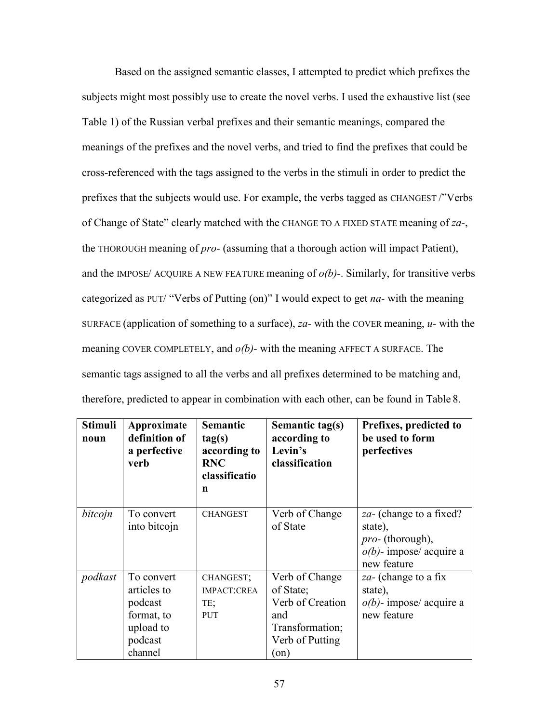Based on the assigned semantic classes, I attempted to predict which prefixes the subjects might most possibly use to create the novel verbs. I used the exhaustive list (see Table 1) of the Russian verbal prefixes and their semantic meanings, compared the meanings of the prefixes and the novel verbs, and tried to find the prefixes that could be cross-referenced with the tags assigned to the verbs in the stimuli in order to predict the prefixes that the subjects would use. For example, the verbs tagged as CHANGEST /"Verbs of Change of State" clearly matched with the CHANGE TO A FIXED STATE meaning of *za-*, the THOROUGH meaning of *pro-* (assuming that a thorough action will impact Patient), and the IMPOSE/ ACQUIRE A NEW FEATURE meaning of *o(b)-*. Similarly, for transitive verbs categorized as PUT/ "Verbs of Putting (on)" I would expect to get *na-* with the meaning SURFACE (application of something to a surface), *za-* with the COVER meaning, *u-* with the meaning COVER COMPLETELY, and *o(b)-* with the meaning AFFECT A SURFACE. The semantic tags assigned to all the verbs and all prefixes determined to be matching and, therefore, predicted to appear in combination with each other, can be found in Table 8.

| <b>Stimuli</b><br>noun | Approximate<br>definition of<br>a perfective<br>verb                                  | <b>Semantic</b><br>tag(s)<br>according to<br><b>RNC</b><br>classificatio<br>n | Semantic tag(s)<br>according to<br>Levin's<br>classification                                               | Prefixes, predicted to<br>be used to form<br>perfectives                                                           |
|------------------------|---------------------------------------------------------------------------------------|-------------------------------------------------------------------------------|------------------------------------------------------------------------------------------------------------|--------------------------------------------------------------------------------------------------------------------|
| bitcojn                | To convert<br>into bitcojn                                                            | <b>CHANGEST</b>                                                               | Verb of Change<br>of State                                                                                 | <i>za</i> - (change to a fixed?<br>state),<br><i>pro-</i> (thorough),<br>$o(b)$ - impose/ acquire a<br>new feature |
| podkast                | To convert<br>articles to<br>podcast<br>format, to<br>upload to<br>podcast<br>channel | CHANGEST;<br><b>IMPACT:CREA</b><br>TE;<br><b>PUT</b>                          | Verb of Change<br>of State;<br>Verb of Creation<br>and<br>Transformation;<br>Verb of Putting<br>$($ on $)$ | za- (change to a fix<br>state),<br>$o(b)$ - impose/ acquire a<br>new feature                                       |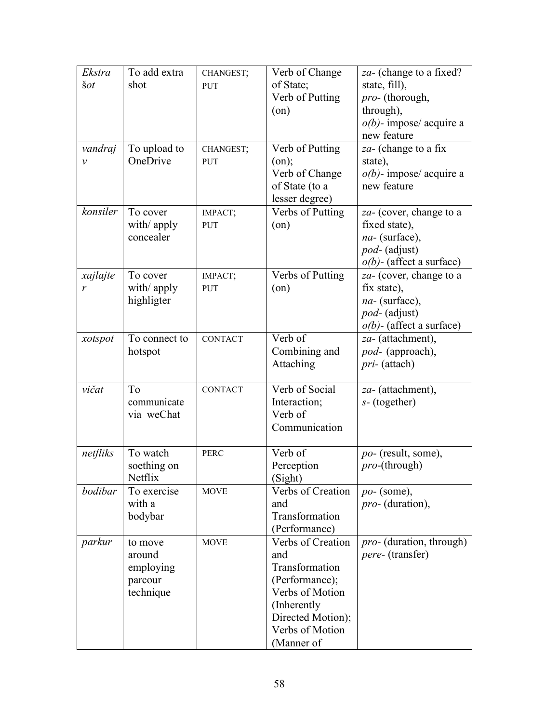| Ekstra         | To add extra  | CHANGEST;             | Verb of Change                     | za- (change to a fixed?                      |
|----------------|---------------|-----------------------|------------------------------------|----------------------------------------------|
| $\check{s}$ ot | shot          | PUT                   | of State;                          | state, fill),                                |
|                |               |                       | Verb of Putting                    | pro- (thorough,                              |
|                |               |                       | (on)                               | through),                                    |
|                |               |                       |                                    | $o(b)$ - impose/ acquire a                   |
|                |               |                       |                                    | new feature                                  |
| vandraj        | To upload to  | CHANGEST;             | Verb of Putting                    | za- (change to a fix                         |
| $\mathcal V$   | OneDrive      | <b>PUT</b>            | (on);                              | state),                                      |
|                |               |                       | Verb of Change                     | $o(b)$ - impose/ acquire a                   |
|                |               |                       | of State (to a                     | new feature                                  |
|                |               |                       | lesser degree)                     |                                              |
| konsiler       | To cover      | IMPACT;               | Verbs of Putting                   | za- (cover, change to a                      |
|                | with/ apply   | PUT                   | (on)                               | fixed state),                                |
|                | concealer     |                       |                                    | na- (surface),                               |
|                |               |                       |                                    | pod- (adjust)<br>$o(b)$ - (affect a surface) |
|                | To cover      |                       | Verbs of Putting                   |                                              |
| xajlajte<br>r  | with/apply    | IMPACT;<br><b>PUT</b> | $($ on $)$                         | za- (cover, change to a<br>fix state),       |
|                | highligter    |                       |                                    | $na-$ (surface),                             |
|                |               |                       |                                    | <i>pod-</i> (adjust)                         |
|                |               |                       |                                    | $o(b)$ - (affect a surface)                  |
| xotspot        | To connect to | <b>CONTACT</b>        | Verb of                            | za- (attachment),                            |
|                | hotspot       |                       | Combining and                      | pod- (approach),                             |
|                |               |                       | Attaching                          | pri- (attach)                                |
|                |               |                       |                                    |                                              |
| vičat          | To            | <b>CONTACT</b>        | Verb of Social                     | za- (attachment),                            |
|                | communicate   |                       | Interaction;                       | $s$ - (together)                             |
|                | via weChat    |                       | Verb of                            |                                              |
|                |               |                       | Communication                      |                                              |
|                |               |                       |                                    |                                              |
| netfliks       | To watch      | <b>PERC</b>           | Verb of                            | po- (result, some),                          |
|                | soething on   |                       | Perception                         | $pro$ -(through)                             |
|                | Netflix       |                       | (Sight)                            |                                              |
| bodibar        | To exercise   | <b>MOVE</b>           | Verbs of Creation                  | $po$ - (some),<br><i>pro-</i> (duration),    |
|                | with a        |                       | and<br>Transformation              |                                              |
|                | bodybar       |                       |                                    |                                              |
| parkur         |               | <b>MOVE</b>           | (Performance)<br>Verbs of Creation | <i>pro-</i> (duration, through)              |
|                |               |                       |                                    |                                              |
|                | to move       |                       |                                    |                                              |
|                | around        |                       | and                                | <i>pere-</i> (transfer)                      |
|                | employing     |                       | Transformation                     |                                              |
|                | parcour       |                       | (Performance);                     |                                              |
|                | technique     |                       | Verbs of Motion                    |                                              |
|                |               |                       | (Inherently                        |                                              |
|                |               |                       | Directed Motion);                  |                                              |
|                |               |                       |                                    |                                              |
|                |               |                       | Verbs of Motion                    |                                              |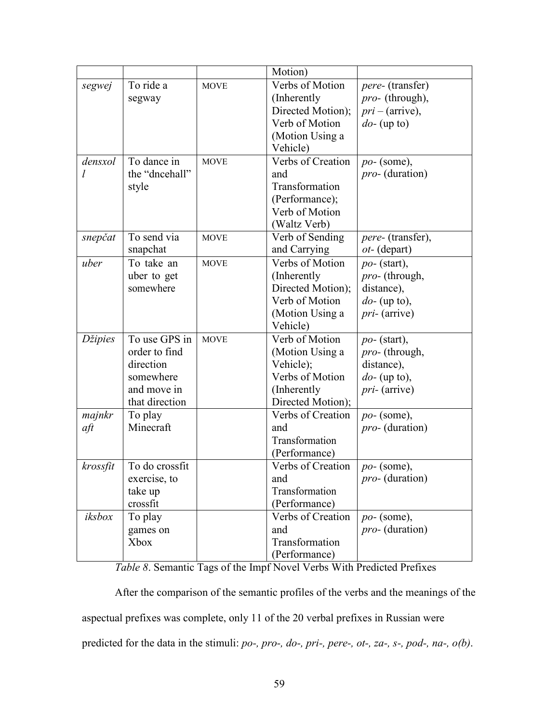|          |                |             | Motion)           |                         |
|----------|----------------|-------------|-------------------|-------------------------|
| segwej   | To ride a      | <b>MOVE</b> | Verbs of Motion   | <i>pere-</i> (transfer) |
|          | segway         |             | (Inherently)      | <i>pro-</i> (through),  |
|          |                |             | Directed Motion); | $pri - (arrive),$       |
|          |                |             | Verb of Motion    | $do$ - (up to)          |
|          |                |             | (Motion Using a   |                         |
|          |                |             | Vehicle)          |                         |
| densxol  | To dance in    | <b>MOVE</b> | Verbs of Creation | $po-$ (some),           |
| l        | the "dncehall" |             | and               | <i>pro-</i> (duration)  |
|          | style          |             | Transformation    |                         |
|          |                |             | (Performance);    |                         |
|          |                |             | Verb of Motion    |                         |
|          |                |             | (Waltz Verb)      |                         |
| snepčat  | To send via    | <b>MOVE</b> | Verb of Sending   | pere- (transfer),       |
|          | snapchat       |             | and Carrying      | ot- (depart)            |
| uber     | To take an     | <b>MOVE</b> | Verbs of Motion   | $po-$ (start),          |
|          | uber to get    |             | (Inherently)      | <i>pro-</i> (through,   |
|          | somewhere      |             | Directed Motion); | distance),              |
|          |                |             | Verb of Motion    | $do$ - (up to),         |
|          |                |             | (Motion Using a   | $pri$ - (arrive)        |
|          |                |             | Vehicle)          |                         |
| Džipies  | To use GPS in  | <b>MOVE</b> | Verb of Motion    | $po-$ (start),          |
|          | order to find  |             | (Motion Using a   | <i>pro-</i> (through,   |
|          | direction      |             | Vehicle);         | distance),              |
|          | somewhere      |             | Verbs of Motion   | $do$ - (up to),         |
|          | and move in    |             | (Inherently)      | $pri$ - (arrive)        |
|          | that direction |             | Directed Motion); |                         |
| majnkr   | To play        |             | Verbs of Creation | $po-$ (some),           |
| aft      | Minecraft      |             | and               | <i>pro-</i> (duration)  |
|          |                |             | Transformation    |                         |
|          |                |             | (Performance)     |                         |
| krossfit | To do crossfit |             | Verbs of Creation | $po-$ (some),           |
|          | exercise, to   |             | and               | pro- (duration)         |
|          | take up        |             | Transformation    |                         |
|          | crossfit       |             | (Performance)     |                         |
| iksbox   | To play        |             | Verbs of Creation | $po-$ (some),           |
|          | games on       |             | and               | <i>pro-</i> (duration)  |
|          | Xbox           |             | Transformation    |                         |
|          |                |             | (Performance)     |                         |

*Table 8*. Semantic Tags of the Impf Novel Verbs With Predicted Prefixes

After the comparison of the semantic profiles of the verbs and the meanings of the aspectual prefixes was complete, only 11 of the 20 verbal prefixes in Russian were predicted for the data in the stimuli: *po-, pro-, do-, pri-, pere-, ot-, za-, s-, pod-, na-, o(b)*.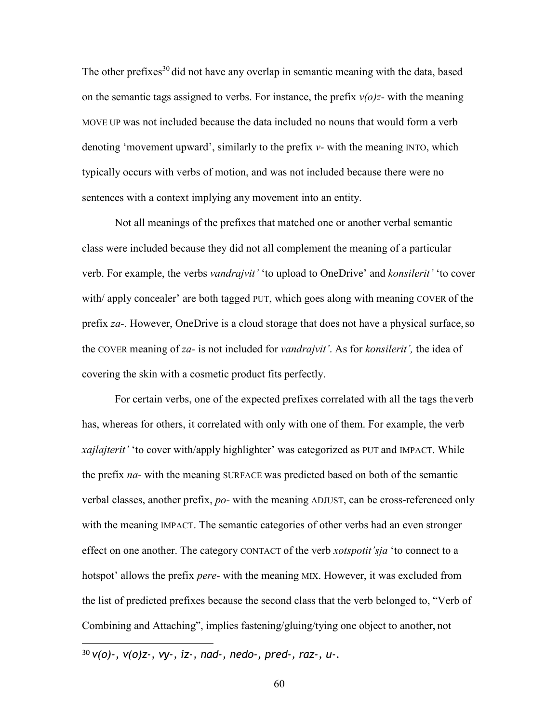The other prefixes<sup>30</sup> did not have any overlap in semantic meaning with the data, based on the semantic tags assigned to verbs. For instance, the prefix  $v(o)z$ - with the meaning MOVE UP was not included because the data included no nouns that would form a verb denoting 'movement upward', similarly to the prefix *v-* with the meaning INTO, which typically occurs with verbs of motion, and was not included because there were no sentences with a context implying any movement into an entity.

Not all meanings of the prefixes that matched one or another verbal semantic class were included because they did not all complement the meaning of a particular verb. For example, the verbs *vandrajvit'* 'to upload to OneDrive' and *konsilerit'* 'to cover with/ apply concealer' are both tagged PUT, which goes along with meaning COVER of the prefix *za-*. However, OneDrive is a cloud storage that does not have a physical surface, so the COVER meaning of *za-* is not included for *vandrajvit'*. As for *konsilerit',* the idea of covering the skin with a cosmetic product fits perfectly.

For certain verbs, one of the expected prefixes correlated with all the tags the verb has, whereas for others, it correlated with only with one of them. For example, the verb *xajlajterit'* 'to cover with/apply highlighter' was categorized as PUT and IMPACT. While the prefix *na-* with the meaning SURFACE was predicted based on both of the semantic verbal classes, another prefix, *po-* with the meaning ADJUST, can be cross-referenced only with the meaning IMPACT. The semantic categories of other verbs had an even stronger effect on one another. The category CONTACT of the verb *xotspotit'sja* 'to connect to a hotspot' allows the prefix *pere-* with the meaning MIX. However, it was excluded from the list of predicted prefixes because the second class that the verb belonged to, "Verb of Combining and Attaching", implies fastening/gluing/tying one object to another, not

<sup>30</sup> *v(o)-, v(o)z-, vy-, iz-, nad-, nedo-, pred-, raz-, u-.*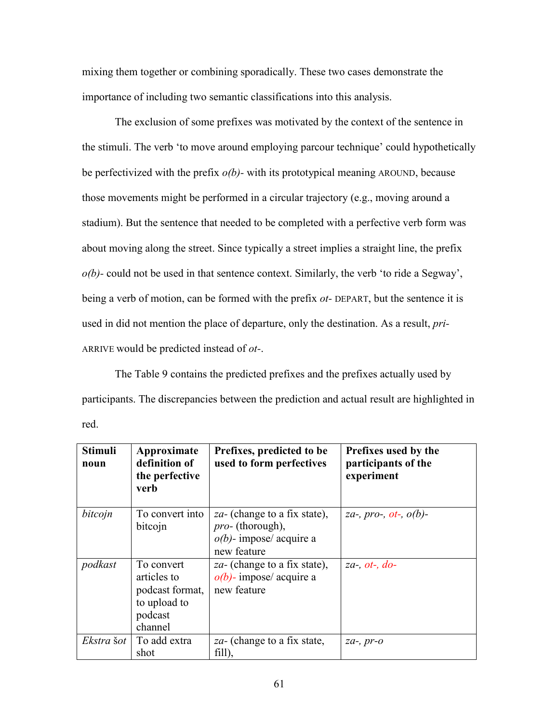mixing them together or combining sporadically. These two cases demonstrate the importance of including two semantic classifications into this analysis.

The exclusion of some prefixes was motivated by the context of the sentence in the stimuli. The verb 'to move around employing parcour technique' could hypothetically be perfectivized with the prefix *o(b)-* with its prototypical meaning AROUND, because those movements might be performed in a circular trajectory (e.g., moving around a stadium). But the sentence that needed to be completed with a perfective verb form was about moving along the street. Since typically a street implies a straight line, the prefix *o(b)-* could not be used in that sentence context. Similarly, the verb 'to ride a Segway', being a verb of motion, can be formed with the prefix *ot-* DEPART, but the sentence it is used in did not mention the place of departure, only the destination. As a result, *pri-*ARRIVE would be predicted instead of *ot-*.

The Table 9 contains the predicted prefixes and the prefixes actually used by participants. The discrepancies between the prediction and actual result are highlighted in red.

| <b>Stimuli</b><br>noun | Approximate<br>definition of<br>the perfective<br>verb                             | Prefixes, predicted to be<br>used to form perfectives                                                        | Prefixes used by the<br>participants of the<br>experiment      |
|------------------------|------------------------------------------------------------------------------------|--------------------------------------------------------------------------------------------------------------|----------------------------------------------------------------|
| bitcojn                | To convert into<br>bitcojn                                                         | <i>za</i> - (change to a fix state),<br><i>pro-</i> (thorough),<br>$o(b)$ - impose/ acquire a<br>new feature | <i>za-</i> , <i>pro-</i> , <i>ot-</i> , <i>o</i> ( <i>b</i> )- |
| podkast                | To convert<br>articles to<br>podcast format,<br>to upload to<br>podcast<br>channel | za- (change to a fix state),<br>$o(b)$ - impose/ acquire a<br>new feature                                    | $za$ , $ot$ -, $do$ -                                          |
| Ekstra šot             | To add extra<br>shot                                                               | <i>za</i> - (change to a fix state,<br>fill),                                                                | $za-, pr-o$                                                    |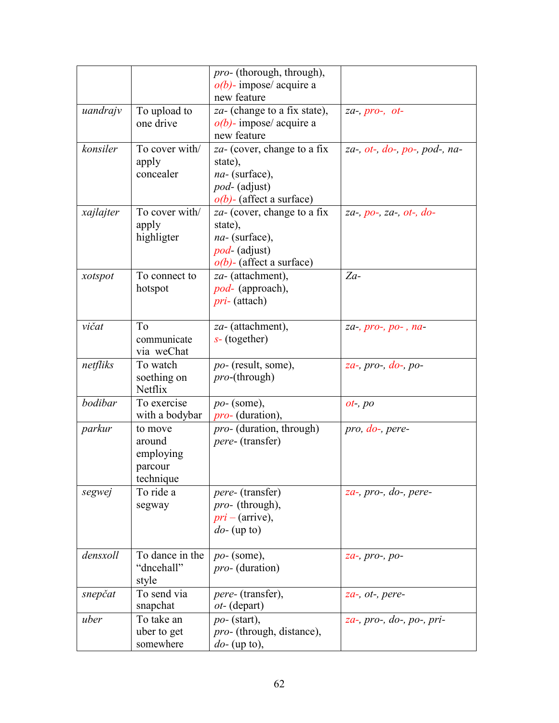|           |                                                        | <i>pro-</i> (thorough, through),<br>$o(b)$ - impose/ acquire a                                                  |                                              |
|-----------|--------------------------------------------------------|-----------------------------------------------------------------------------------------------------------------|----------------------------------------------|
|           |                                                        | new feature                                                                                                     |                                              |
| uandrajv  | To upload to<br>one drive                              | za- (change to a fix state),<br>$o(b)$ - impose/ acquire a<br>new feature                                       | $za-, pro-, ot-$                             |
| konsiler  | To cover with/<br>apply<br>concealer                   | za- (cover, change to a fix<br>state),<br>na- (surface),<br><i>pod-</i> (adjust)<br>$o(b)$ - (affect a surface) | za-, $ot$ -, $do$ -, $po$ -, $pod$ -, $na$ - |
| xajlajter | To cover with/<br>apply<br>highligter                  | za- (cover, change to a fix<br>state),<br>$na-$ (surface),<br>$pod$ - (adjust)<br>$o(b)$ - (affect a surface)   | $za-, po-, za-, ot-, do-$                    |
| xotspot   | To connect to<br>hotspot                               | za- (attachment),<br>pod- (approach),<br><i>pri</i> -(attach)                                                   | $Za-$                                        |
| vičat     | To<br>communicate<br>via weChat                        | za- (attachment),<br>$s$ - (together)                                                                           | $za$ -, $pro$ -, $po$ -, $na$ -              |
| netfliks  | To watch<br>soething on<br><b>Netflix</b>              | <i>po-</i> (result, some),<br><i>pro</i> -(through)                                                             | $za-$ , pro-, $do-$ , po-                    |
| bodibar   | To exercise<br>with a bodybar                          | $po-$ (some),<br><i>pro</i> - (duration),                                                                       | $ot$ -, $po$                                 |
| parkur    | to move<br>around<br>employing<br>parcour<br>technique | <i>pro-</i> (duration, through)<br><i>pere-</i> (transfer)                                                      | pro, do-, pere-                              |
| segwej    | To ride a<br>segway                                    | <i>pere-</i> (transfer)<br><i>pro-</i> (through),<br>$pri - (arrive),$<br>$do$ - (up to)                        | $za$ -, pro-, do-, pere-                     |
| densxoll  | To dance in the<br>"dncehall"<br>style                 | $po-$ (some),<br><i>pro-</i> (duration)                                                                         | $za-, pro-, po-$                             |
| snepčat   | To send via<br>snapchat                                | <i>pere-</i> (transfer),<br><i>ot</i> - (depart)                                                                | za-, ot-, pere-                              |
| uber      | To take an<br>uber to get<br>somewhere                 | $po-$ (start),<br><i>pro</i> - (through, distance),<br>$do$ - (up to),                                          | za-, pro-, do-, po-, pri-                    |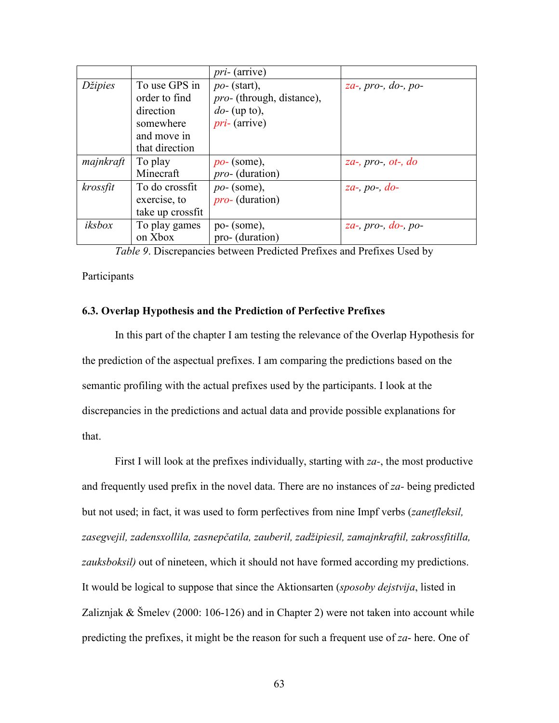|           |                                                                         | <i>pri-</i> (arrive)                                                                      |                            |
|-----------|-------------------------------------------------------------------------|-------------------------------------------------------------------------------------------|----------------------------|
| Džipies   | To use GPS in<br>order to find<br>direction<br>somewhere<br>and move in | $po-$ (start),<br><i>pro-</i> (through, distance),<br>$do$ - (up to),<br>$pri$ - (arrive) | $za-$ , pro-, do-, po-     |
|           | that direction                                                          |                                                                                           |                            |
| majnkraft | To play<br>Minecraft                                                    | $po-$ (some),<br><i>pro-</i> (duration)                                                   | za-, $pro$ -, $ot$ -, $do$ |
| krossfit  | To do crossfit<br>exercise, to<br>take up crossfit                      | $po-$ (some),<br><i>pro-</i> (duration)                                                   | $za-, po-, do-$            |
| iksbox    | To play games<br>on Xbox                                                | $po-$ (some),<br>pro- (duration)                                                          | za-, pro-, $do$ -, po-     |

*Table 9*. Discrepancies between Predicted Prefixes and Prefixes Used by

**Participants** 

### **6.3. Overlap Hypothesis and the Prediction of Perfective Prefixes**

In this part of the chapter I am testing the relevance of the Overlap Hypothesis for the prediction of the aspectual prefixes. I am comparing the predictions based on the semantic profiling with the actual prefixes used by the participants. I look at the discrepancies in the predictions and actual data and provide possible explanations for that.

First I will look at the prefixes individually, starting with *za-*, the most productive and frequently used prefix in the novel data. There are no instances of *za-* being predicted but not used; in fact, it was used to form perfectives from nine Impf verbs (*zanetfleksil, zasegvejil, zadensxollila, zasnepčatila, zauberil, zadžipiesil, zamajnkraftil, zakrossfitilla, zauksboksil)* out of nineteen, which it should not have formed according my predictions. It would be logical to suppose that since the Aktionsarten (*sposoby dejstvija*, listed in Zaliznjak & Šmelev (2000: 106-126) and in Chapter 2) were not taken into account while predicting the prefixes, it might be the reason for such a frequent use of *za*- here. One of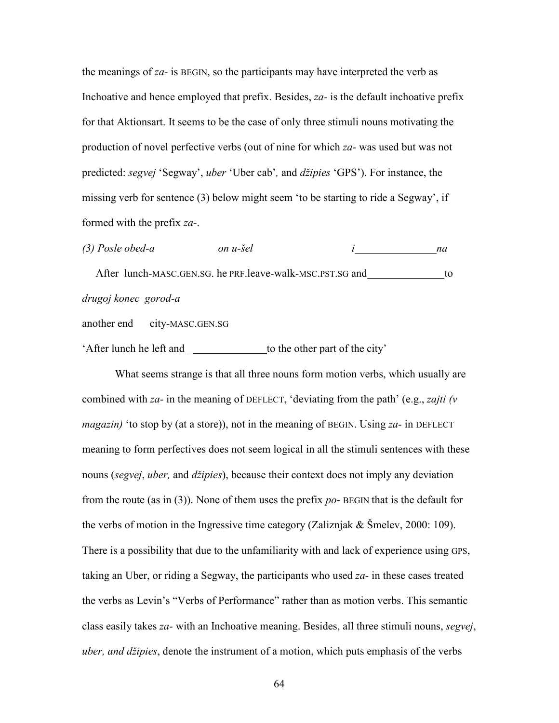the meanings of *za-* is BEGIN, so the participants may have interpreted the verb as Inchoative and hence employed that prefix. Besides, *za-* is the default inchoative prefix for that Aktionsart. It seems to be the case of only three stimuli nouns motivating the production of novel perfective verbs (out of nine for which *za-* was used but was not predicted: *segvej* 'Segway', *uber* 'Uber cab'*,* and *džipies* 'GPS'). For instance, the missing verb for sentence (3) below might seem 'to be starting to ride a Segway', if formed with the prefix *za-*.

*(3) Posle obed-a on u-šel i na*  After lunch-MASC.GEN.SG. he PRF.leave-walk-MSC.PST.SG and to *drugoj konec gorod-a* 

another end city-MASC.GEN.SG

'After lunch he left and \_\_\_\_\_\_\_\_\_\_\_\_\_\_\_\_\_\_ to the other part of the city'

What seems strange is that all three nouns form motion verbs, which usually are combined with *za-* in the meaning of DEFLECT, 'deviating from the path' (e.g., *zajti (v magazin)* 'to stop by (at a store)), not in the meaning of BEGIN. Using *za-* in DEFLECT meaning to form perfectives does not seem logical in all the stimuli sentences with these nouns (*segvej*, *uber,* and *džipies*), because their context does not imply any deviation from the route (as in (3)). None of them uses the prefix *po*- BEGIN that is the default for the verbs of motion in the Ingressive time category (Zaliznjak & Šmelev, 2000: 109). There is a possibility that due to the unfamiliarity with and lack of experience using GPS, taking an Uber, or riding a Segway, the participants who used *za-* in these cases treated the verbs as Levin's "Verbs of Performance" rather than as motion verbs. This semantic class easily takes *za-* with an Inchoative meaning. Besides, all three stimuli nouns, *segvej*, *uber, and džipies*, denote the instrument of a motion, which puts emphasis of the verbs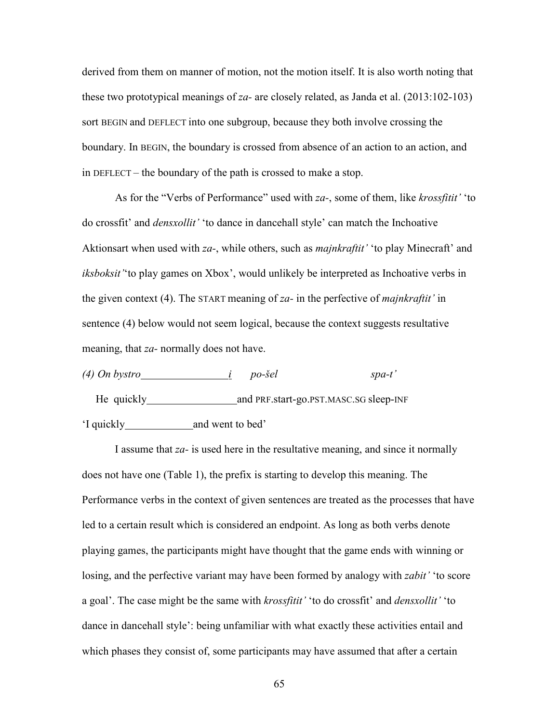derived from them on manner of motion, not the motion itself. It is also worth noting that these two prototypical meanings of *za-* are closely related, as Janda et al. (2013:102-103) sort BEGIN and DEFLECT into one subgroup, because they both involve crossing the boundary. In BEGIN, the boundary is crossed from absence of an action to an action, and in DEFLECT – the boundary of the path is crossed to make a stop.

As for the "Verbs of Performance" used with *za-*, some of them, like *krossfitit'* 'to do crossfit' and *densxollit'* 'to dance in dancehall style' can match the Inchoative Aktionsart when used with *za-*, while others, such as *majnkraftit'* 'to play Minecraft' and *iksboksit'*'to play games on Xbox', would unlikely be interpreted as Inchoative verbs in the given context (4). The START meaning of *za-* in the perfective of *majnkraftit'* in sentence (4) below would not seem logical, because the context suggests resultative meaning, that *za-* normally does not have.

*(4) On bystro i po-šel spa-t'*  He quickly and PRF.start-go.PST.MASC.SG sleep-INF 'I quickly and went to bed'

I assume that *za-* is used here in the resultative meaning, and since it normally does not have one (Table 1), the prefix is starting to develop this meaning. The Performance verbs in the context of given sentences are treated as the processes that have led to a certain result which is considered an endpoint. As long as both verbs denote playing games, the participants might have thought that the game ends with winning or losing, and the perfective variant may have been formed by analogy with *zabit'* 'to score a goal'. The case might be the same with *krossfitit'* 'to do crossfit' and *densxollit'* 'to dance in dancehall style': being unfamiliar with what exactly these activities entail and which phases they consist of, some participants may have assumed that after a certain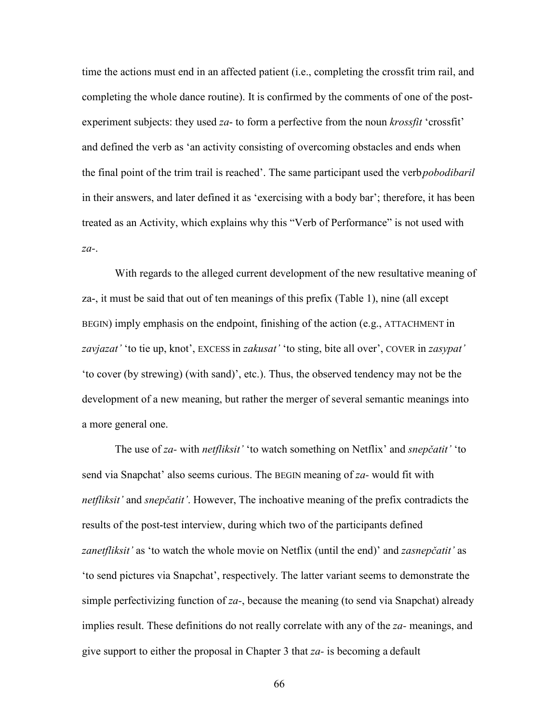time the actions must end in an affected patient (i.e., completing the crossfit trim rail, and completing the whole dance routine). It is confirmed by the comments of one of the postexperiment subjects: they used *za*- to form a perfective from the noun *krossfit* 'crossfit' and defined the verb as 'an activity consisting of overcoming obstacles and ends when the final point of the trim trail is reached'. The same participant used the verb *pobodibaril*  in their answers, and later defined it as 'exercising with a body bar'; therefore, it has been treated as an Activity, which explains why this "Verb of Performance" is not used with *za-*.

With regards to the alleged current development of the new resultative meaning of za-, it must be said that out of ten meanings of this prefix (Table 1), nine (all except BEGIN) imply emphasis on the endpoint, finishing of the action (e.g., ATTACHMENT in *zavjazat'* 'to tie up, knot', EXCESS in *zakusat'* 'to sting, bite all over', COVER in *zasypat'*  'to cover (by strewing) (with sand)', etc.). Thus, the observed tendency may not be the development of a new meaning, but rather the merger of several semantic meanings into a more general one.

The use of *za-* with *netfliksit'* 'to watch something on Netflix' and *snepčatit'* 'to send via Snapchat' also seems curious. The BEGIN meaning of *za-* would fit with *netfliksit'* and *snepčatit'*. However, The inchoative meaning of the prefix contradicts the results of the post-test interview, during which two of the participants defined *zanetfliksit'* as 'to watch the whole movie on Netflix (until the end)' and *zasnepčatit'* as 'to send pictures via Snapchat', respectively. The latter variant seems to demonstrate the simple perfectivizing function of *za-*, because the meaning (to send via Snapchat) already implies result. These definitions do not really correlate with any of the *za-* meanings, and give support to either the proposal in Chapter 3 that *za-* is becoming a default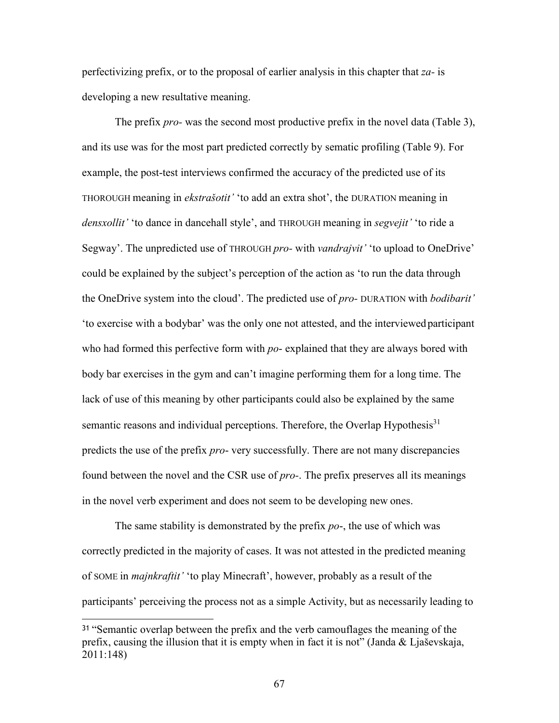perfectivizing prefix, or to the proposal of earlier analysis in this chapter that *za-* is developing a new resultative meaning.

The prefix *pro-* was the second most productive prefix in the novel data (Table 3), and its use was for the most part predicted correctly by sematic profiling (Table 9). For example, the post-test interviews confirmed the accuracy of the predicted use of its THOROUGH meaning in *ekstrašotit'* 'to add an extra shot', the DURATION meaning in *densxollit'* 'to dance in dancehall style', and THROUGH meaning in *segvejit'* 'to ride a Segway'. The unpredicted use of THROUGH *pro-* with *vandrajvit'* 'to upload to OneDrive' could be explained by the subject's perception of the action as 'to run the data through the OneDrive system into the cloud'. The predicted use of *pro-* DURATION with *bodibarit'*  'to exercise with a bodybar' was the only one not attested, and the interviewed participant who had formed this perfective form with *po*- explained that they are always bored with body bar exercises in the gym and can't imagine performing them for a long time. The lack of use of this meaning by other participants could also be explained by the same semantic reasons and individual perceptions. Therefore, the Overlap Hypothesis<sup>31</sup> predicts the use of the prefix *pro*- very successfully. There are not many discrepancies found between the novel and the CSR use of *pro-*. The prefix preserves all its meanings in the novel verb experiment and does not seem to be developing new ones.

The same stability is demonstrated by the prefix *po*-, the use of which was correctly predicted in the majority of cases. It was not attested in the predicted meaning of SOME in *majnkraftit'* 'to play Minecraft', however, probably as a result of the participants' perceiving the process not as a simple Activity, but as necessarily leading to

<sup>31</sup>"Semantic overlap between the prefix and the verb camouflages the meaning of the prefix, causing the illusion that it is empty when in fact it is not" (Janda & Ljaševskaja, 2011:148)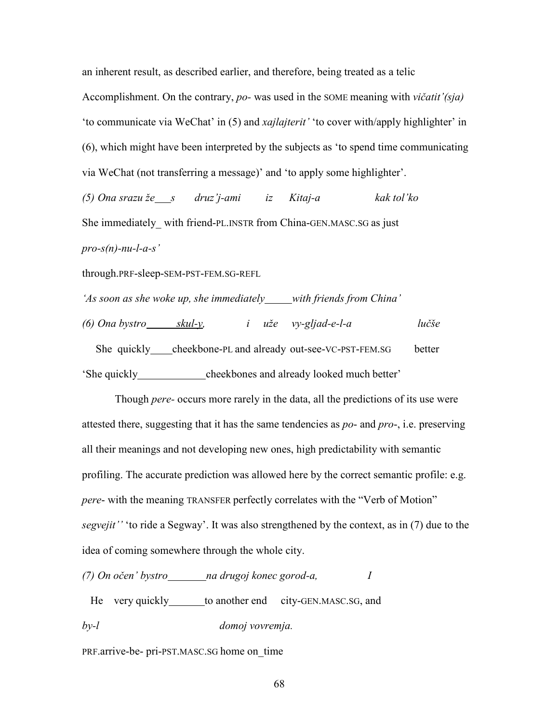an inherent result, as described earlier, and therefore, being treated as a telic Accomplishment. On the contrary, *po-* was used in the SOME meaning with *vičatit'(sja)*  'to communicate via WeChat' in (5) and *xajlajterit'* 'to cover with/apply highlighter' in (6), which might have been interpreted by the subjects as 'to spend time communicating via WeChat (not transferring a message)' and 'to apply some highlighter'.

*(5) Ona srazu že s druz'j-ami iz Kitaj-a kak tol'ko*  She immediately with friend-PL.INSTR from China-GEN.MASC.SG as just *pro-s(n)-nu-l-a-s'* 

through.PRF-sleep-SEM-PST-FEM.SG-REFL

*'As soon as she woke up, she immediately with friends from China'* 

*(6) Ona bystro skul-y, i uže vy-gljad-e-l-a lučše*  She quickly cheekbone-PL and already out-see-VC-PST-FEM.SG better 'She quickly cheekbones and already looked much better'

Though *pere-* occurs more rarely in the data, all the predictions of its use were attested there, suggesting that it has the same tendencies as *po*- and *pro*-, i.e. preserving all their meanings and not developing new ones, high predictability with semantic profiling. The accurate prediction was allowed here by the correct semantic profile: e.g. *pere*- with the meaning TRANSFER perfectly correlates with the "Verb of Motion" *segvejit''* 'to ride a Segway'. It was also strengthened by the context, as in (7) due to the idea of coming somewhere through the whole city.

*(7) On očen' bystro na drugoj konec gorod-a, I* 

He very quickly to another end city-GEN.MASC.SG, and *by-l domoj vovremja.* 

PRF.arrive-be- pri-PST.MASC.SG home on\_time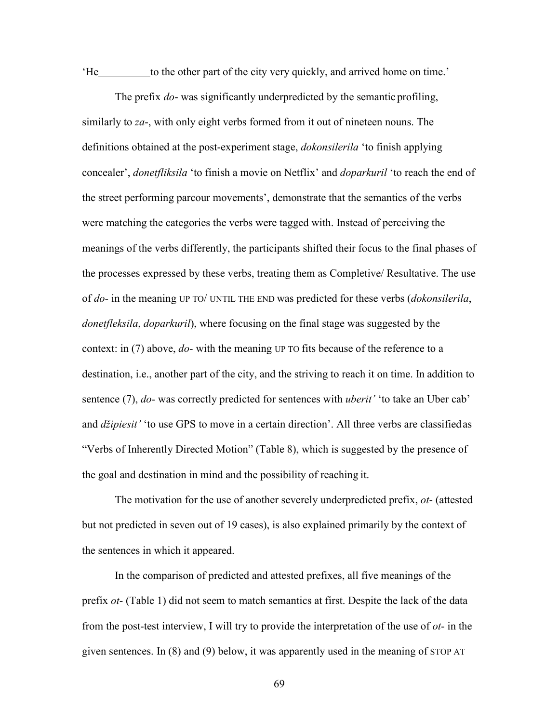'He to the other part of the city very quickly, and arrived home on time.'

The prefix *do*- was significantly underpredicted by the semantic profiling, similarly to *za*-, with only eight verbs formed from it out of nineteen nouns. The definitions obtained at the post-experiment stage, *dokonsilerila* 'to finish applying concealer', *donetfliksila* 'to finish a movie on Netflix' and *doparkuril* 'to reach the end of the street performing parcour movements', demonstrate that the semantics of the verbs were matching the categories the verbs were tagged with. Instead of perceiving the meanings of the verbs differently, the participants shifted their focus to the final phases of the processes expressed by these verbs, treating them as Completive/ Resultative. The use of *do*- in the meaning UP TO/ UNTIL THE END was predicted for these verbs (*dokonsilerila*, *donetfleksila*, *doparkuril*), where focusing on the final stage was suggested by the context: in (7) above, *do*- with the meaning UP TO fits because of the reference to a destination, i.e., another part of the city, and the striving to reach it on time. In addition to sentence (7), *do-* was correctly predicted for sentences with *uberit'* 'to take an Uber cab' and *džipiesit'* 'to use GPS to move in a certain direction'. All three verbs are classified as "Verbs of Inherently Directed Motion" (Table 8), which is suggested by the presence of the goal and destination in mind and the possibility of reaching it.

The motivation for the use of another severely underpredicted prefix, *ot*- (attested but not predicted in seven out of 19 cases), is also explained primarily by the context of the sentences in which it appeared.

In the comparison of predicted and attested prefixes, all five meanings of the prefix *ot*- (Table 1) did not seem to match semantics at first. Despite the lack of the data from the post-test interview, I will try to provide the interpretation of the use of *ot*- in the given sentences. In (8) and (9) below, it was apparently used in the meaning of STOP AT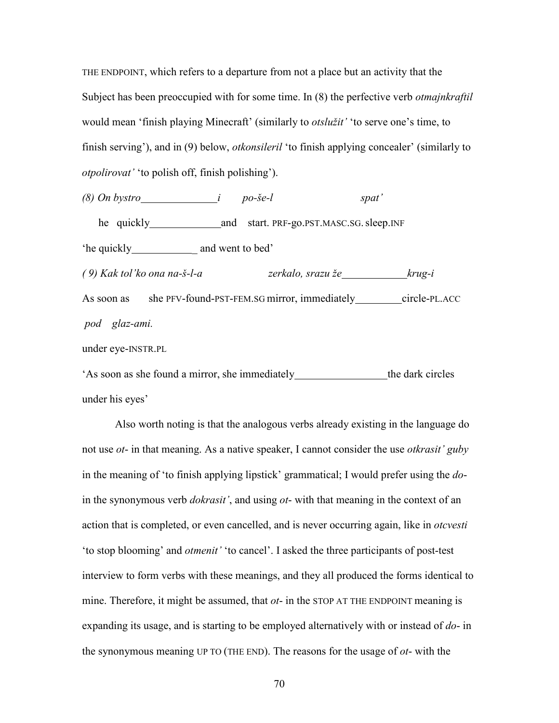THE ENDPOINT, which refers to a departure from not a place but an activity that the Subject has been preoccupied with for some time. In (8) the perfective verb *otmajnkraftil*  would mean 'finish playing Minecraft' (similarly to *otslužit'* 'to serve one's time, to finish serving'), and in (9) below, *otkonsileril* 'to finish applying concealer' (similarly to *otpolirovat'* 'to polish off, finish polishing').

*(8) On bystro i po-še-l spat'*  he quickly and start. PRF-go.PST.MASC.SG. sleep.INF 'he quickly \_\_\_\_\_\_\_\_\_\_\_\_ and went to bed' *( 9) Kak tol'ko ona na-š-l-a zerkalo, srazu že krug-i*  As soon as she PFV-found-PST-FEM.SG mirror, immediately circle-PL.ACC *pod glaz-ami.*  under eye-INSTR.PL

As soon as she found a mirror, she immediately the dark circles under his eyes'

Also worth noting is that the analogous verbs already existing in the language do not use *ot*- in that meaning. As a native speaker, I cannot consider the use *otkrasit' guby*  in the meaning of 'to finish applying lipstick' grammatical; I would prefer using the *do*in the synonymous verb *dokrasit'*, and using *ot*- with that meaning in the context of an action that is completed, or even cancelled, and is never occurring again, like in *otcvesti*  'to stop blooming' and *otmenit'* 'to cancel'. I asked the three participants of post-test interview to form verbs with these meanings, and they all produced the forms identical to mine. Therefore, it might be assumed, that *ot*- in the STOP AT THE ENDPOINT meaning is expanding its usage, and is starting to be employed alternatively with or instead of *do*- in the synonymous meaning UP TO (THE END). The reasons for the usage of *ot*- with the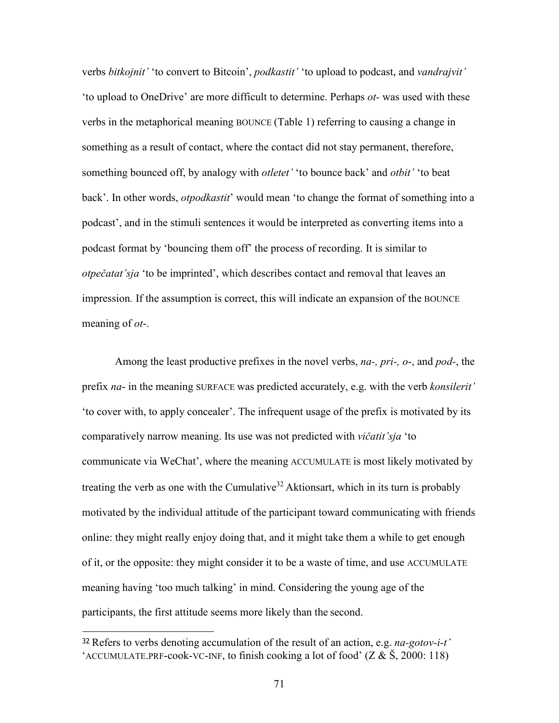verbs *bitkojnit'* 'to convert to Bitcoin', *podkastit'* 'to upload to podcast, and *vandrajvit'*  'to upload to OneDrive' are more difficult to determine. Perhaps *ot-* was used with these verbs in the metaphorical meaning BOUNCE (Table 1) referring to causing a change in something as a result of contact, where the contact did not stay permanent, therefore, something bounced off, by analogy with *otletet'* 'to bounce back' and *otbit'* 'to beat back'. In other words, *otpodkastit*' would mean 'to change the format of something into a podcast', and in the stimuli sentences it would be interpreted as converting items into a podcast format by 'bouncing them off' the process of recording. It is similar to *otpečatat'sja* 'to be imprinted', which describes contact and removal that leaves an impression*.* If the assumption is correct, this will indicate an expansion of the BOUNCE meaning of *ot*-.

Among the least productive prefixes in the novel verbs, *na-, pri-, o*-, and *pod-*, the prefix *na*- in the meaning SURFACE was predicted accurately, e.g. with the verb *konsilerit'*  'to cover with, to apply concealer'. The infrequent usage of the prefix is motivated by its comparatively narrow meaning. Its use was not predicted with *vičatit'sja* 'to communicate via WeChat', where the meaning ACCUMULATE is most likely motivated by treating the verb as one with the Cumulative<sup>32</sup> Aktionsart, which in its turn is probably motivated by the individual attitude of the participant toward communicating with friends online: they might really enjoy doing that, and it might take them a while to get enough of it, or the opposite: they might consider it to be a waste of time, and use ACCUMULATE meaning having 'too much talking' in mind. Considering the young age of the participants, the first attitude seems more likely than the second.

<sup>32</sup>Refers to verbs denoting accumulation of the result of an action, e.g. *na-gotov-i-t'*  'ACCUMULATE.PRF-cook-VC-INF, to finish cooking a lot of food'  $(Z & S, 2000; 118)$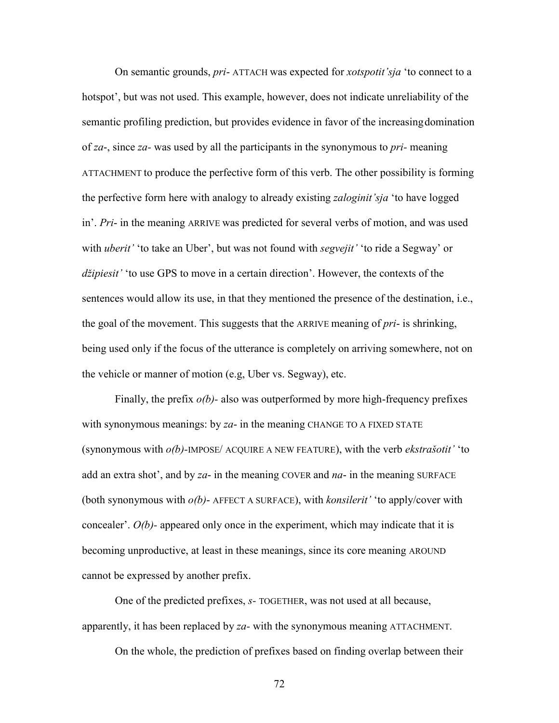On semantic grounds, *pri*- ATTACH was expected for *xotspotit'sja* 'to connect to a hotspot', but was not used. This example, however, does not indicate unreliability of the semantic profiling prediction, but provides evidence in favor of the increasing domination of *za*-, since *za-* was used by all the participants in the synonymous to *pri-* meaning ATTACHMENT to produce the perfective form of this verb. The other possibility is forming the perfective form here with analogy to already existing *zaloginit'sja* 'to have logged in'. *Pri*- in the meaning ARRIVE was predicted for several verbs of motion, and was used with *uberit'* 'to take an Uber', but was not found with *segvejit'* 'to ride a Segway' or *džipiesit'* 'to use GPS to move in a certain direction'. However, the contexts of the sentences would allow its use, in that they mentioned the presence of the destination, i.e., the goal of the movement. This suggests that the ARRIVE meaning of *pri*- is shrinking, being used only if the focus of the utterance is completely on arriving somewhere, not on the vehicle or manner of motion (e.g, Uber vs. Segway), etc.

Finally, the prefix *o(b)-* also was outperformed by more high-frequency prefixes with synonymous meanings: by *za*- in the meaning CHANGE TO A FIXED STATE (synonymous with *o(b)-*IMPOSE/ ACQUIRE A NEW FEATURE), with the verb *ekstrašotit'* 'to add an extra shot', and by *za*- in the meaning COVER and *na*- in the meaning SURFACE (both synonymous with *o(b)*- AFFECT A SURFACE), with *konsilerit'* 'to apply/cover with concealer'.  $O(b)$ - appeared only once in the experiment, which may indicate that it is becoming unproductive, at least in these meanings, since its core meaning AROUND cannot be expressed by another prefix.

One of the predicted prefixes, *s-* TOGETHER, was not used at all because, apparently, it has been replaced by *za-* with the synonymous meaning ATTACHMENT.

On the whole, the prediction of prefixes based on finding overlap between their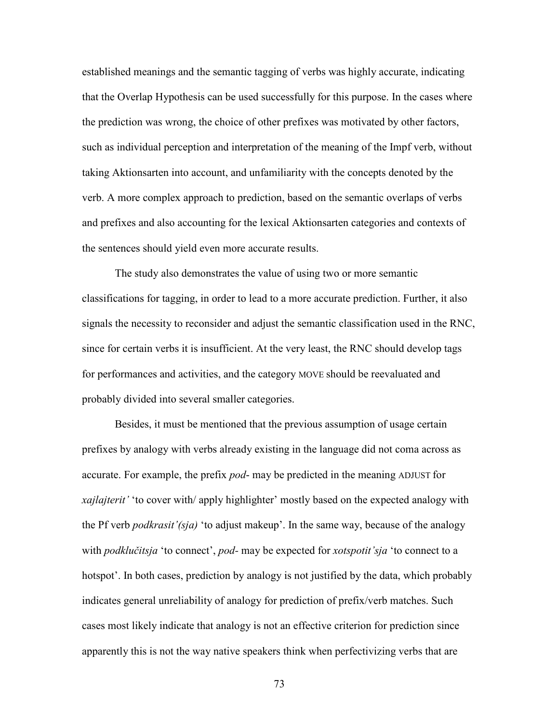established meanings and the semantic tagging of verbs was highly accurate, indicating that the Overlap Hypothesis can be used successfully for this purpose. In the cases where the prediction was wrong, the choice of other prefixes was motivated by other factors, such as individual perception and interpretation of the meaning of the Impf verb, without taking Aktionsarten into account, and unfamiliarity with the concepts denoted by the verb. A more complex approach to prediction, based on the semantic overlaps of verbs and prefixes and also accounting for the lexical Aktionsarten categories and contexts of the sentences should yield even more accurate results.

The study also demonstrates the value of using two or more semantic classifications for tagging, in order to lead to a more accurate prediction. Further, it also signals the necessity to reconsider and adjust the semantic classification used in the RNC, since for certain verbs it is insufficient. At the very least, the RNC should develop tags for performances and activities, and the category MOVE should be reevaluated and probably divided into several smaller categories.

Besides, it must be mentioned that the previous assumption of usage certain prefixes by analogy with verbs already existing in the language did not coma across as accurate. For example, the prefix *pod*- may be predicted in the meaning ADJUST for *xajlajterit'* 'to cover with/ apply highlighter' mostly based on the expected analogy with the Pf verb *podkrasit'(sja)* 'to adjust makeup'. In the same way, because of the analogy with *podklučitsja* 'to connect', *pod-* may be expected for *xotspotit'sja* 'to connect to a hotspot'. In both cases, prediction by analogy is not justified by the data, which probably indicates general unreliability of analogy for prediction of prefix/verb matches. Such cases most likely indicate that analogy is not an effective criterion for prediction since apparently this is not the way native speakers think when perfectivizing verbs that are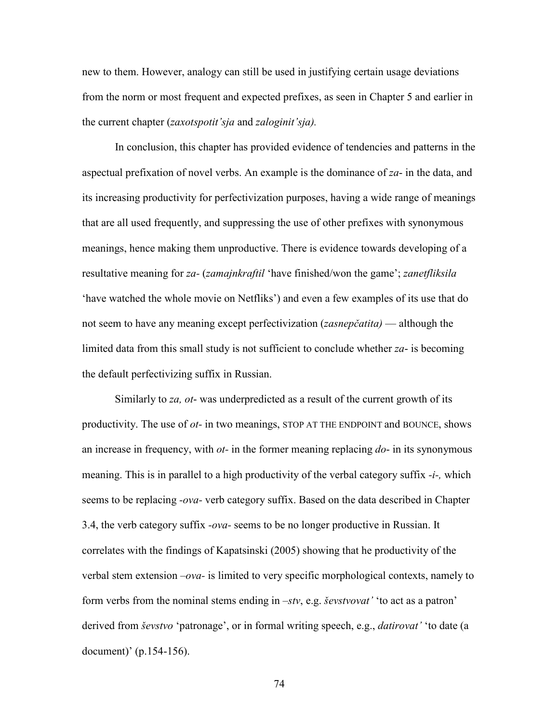new to them. However, analogy can still be used in justifying certain usage deviations from the norm or most frequent and expected prefixes, as seen in Chapter 5 and earlier in the current chapter (*zaxotspotit'sja* and *zaloginit'sja).* 

In conclusion, this chapter has provided evidence of tendencies and patterns in the aspectual prefixation of novel verbs. An example is the dominance of *za*- in the data, and its increasing productivity for perfectivization purposes, having a wide range of meanings that are all used frequently, and suppressing the use of other prefixes with synonymous meanings, hence making them unproductive. There is evidence towards developing of a resultative meaning for *za-* (*zamajnkraftil* 'have finished/won the game'; *zanetfliksila*  'have watched the whole movie on Netfliks') and even a few examples of its use that do not seem to have any meaning except perfectivization (*zasnepčatita)* — although the limited data from this small study is not sufficient to conclude whether *za*- is becoming the default perfectivizing suffix in Russian.

Similarly to *za, ot*- was underpredicted as a result of the current growth of its productivity. The use of *ot-* in two meanings, STOP AT THE ENDPOINT and BOUNCE, shows an increase in frequency, with *ot-* in the former meaning replacing *do*- in its synonymous meaning. This is in parallel to a high productivity of the verbal category suffix *-i-,* which seems to be replacing *-ova-* verb category suffix. Based on the data described in Chapter 3.4, the verb category suffix *-ova-* seems to be no longer productive in Russian. It correlates with the findings of Kapatsinski (2005) showing that he productivity of the verbal stem extension *–ova-* is limited to very specific morphological contexts, namely to form verbs from the nominal stems ending in *–stv*, e.g. *ševstvovat'* 'to act as a patron' derived from *ševstvo* 'patronage', or in formal writing speech, e.g., *datirovat'* 'to date (a document)' (p.154-156).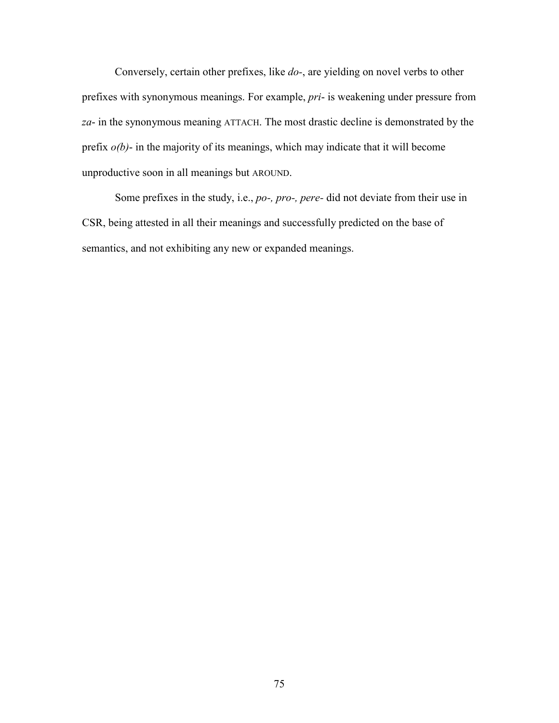Conversely, certain other prefixes, like *do-*, are yielding on novel verbs to other prefixes with synonymous meanings. For example, *pri*- is weakening under pressure from *za*- in the synonymous meaning ATTACH. The most drastic decline is demonstrated by the prefix  $o(b)$ - in the majority of its meanings, which may indicate that it will become unproductive soon in all meanings but AROUND.

Some prefixes in the study, i.e., *po-, pro-, pere-* did not deviate from their use in CSR, being attested in all their meanings and successfully predicted on the base of semantics, and not exhibiting any new or expanded meanings.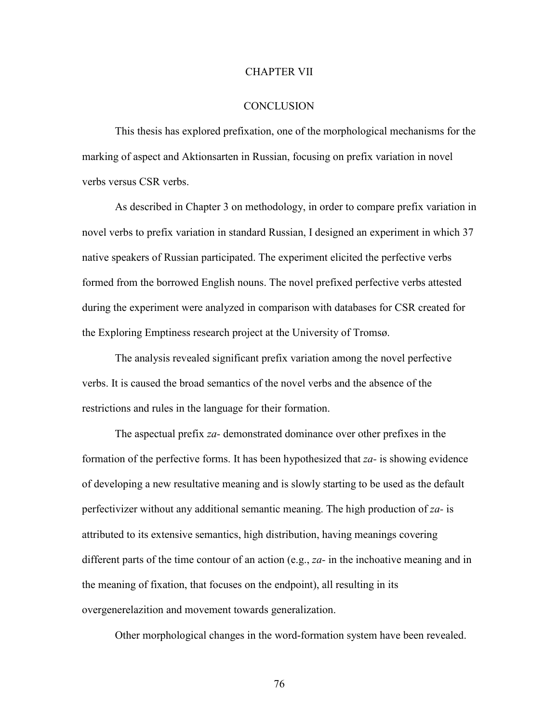### CHAPTER VII

#### **CONCLUSION**

This thesis has explored prefixation, one of the morphological mechanisms for the marking of aspect and Aktionsarten in Russian, focusing on prefix variation in novel verbs versus CSR verbs.

As described in Chapter 3 on methodology, in order to compare prefix variation in novel verbs to prefix variation in standard Russian, I designed an experiment in which 37 native speakers of Russian participated. The experiment elicited the perfective verbs formed from the borrowed English nouns. The novel prefixed perfective verbs attested during the experiment were analyzed in comparison with databases for CSR created for the Exploring Emptiness research project at the University of Tromsø.

The analysis revealed significant prefix variation among the novel perfective verbs. It is caused the broad semantics of the novel verbs and the absence of the restrictions and rules in the language for their formation.

The aspectual prefix *za-* demonstrated dominance over other prefixes in the formation of the perfective forms. It has been hypothesized that *za-* is showing evidence of developing a new resultative meaning and is slowly starting to be used as the default perfectivizer without any additional semantic meaning. The high production of *za-* is attributed to its extensive semantics, high distribution, having meanings covering different parts of the time contour of an action (e.g., *za-* in the inchoative meaning and in the meaning of fixation, that focuses on the endpoint), all resulting in its overgenerelazition and movement towards generalization.

Other morphological changes in the word-formation system have been revealed.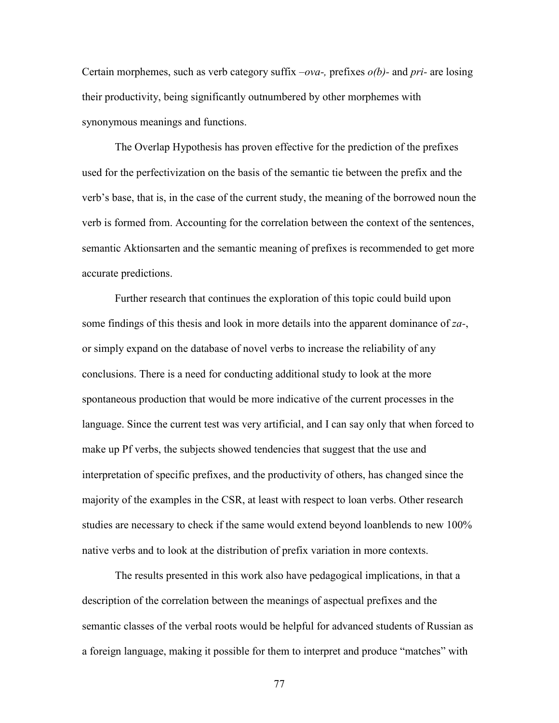Certain morphemes, such as verb category suffix *–ova-,* prefixes *o(b)-* and *pri-* are losing their productivity, being significantly outnumbered by other morphemes with synonymous meanings and functions.

The Overlap Hypothesis has proven effective for the prediction of the prefixes used for the perfectivization on the basis of the semantic tie between the prefix and the verb's base, that is, in the case of the current study, the meaning of the borrowed noun the verb is formed from. Accounting for the correlation between the context of the sentences, semantic Aktionsarten and the semantic meaning of prefixes is recommended to get more accurate predictions.

Further research that continues the exploration of this topic could build upon some findings of this thesis and look in more details into the apparent dominance of *zа-*, or simply expand on the database of novel verbs to increase the reliability of any conclusions. There is a need for conducting additional study to look at the more spontaneous production that would be more indicative of the current processes in the language. Since the current test was very artificial, and I can say only that when forced to make up Pf verbs, the subjects showed tendencies that suggest that the use and interpretation of specific prefixes, and the productivity of others, has changed since the majority of the examples in the CSR, at least with respect to loan verbs. Other research studies are necessary to check if the same would extend beyond loanblends to new 100% native verbs and to look at the distribution of prefix variation in more contexts.

The results presented in this work also have pedagogical implications, in that a description of the correlation between the meanings of aspectual prefixes and the semantic classes of the verbal roots would be helpful for advanced students of Russian as a foreign language, making it possible for them to interpret and produce "matches" with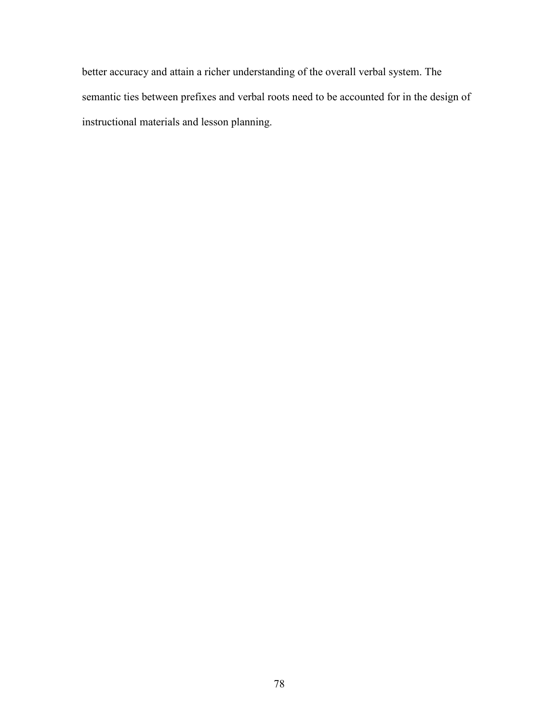better accuracy and attain a richer understanding of the overall verbal system. The semantic ties between prefixes and verbal roots need to be accounted for in the design of instructional materials and lesson planning.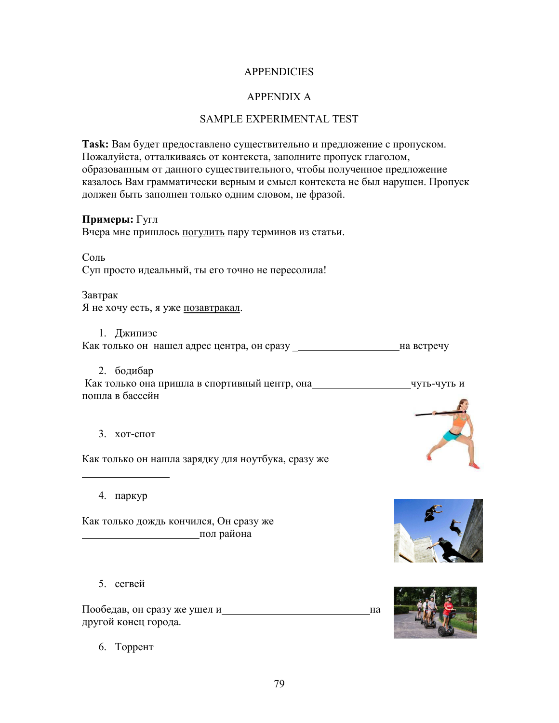## **APPENDICIES**

## APPENDIX A

### SAMPLE EXPERIMENTAL TEST

**Task:** Вам будет предоставлено существительно и предложение с пропуском. Пожалуйста, отталкиваясь от контекста, заполните пропуск глаголом, образованным от данного существительного, чтобы полученное предложение казалось Вам грамматически верным и смысл контекста не был нарушен. Пропуск должен быть заполнен только одним словом, не фразой.

### **Примеры:** Гугл

Вчера мне пришлось погулить пару терминов из статьи.

Соль

Суп просто идеальный, ты его точно не пересолила!

Завтрак Я не хочу есть, я уже позавтракал.

1. Джипиэс Как только он нашел адрес центра, он сразу \_ на встречу

2. бодибар

Как только она пришла в спортивный центр, она чти чуть-чуть и пошла в бассейн

3. хот-спот

Как только он нашла зарядку для ноутбука, сразу же

4. паркур

Как только дождь кончился, Он сразу же пол района

5. сегвей

Пообедав, он сразу же ушел и на на на на на другой конец города.

6. Торрент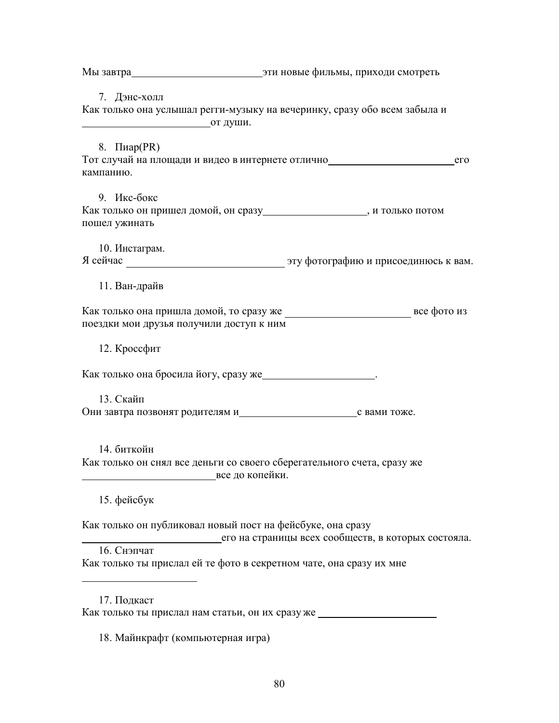Мы завтра приходи смотреть приходи смотреть 7. Дэнс-холл Как только она услышал регги-музыку на вечеринку, сразу обо всем забыла и от души. 8. Пиар(PR) Тот случай на площади и видео в интернете отлично по последните по последните сто кампанию. 9. Икс-бокс Как только он пришел домой, он сразу\_\_\_\_\_\_\_\_\_\_\_\_\_\_\_\_\_\_\_\_, и только потом пошел ужинать 10. Инстаграм. Я сейчас эту фотографию и присоединюсь к вам. 11. Ван-драйв Как только она пришла домой, то сразу же все фото из поездки мои друзья получили доступ к ним 12. Кроссфит Как только она бросила йогу, сразу же . 13. Скайп Они завтра позвонят родителям и поже с вами тоже. 14. биткойн Как только он снял все деньги со своего сберегательного счета, сразу же все до копейки. 15. фейсбук Как только он публиковал новый пост на фейсбуке, она сразу его на страницы всех сообществ, в которых состояла. 16. Снэпчат Как только ты прислал ей те фото в секретном чате, она сразу их мне 17. Подкаст Как только ты прислал нам статьи, он их сразу же 18. Майнкрафт (компьютерная игра)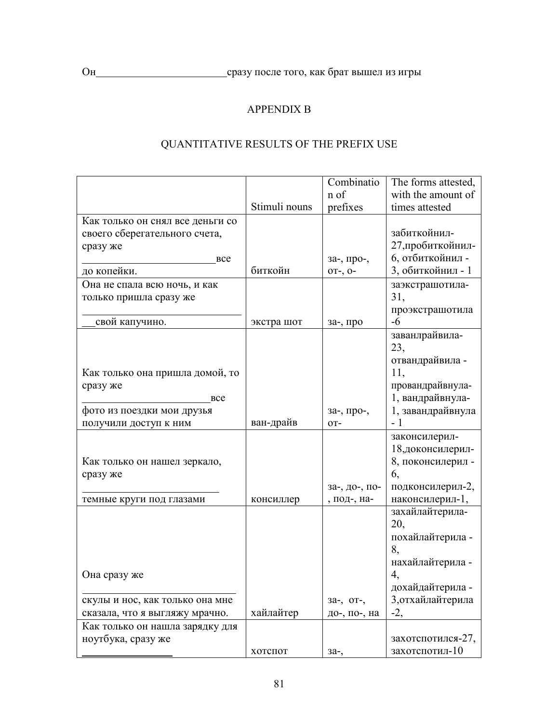## APPENDIX B

# QUANTITATIVE RESULTS OF THE PREFIX USE

|                                  |               | Combinatio    | The forms attested,                 |
|----------------------------------|---------------|---------------|-------------------------------------|
|                                  |               | n of          | with the amount of                  |
|                                  | Stimuli nouns | prefixes      | times attested                      |
| Как только он снял все деньги со |               |               |                                     |
| своего сберегательного счета,    |               |               | забиткойнил-                        |
| сразу же                         |               |               | 27, пробиткойнил-                   |
| <b>BCC</b>                       |               | за-, про-,    | 6, отбиткойнил -                    |
| до копейки.                      | биткойн       | $0T-, 0-$     | 3, обиткойнил - 1                   |
| Она не спала всю ночь, и как     |               |               | заэкстрашотила-                     |
| только пришла сразу же           |               |               | 31,                                 |
| свой капучино.                   |               |               | проэкстрашотила<br>$-6$             |
|                                  | экстра шот    | за-, про      |                                     |
|                                  |               |               | заванлрайвила-<br>23,               |
|                                  |               |               | отвандрайвила -                     |
| Как только она пришла домой, то  |               |               | 11,                                 |
| сразу же                         |               |               | провандрайвнула-                    |
| <b>BCC</b>                       |               |               | 1, вандрайвнула-                    |
| фото из поездки мои друзья       |               | за-, про-,    | 1, завандрайвнула                   |
| получили доступ к ним            | ван-драйв     | OT-           | - 1                                 |
|                                  |               |               | законсилерил-                       |
|                                  |               |               | 18,доконсилерил-                    |
| Как только он нашел зеркало,     |               |               | 8, поконсилерил -                   |
| сразу же                         |               |               | 6,                                  |
|                                  |               | за-, до-, по- | подконсилерил-2,                    |
| темные круги под глазами         | консиллер     | , под-, на-   | наконсилерил-1,                     |
|                                  |               |               | захайлайтерила-                     |
|                                  |               |               | 20,                                 |
|                                  |               |               | похайлайтерила -                    |
|                                  |               |               | 8,                                  |
|                                  |               |               | нахайлайтерила -                    |
| Она сразу же                     |               |               | 4,                                  |
|                                  |               |               | дохайдайтерила -                    |
| скулы и нос, как только она мне  |               | за-, от-,     | 3, отхайлайтерила                   |
| сказала, что я выгляжу мрачно.   | хайлайтер     | до-, по-, на  | $-2,$                               |
| Как только он нашла зарядку для  |               |               |                                     |
| ноутбука, сразу же               | хотспот       |               | захотспотился-27,<br>захотспотил-10 |
|                                  |               | 3a-,          |                                     |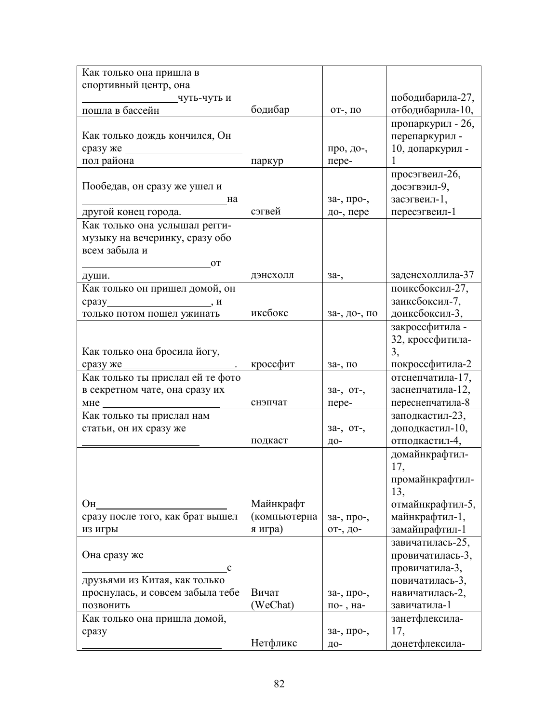| Как только она пришла в          |              |              |                   |
|----------------------------------|--------------|--------------|-------------------|
| спортивный центр, она            |              |              |                   |
| цуть-чуть и                      |              |              | пободибарила-27,  |
| пошла в бассейн                  | бодибар      | от-, по      | отбодибарила-10,  |
|                                  |              |              | пропаркурил - 26, |
| Как только дождь кончился, Он    |              |              | перепаркурил -    |
| сразуже                          |              | про, до-,    | 10, допаркурил -  |
| пол района                       | паркур       | пере-        |                   |
|                                  |              |              | просэгвеил-26,    |
| Пообедав, он сразу же ушел и     |              |              | досэгвэил-9,      |
| на                               |              | за-, про-,   | засэгвеил-1,      |
| другой конец города.             | сэгвей       | до-, пере    | пересэгвеил-1     |
| Как только она услышал регги-    |              |              |                   |
| музыку на вечеринку, сразу обо   |              |              |                   |
| всем забыла и                    |              |              |                   |
|                                  |              |              |                   |
| <b>OT</b>                        |              |              | заденсхоллила-37  |
| души.                            | дэнсхолл     | $3a-$ ,      | поиксбоксил-27,   |
| Как только он пришел домой, он   |              |              |                   |
|                                  | иксбокс      |              | заиксбоксил-7,    |
| только потом пошел ужинать       |              | за-, до-, по | доиксбоксил-3,    |
|                                  |              |              | закроссфитила -   |
|                                  |              |              | 32, кроссфитила-  |
| Как только она бросила йогу,     |              |              | 3,                |
| сразу же_                        | кроссфит     | за-, по      | покроссфитила-2   |
| Как только ты прислал ей те фото |              |              | отснепчатила-17,  |
| в секретном чате, она сразу их   |              | за-, от-,    | заснепчатила-12,  |
| мне                              | снэпчат      | пере-        | переснепчатила-8  |
| Как только ты прислал нам        |              |              | заподкастил-23,   |
| статьи, он их сразу же           |              | 3a-, OT-,    | доподкастил-10,   |
|                                  | подкаст      | ДО-          | отподкастил-4,    |
|                                  |              |              | домайнкрафтил-    |
|                                  |              |              | 17,               |
|                                  |              |              | промайнкрафтил-   |
|                                  |              |              | 13,               |
| Oн                               | Майнкрафт    |              | отмайнкрафтил-5,  |
| сразу после того, как брат вышел | (компьютерна | за-, про-,   | майнкрафтил-1,    |
| из игры                          | я игра)      | от-, до-     | замайнрафтил-1    |
|                                  |              |              | завичатилась-25,  |
| Она сразу же                     |              |              | провичатилась-3,  |
| $\mathbf c$                      |              |              | провичатила-3,    |
| друзьями из Китая, как только    |              |              | повичатилась-3,   |
| проснулась, и совсем забыла тебе | Вичат        | за-, про-,   | навичатилась-2,   |
| ПОЗВОНИТЬ                        | (WeChat)     | по-, на-     | завичатила-1      |
| Как только она пришла домой,     |              |              | занетфлексила-    |
| сразу                            |              | за-, про-,   | 17,               |
|                                  | Нетфликс     | Д0-          | донетфлексила-    |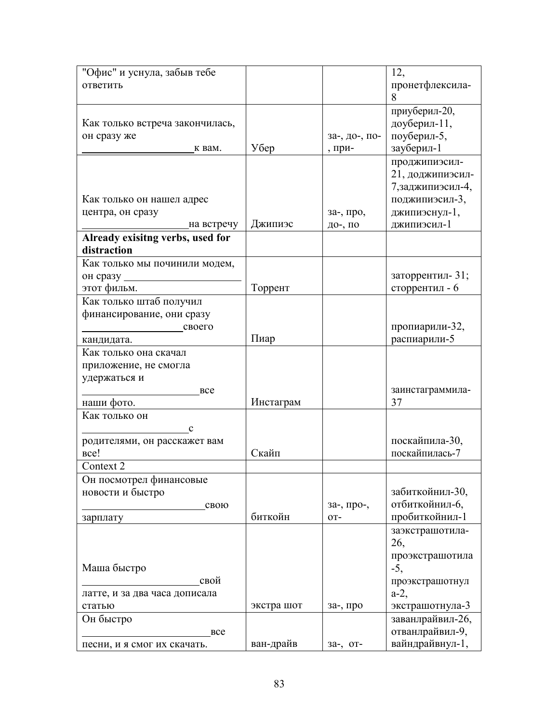| "Офис" и уснула, забыв тебе      |            |               | 12,                    |
|----------------------------------|------------|---------------|------------------------|
| ответить                         |            |               | пронетфлексила-        |
|                                  |            |               | 8                      |
|                                  |            |               | приуберил-20,          |
| Как только встреча закончилась,  |            |               | доуберил-11,           |
| он сразу же                      |            | за-, до-, по- | поуберил-5,            |
| к вам.                           | Убер       | , при-        | зауберил-1             |
|                                  |            |               | проджипиэсил-          |
|                                  |            |               |                        |
|                                  |            |               | 21, доджипиэсил-       |
|                                  |            |               | 7, заджипиэсил-4,      |
| Как только он нашел адрес        |            |               | поджипиэсил-3,         |
| центра, он сразу                 |            | за-, про,     | джипиэснул-1,          |
| на встречу                       | Джипиэс    | до-, по       | джипиэсил-1            |
| Already exisitng verbs, used for |            |               |                        |
| distraction                      |            |               |                        |
| Как только мы починили модем,    |            |               |                        |
| он сразу                         |            |               | заторрентил-31;        |
| этот фильм.                      | Торрент    |               | сторрентил - 6         |
| Как только штаб получил          |            |               |                        |
| финансирование, они сразу        |            |               |                        |
| своего                           |            |               | пропиарили-32,         |
| кандидата.                       | Пиар       |               | распиарили-5           |
| Как только она скачал            |            |               |                        |
| приложение, не смогла            |            |               |                        |
| удержаться и                     |            |               |                        |
| <b>BCC</b>                       |            |               | заинстаграммила-       |
| наши фото.                       | Инстаграм  |               | 37                     |
| Как только он                    |            |               |                        |
| $\mathbf C$                      |            |               |                        |
| родителями, он расскажет вам     |            |               | поскайпила-30,         |
| <sub>Bce!</sub>                  | Скайп      |               | поскайпилась-7         |
| Context 2                        |            |               |                        |
| Он посмотрел финансовые          |            |               |                        |
| новости и быстро                 |            |               | забиткойнил-30,        |
| свою                             |            | за-, про-,    | отбиткойнил-6,         |
|                                  | биткойн    | OT-           | пробиткойнил-1         |
| зарплату                         |            |               |                        |
|                                  |            |               | заэкстрашотила-<br>26, |
|                                  |            |               |                        |
|                                  |            |               | проэкстрашотила        |
| Маша быстро                      |            |               | $-5,$                  |
| свой                             |            |               | проэкстрашотнул        |
| латте, и за два часа дописала    |            |               | $a-2$ ,                |
| статью                           | экстра шот | за-, про      | экстрашотнула-3        |
| Он быстро                        |            |               | заванлрайвил-26,       |
| <b>BCC</b>                       |            |               | отванлрайвил-9,        |
| песни, и я смог их скачать.      | ван-драйв  | за-, от-      | вайндрайвнул-1,        |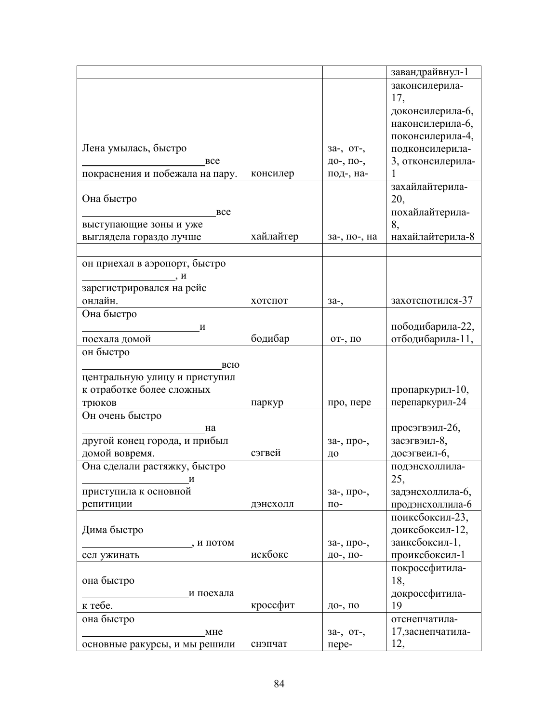|                                 |           |              | завандрайвнул-1   |
|---------------------------------|-----------|--------------|-------------------|
|                                 |           |              | законсилерила-    |
|                                 |           |              | 17,               |
|                                 |           |              | доконсилерила-6,  |
|                                 |           |              | наконсилерила-6,  |
|                                 |           |              | поконсилерила-4,  |
| Лена умылась, быстро            |           | за-, от-,    | подконсилерила-   |
| <b>BCC</b>                      |           | до-, по-,    | 3, отконсилерила- |
| покраснения и побежала на пару. | консилер  | под-, на-    |                   |
|                                 |           |              | захайлайтерила-   |
| Она быстро                      |           |              | 20,               |
| <b>BCC</b>                      |           |              | похайлайтерила-   |
| выступающие зоны и уже          |           |              | 8,                |
| выглядела гораздо лучше         | хайлайтер | за-, по-, на | нахайлайтерила-8  |
|                                 |           |              |                   |
| он приехал в аэропорт, быстро   |           |              |                   |
| $\frac{\ }{}$ , $H$             |           |              |                   |
| зарегистрировался на рейс       |           |              |                   |
| онлайн.                         | хотспот   | 3a-,         | захотспотился-37  |
| Она быстро                      |           |              |                   |
| И                               |           |              | пободибарила-22,  |
| поехала домой                   | бодибар   | от-, по      | отбодибарила-11,  |
| он быстро                       |           |              |                   |
| всю                             |           |              |                   |
| центральную улицу и приступил   |           |              |                   |
| к отработке более сложных       |           |              | пропаркурил-10,   |
| трюков                          | паркур    | про, пере    | перепаркурил-24   |
| Он очень быстро                 |           |              |                   |
| Ha                              |           |              | просэгвэил-26,    |
| другой конец города, и прибыл   |           | за-, про-,   | засэгвэил-8,      |
| домой вовремя.                  | сэгвей    | ДО           | досэгвеил-6,      |
| Она сделали растяжку, быстро    |           |              | подэнсхоллила-    |
| И                               |           |              | 25,               |
| приступила к основной           |           | за-, про-,   | задэнсхоллила-6,  |
| репитиции                       | дэнсхолл  | $\Pi$ O-     | продэнсхоллила-6  |
|                                 |           |              | поиксбоксил-23,   |
|                                 |           |              |                   |
| Дима быстро                     |           |              | доиксбоксил-12,   |
| , и потом                       |           | за-, про-,   | заиксбоксил-1,    |
| сел ужинать                     | искбокс   | до-, по-     | проиксбоксил-1    |
|                                 |           |              | покроссфитила-    |
| она быстро                      |           |              | 18,               |
| и поехала                       |           |              | докроссфитила-    |
| к тебе.                         | кроссфит  | до-, по      | 19                |
| она быстро                      |           |              | отснепчатила-     |
| MHe                             |           | за-, от-,    | 17, заснепчатила- |
| основные ракурсы, и мы решили   | снэпчат   | пере-        | 12,               |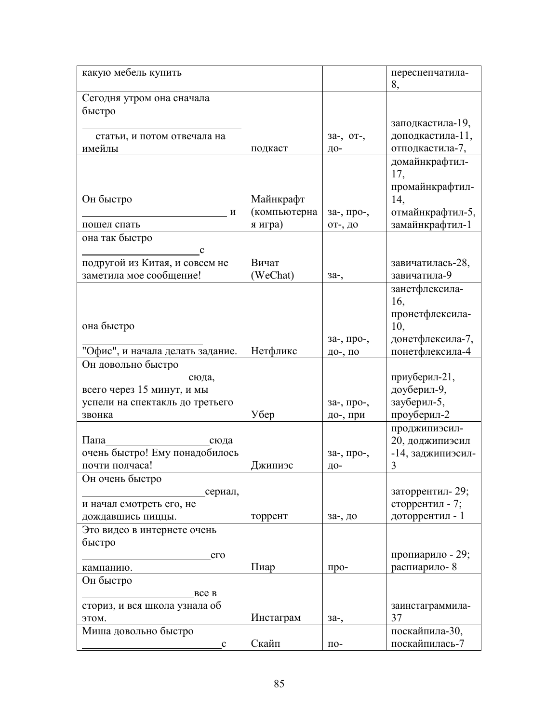| какую мебель купить                           |              |            | переснепчатила-<br>8,              |
|-----------------------------------------------|--------------|------------|------------------------------------|
| Сегодня утром она сначала                     |              |            |                                    |
| быстро                                        |              |            |                                    |
|                                               |              |            | заподкастила-19,                   |
| статьи, и потом отвечала на                   |              | за-, от-,  | доподкастила-11,                   |
| имейлы                                        | подкаст      | Д0-        | отподкастила-7,                    |
|                                               |              |            | домайнкрафтил-                     |
|                                               |              |            | 17,                                |
|                                               |              |            | промайнкрафтил-                    |
| Он быстро                                     | Майнкрафт    |            | 14,                                |
| И                                             | (компьютерна | за-, про-, | отмайнкрафтил-5,                   |
| пошел спать                                   | я игра)      | от-, до    | замайнкрафтил-1                    |
| она так быстро                                |              |            |                                    |
| $\mathbf c$<br>подругой из Китая, и совсем не | Вичат        |            |                                    |
| заметила мое сообщение!                       | (WeChat)     |            | завичатилась-28,<br>завичатила-9   |
|                                               |              | 3a-,       | занетфлексила-                     |
|                                               |              |            | 16,                                |
|                                               |              |            | пронетфлексила-                    |
| она быстро                                    |              |            | 10,                                |
|                                               |              | за-, про-, | донетфлексила-7,                   |
| "Офис", и начала делать задание.              | Нетфликс     | до-, по    | понетфлексила-4                    |
| Он довольно быстро                            |              |            |                                    |
| _сюда,                                        |              |            | приуберил-21,                      |
| всего через 15 минут, и мы                    |              |            | доуберил-9,                        |
| успели на спектакль до третьего               |              | за-, про-, | зауберил-5,                        |
| звонка                                        | Убер         | до-, при   | проуберил-2                        |
|                                               |              |            | проджипиэсил-                      |
| Папа<br>сюда                                  |              |            | 20, доджипиэсил                    |
| очень быстро! Ему понадобилось                |              | за-, про-, | -14, заджипиэсил-                  |
| почти полчаса!                                | Джипиэс      | Д0-        | 3                                  |
| Он очень быстро                               |              |            |                                    |
| сериал,                                       |              |            | заторрентил-29;<br>сторрентил - 7; |
| и начал смотреть его, не<br>дождавшись пиццы. | торрент      | за-, до    | доторрентил - 1                    |
| Это видео в интернете очень                   |              |            |                                    |
| быстро                                        |              |            |                                    |
| er                                            |              |            | пропиарило - 29;                   |
| кампанию.                                     | Пиар         | про-       | распиарило-8                       |
| Он быстро                                     |              |            |                                    |
| <b>BCC B</b>                                  |              |            |                                    |
| сториз, и вся школа узнала об                 |              |            | заинстаграммила-                   |
| этом.                                         | Инстаграм    | 3a-,       | 37                                 |
| Миша довольно быстро                          |              |            | поскайпила-30,                     |
| c                                             | Скайп        | $\Pi$ O-   | поскайпилась-7                     |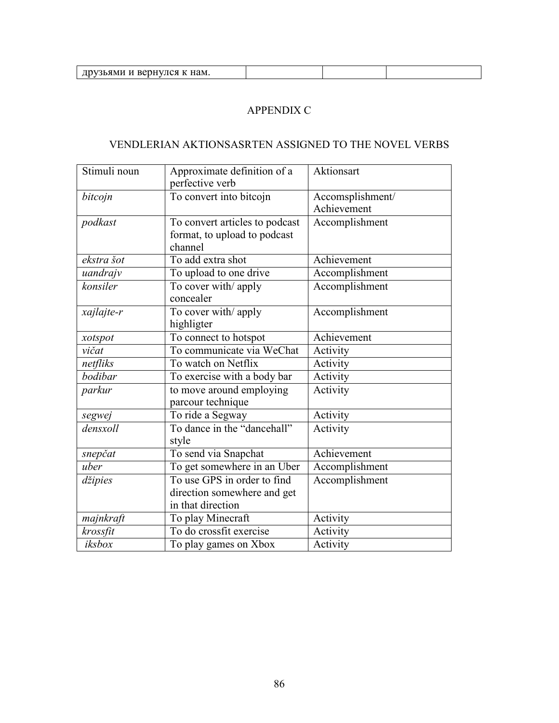| $\mathcal{A}$ K Ham.<br>и велнуш.<br>26 Y M<br>ни<br>∽ |  |  |
|--------------------------------------------------------|--|--|
|                                                        |  |  |

## APPENDIX C

## VENDLERIAN AKTIONSASRTEN ASSIGNED TO THE NOVEL VERBS

| Stimuli noun | Approximate definition of a<br>perfective verb                                  | Aktionsart                      |
|--------------|---------------------------------------------------------------------------------|---------------------------------|
| bitcojn      | To convert into bitcojn                                                         | Accomsplishment/<br>Achievement |
| podkast      | To convert articles to podcast<br>format, to upload to podcast<br>channel       | Accomplishment                  |
| ekstra šot   | To add extra shot                                                               | Achievement                     |
| uandrajv     | To upload to one drive                                                          | Accomplishment                  |
| konsiler     | To cover with/ apply<br>concealer                                               | Accomplishment                  |
| xajlajte-r   | To cover with/ apply<br>highligter                                              | Accomplishment                  |
| xotspot      | To connect to hotspot                                                           | Achievement                     |
| vičat        | To communicate via WeChat                                                       | Activity                        |
| netfliks     | To watch on Netflix                                                             | Activity                        |
| bodibar      | To exercise with a body bar                                                     | Activity                        |
| parkur       | to move around employing<br>parcour technique                                   | Activity                        |
| segwej       | To ride a Segway                                                                | Activity                        |
| densxoll     | To dance in the "dancehall"<br>style                                            | Activity                        |
| snepčat      | To send via Snapchat                                                            | Achievement                     |
| uber         | To get somewhere in an Uber                                                     | Accomplishment                  |
| džipies      | To use GPS in order to find<br>direction somewhere and get<br>in that direction | Accomplishment                  |
| majnkraft    | To play Minecraft                                                               | Activity                        |
| krossfit     | To do crossfit exercise                                                         | Activity                        |
| iksbox       | To play games on Xbox                                                           | Activity                        |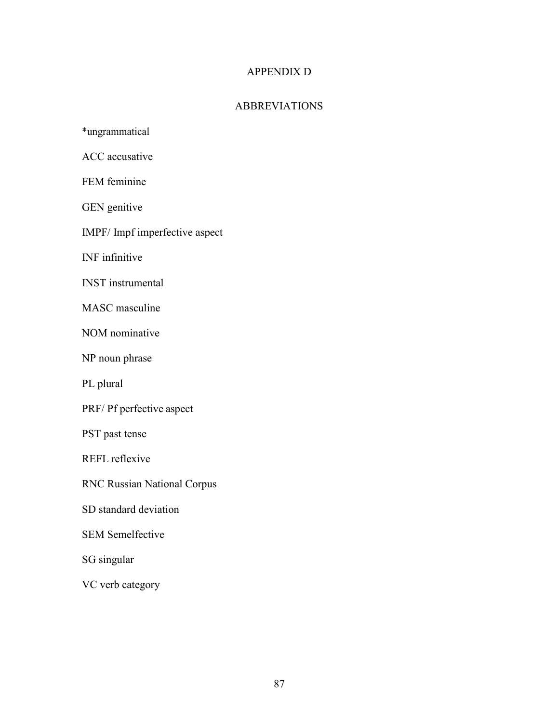## APPENDIX D

## ABBREVIATIONS

\*ungrammatical

ACC accusative

FEM feminine

GEN genitive

IMPF/ Impf imperfective aspect

INF infinitive

INST instrumental

MASC masculine

NOM nominative

NP noun phrase

PL plural

PRF/ Pf perfective aspect

PST past tense

REFL reflexive

RNC Russian National Corpus

SD standard deviation

SEM Semelfective

SG singular

VC verb category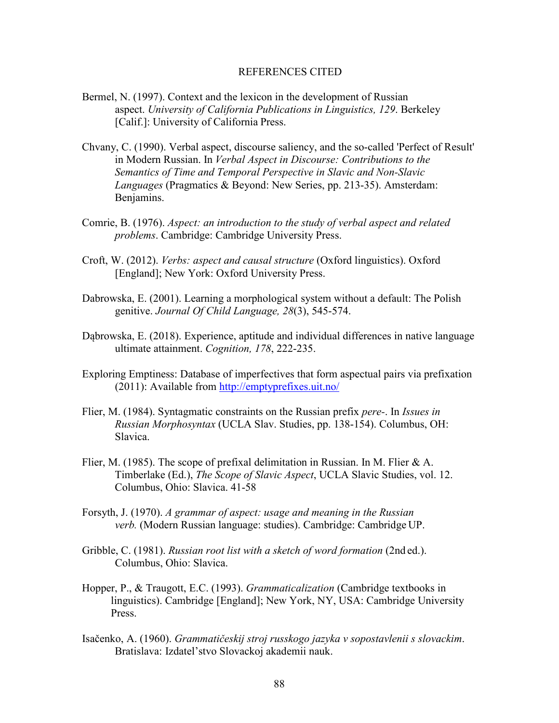#### REFERENCES CITED

- Bermel, N. (1997). Context and the lexicon in the development of Russian aspect. *University of California Publications in Linguistics, 129*. Berkeley [Calif.]: University of California Press.
- Chvany, C. (1990). Verbal aspect, discourse saliency, and the so-called 'Perfect of Result' in Modern Russian. In *Verbal Aspect in Discourse: Contributions to the Semantics of Time and Temporal Perspective in Slavic and Non-Slavic Languages* (Pragmatics & Beyond: New Series, pp. 213-35). Amsterdam: Benjamins.
- Comrie, B. (1976). *Aspect: an introduction to the study of verbal aspect and related problems*. Cambridge: Cambridge University Press.
- Croft, W. (2012). *Verbs: aspect and causal structure* (Oxford linguistics). Oxford [England]; New York: Oxford University Press.
- Dabrowska, E. (2001). Learning a morphological system without a default: The Polish genitive. *Journal Of Child Language, 28*(3), 545-574.
- Dąbrowska, E. (2018). Experience, aptitude and individual differences in native language ultimate attainment. *Cognition, 178*, 222-235.
- Exploring Emptiness: Database of imperfectives that form aspectual pairs via prefixation (2011): Available from http://emptyprefixes.uit.no/
- Flier, M. (1984). Syntagmatic constraints on the Russian prefix *pere-*. In *Issues in Russian Morphosyntax* (UCLA Slav. Studies, pp. 138-154). Columbus, OH: Slavica.
- Flier, M. (1985). The scope of prefixal delimitation in Russian. In M. Flier  $& A$ . Timberlake (Ed.), *The Scope of Slavic Aspect*, UCLA Slavic Studies, vol. 12. Columbus, Ohio: Slavica. 41-58
- Forsyth, J. (1970). *A grammar of aspect: usage and meaning in the Russian verb.* (Modern Russian language: studies). Cambridge: Cambridge UP.
- Gribble, C. (1981). *Russian root list with a sketch of word formation* (2nd ed.). Columbus, Ohio: Slavica.
- Hopper, P., & Traugott, E.C. (1993). *Grammaticalization* (Cambridge textbooks in linguistics). Cambridge [England]; New York, NY, USA: Cambridge University Press.
- Isačenko, A. (1960). *Grammatičeskij stroj russkogo jazyka v sopostavlenii s slovackim*. Bratislava: Izdatel'stvo Slovackoj akademii nauk.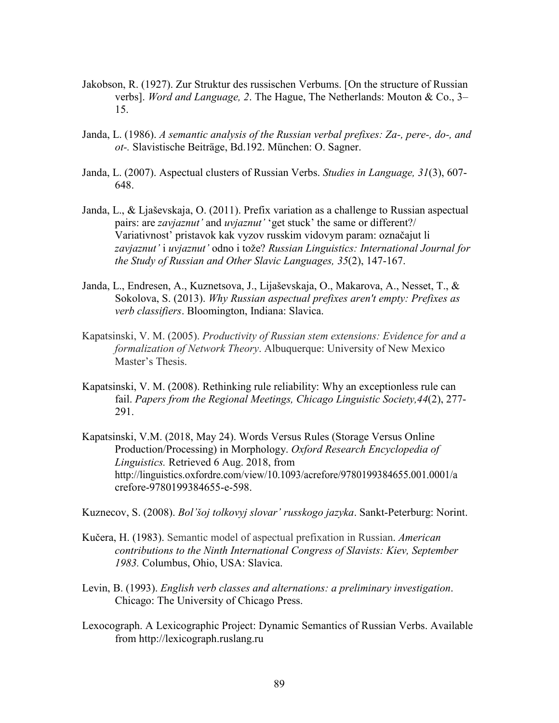- Jakobson, R. (1927). Zur Struktur des russischen Verbums. [On the structure of Russian verbs]. *Word and Language, 2*. The Hague, The Netherlands: Mouton & Co., 3– 15.
- Janda, L. (1986). *A semantic analysis of the Russian verbal prefixes: Za-, pere-, do-, and ot-.* Slavistische Beiträge, Bd.192. München: O. Sagner.
- Janda, L. (2007). Aspectual clusters of Russian Verbs. *Studies in Language, 31*(3), 607- 648.
- Janda, L., & Ljaševskaja, O. (2011). Prefix variation as a challenge to Russian aspectual pairs: are *zavjaznut'* and *uvjaznut'* 'get stuck' the same or different?/ Variativnost' pristavok kak vyzov russkim vidovym param: označajut li *zavjaznut'* i *uvjaznut'* odno i tože? *Russian Linguistics: International Journal for the Study of Russian and Other Slavic Languages, 35*(2), 147-167.
- Janda, L., Endresen, A., Kuznetsova, J., Lijaševskaja, O., Makarova, A., Nesset, T., & Sokolova, S. (2013). *Why Russian aspectual prefixes aren't empty: Prefixes as verb classifiers*. Bloomington, Indiana: Slavica.
- Kapatsinski, V. M. (2005). *Productivity of Russian stem extensions: Evidence for and a formalization of Network Theory*. Albuquerque: University of New Mexico Master's Thesis.
- Kapatsinski, V. M. (2008). Rethinking rule reliability: Why an exceptionless rule can fail. *Papers from the Regional Meetings, Chicago Linguistic Society,44*(2), 277- 291.
- Kapatsinski, V.M. (2018, May 24). Words Versus Rules (Storage Versus Online Production/Processing) in Morphology. *Oxford Research Encyclopedia of Linguistics.* Retrieved 6 Aug. 2018, from http://linguistics.oxfordre.com/view/10.1093/acrefore/9780199384655.001.0001/a crefore-9780199384655-e-598.

Kuznecov, S. (2008). *Bol'šoj tolkovyj slovar' russkogo jazyka*. Sankt-Peterburg: Norint.

- Kučera, H. (1983). Semantic model of aspectual prefixation in Russian. *American contributions to the Ninth International Congress of Slavists: Kiev, September 1983.* Columbus, Ohio, USA: Slavica.
- Levin, B. (1993). *English verb classes and alternations: a preliminary investigation*. Chicago: The University of Chicago Press.
- Lexocograph. A Lexicographic Project: Dynamic Semantics of Russian Verbs. Available from http://lexicograph.ruslang.ru